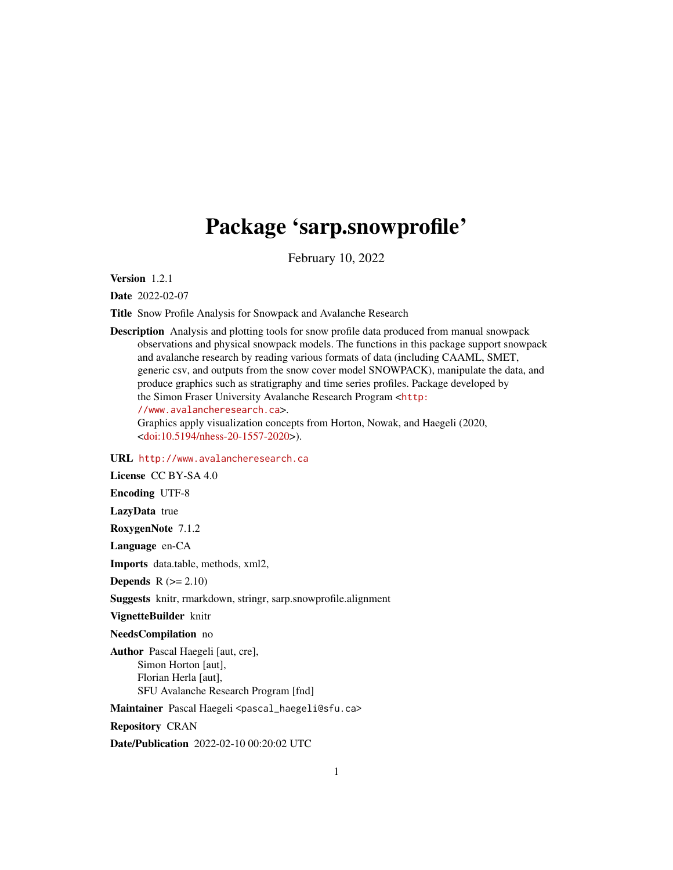# Package 'sarp.snowprofile'

February 10, 2022

<span id="page-0-0"></span>Version 1.2.1

Date 2022-02-07

Title Snow Profile Analysis for Snowpack and Avalanche Research

Description Analysis and plotting tools for snow profile data produced from manual snowpack observations and physical snowpack models. The functions in this package support snowpack and avalanche research by reading various formats of data (including CAAML, SMET, generic csv, and outputs from the snow cover model SNOWPACK), manipulate the data, and produce graphics such as stratigraphy and time series profiles. Package developed by the Simon Fraser University Avalanche Research Program <[http:](http://www.avalancheresearch.ca) [//www.avalancheresearch.ca](http://www.avalancheresearch.ca)>. Graphics apply visualization concepts from Horton, Nowak, and Haegeli (2020,

[<doi:10.5194/nhess-20-1557-2020>](https://doi.org/10.5194/nhess-20-1557-2020)).

URL <http://www.avalancheresearch.ca>

License CC BY-SA 4.0

Encoding UTF-8

LazyData true

RoxygenNote 7.1.2

Language en-CA

Imports data.table, methods, xml2,

Depends  $R (= 2.10)$ 

Suggests knitr, rmarkdown, stringr, sarp.snowprofile.alignment

VignetteBuilder knitr

NeedsCompilation no

Author Pascal Haegeli [aut, cre], Simon Horton [aut], Florian Herla [aut], SFU Avalanche Research Program [fnd]

Maintainer Pascal Haegeli <pascal\_haegeli@sfu.ca>

Repository CRAN

Date/Publication 2022-02-10 00:20:02 UTC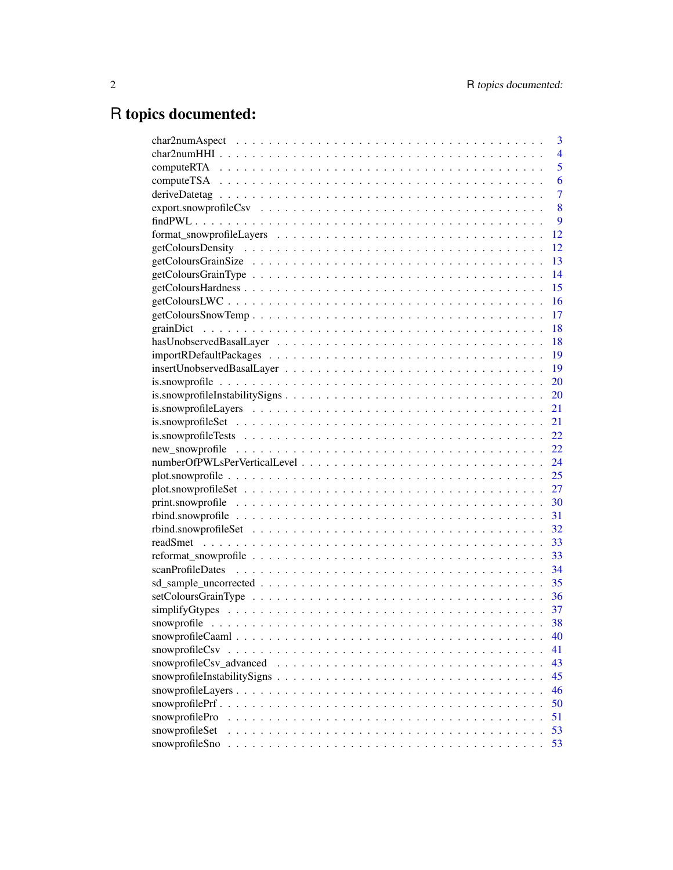# R topics documented:

|                   | 3              |
|-------------------|----------------|
|                   | $\overline{4}$ |
|                   | 5              |
|                   | 6              |
|                   | $\overline{7}$ |
|                   | 8              |
|                   | 9              |
|                   | 12             |
|                   | 12             |
|                   | 13             |
|                   | 14             |
|                   | 15             |
|                   | 16             |
|                   | 17             |
|                   | 18             |
|                   | 18             |
|                   | 19             |
|                   | 19             |
|                   | 20             |
|                   | 20             |
|                   | 21             |
|                   | 21             |
|                   | 22             |
|                   | 22             |
|                   | 24             |
|                   | 25             |
|                   | 27             |
|                   | 30             |
|                   | 31             |
|                   | 32             |
|                   |                |
|                   | 33             |
|                   | 34             |
|                   | 35             |
|                   | 36             |
|                   | 37             |
|                   | 38             |
|                   | 40             |
|                   | 41             |
|                   | 43             |
|                   | 45             |
|                   | 46             |
| snowprofile $Prf$ | 50             |
| snowprofilePro    | 51             |
| snowprofileSet    | 53             |
| snowprofileSno    | 53             |
|                   |                |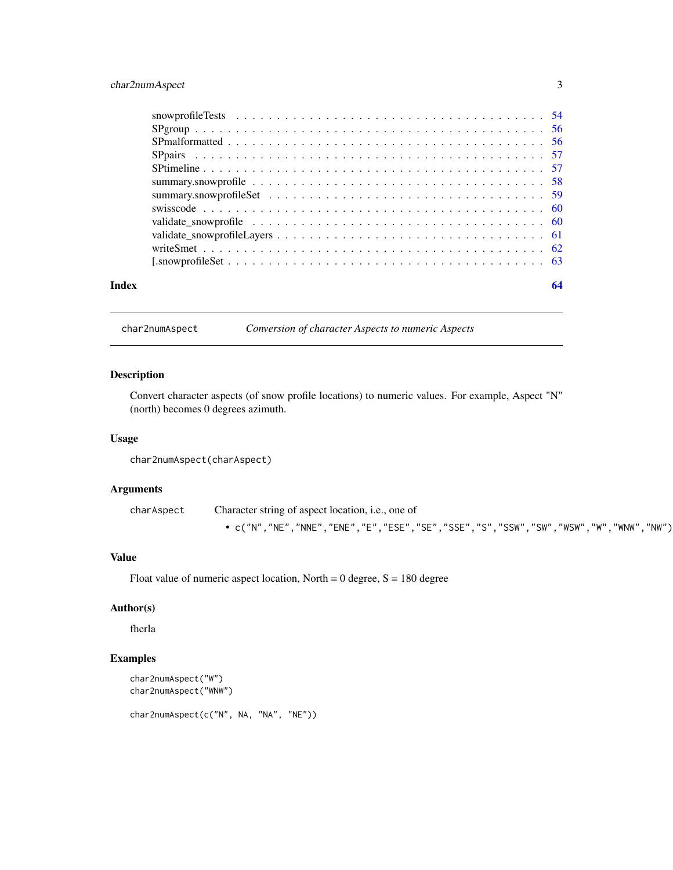## <span id="page-2-0"></span>char2numAspect 3

| Index | 64 |
|-------|----|
|       |    |
|       |    |
|       |    |
|       |    |
|       |    |
|       |    |
|       |    |
|       |    |
|       |    |
|       |    |
|       |    |
|       |    |

char2numAspect *Conversion of character Aspects to numeric Aspects*

## Description

Convert character aspects (of snow profile locations) to numeric values. For example, Aspect "N" (north) becomes 0 degrees azimuth.

#### Usage

```
char2numAspect(charAspect)
```
## Arguments

charAspect Character string of aspect location, i.e., one of • c("N","NE","NNE","ENE","E","ESE","SE","SSE","S","SSW","SW","WSW","W","WNW","NW")

#### Value

Float value of numeric aspect location, North =  $0$  degree,  $S = 180$  degree

## Author(s)

fherla

```
char2numAspect("W")
char2numAspect("WNW")
char2numAspect(c("N", NA, "NA", "NE"))
```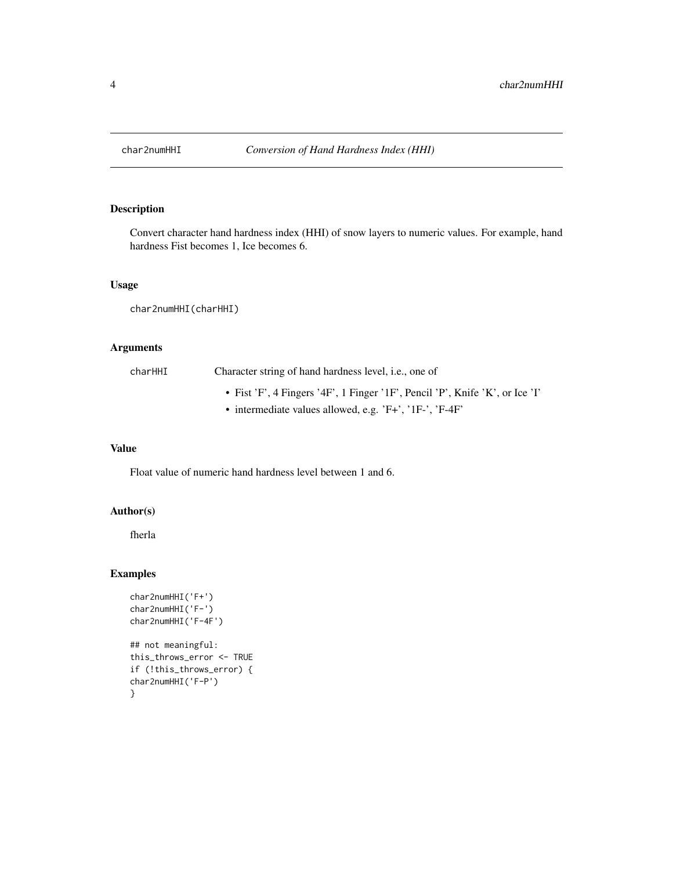<span id="page-3-1"></span><span id="page-3-0"></span>

Convert character hand hardness index (HHI) of snow layers to numeric values. For example, hand hardness Fist becomes 1, Ice becomes 6.

## Usage

char2numHHI(charHHI)

## Arguments

| charHHI | Character string of hand hardness level, <i>i.e.</i> , one of                |
|---------|------------------------------------------------------------------------------|
|         | • Fist 'F', 4 Fingers '4F', 1 Finger '1F', Pencil 'P', Knife 'K', or Ice 'I' |
|         | • intermediate values allowed, e.g. $'F+'$ , $'IF-'$ , $'F-4F'$              |

## Value

Float value of numeric hand hardness level between 1 and 6.

## Author(s)

fherla

```
char2numHHI('F+')
char2numHHI('F-')
char2numHHI('F-4F')
## not meaningful:
this_throws_error <- TRUE
if (!this_throws_error) {
char2numHHI('F-P')
}
```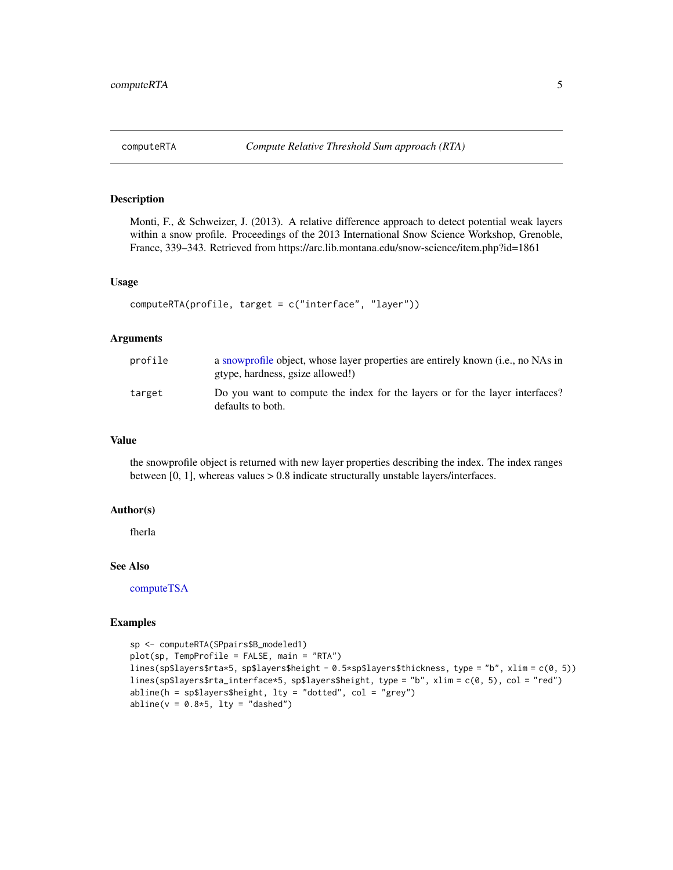<span id="page-4-1"></span><span id="page-4-0"></span>Monti, F., & Schweizer, J. (2013). A relative difference approach to detect potential weak layers within a snow profile. Proceedings of the 2013 International Snow Science Workshop, Grenoble, France, 339–343. Retrieved from https://arc.lib.montana.edu/snow-science/item.php?id=1861

#### Usage

```
computeRTA(profile, target = c("interface", "layer"))
```
## Arguments

| profile | a snowprofile object, whose layer properties are entirely known (i.e., no NAs in<br>gtype, hardness, gsize allowed!) |
|---------|----------------------------------------------------------------------------------------------------------------------|
| target  | Do you want to compute the index for the layers or for the layer interfaces?<br>defaults to both.                    |

#### Value

the snowprofile object is returned with new layer properties describing the index. The index ranges between [0, 1], whereas values > 0.8 indicate structurally unstable layers/interfaces.

#### Author(s)

fherla

## See Also

[computeTSA](#page-5-1)

```
sp <- computeRTA(SPpairs$B_modeled1)
plot(sp, TempProfile = FALSE, main = "RTA")
lines(sp$layers$rta*5, sp$layers$height - 0.5*sp$layers$thickness, type = "b", xlim = c(0, 5))
lines(sp$layers$rta_interface*5, sp$layers$height, type = "b", xlim = c(0, 5), col = "red")
abline(h = sp$layers{} height, lty = "dotted", col = "grey")abline(v = 0.8*5, lty = "dashed")
```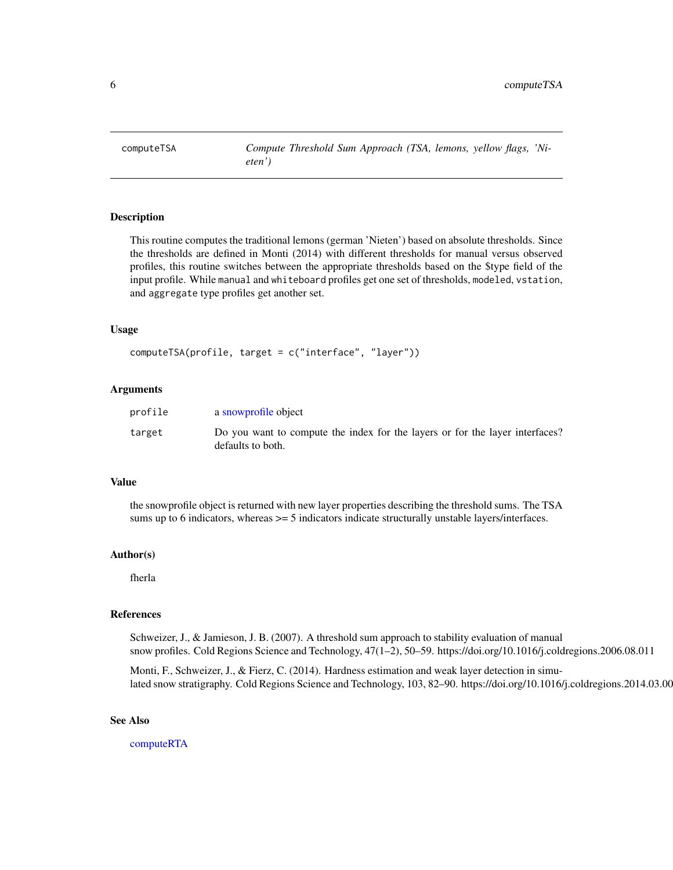<span id="page-5-1"></span><span id="page-5-0"></span>

This routine computes the traditional lemons (german 'Nieten') based on absolute thresholds. Since the thresholds are defined in Monti (2014) with different thresholds for manual versus observed profiles, this routine switches between the appropriate thresholds based on the \$type field of the input profile. While manual and whiteboard profiles get one set of thresholds, modeled, vstation, and aggregate type profiles get another set.

#### Usage

```
computeTSA(profile, target = c("interface", "layer"))
```
#### Arguments

| profile | a snowprofile object                                                                              |
|---------|---------------------------------------------------------------------------------------------------|
| target  | Do you want to compute the index for the layers or for the layer interfaces?<br>defaults to both. |

#### Value

the snowprofile object is returned with new layer properties describing the threshold sums. The TSA sums up to 6 indicators, whereas  $>= 5$  indicators indicate structurally unstable layers/interfaces.

#### Author(s)

fherla

#### References

Schweizer, J., & Jamieson, J. B. (2007). A threshold sum approach to stability evaluation of manual snow profiles. Cold Regions Science and Technology, 47(1–2), 50–59. https://doi.org/10.1016/j.coldregions.2006.08.011

Monti, F., Schweizer, J., & Fierz, C. (2014). Hardness estimation and weak layer detection in simulated snow stratigraphy. Cold Regions Science and Technology, 103, 82–90. https://doi.org/10.1016/j.coldregions.2014.03.009

#### See Also

[computeRTA](#page-4-1)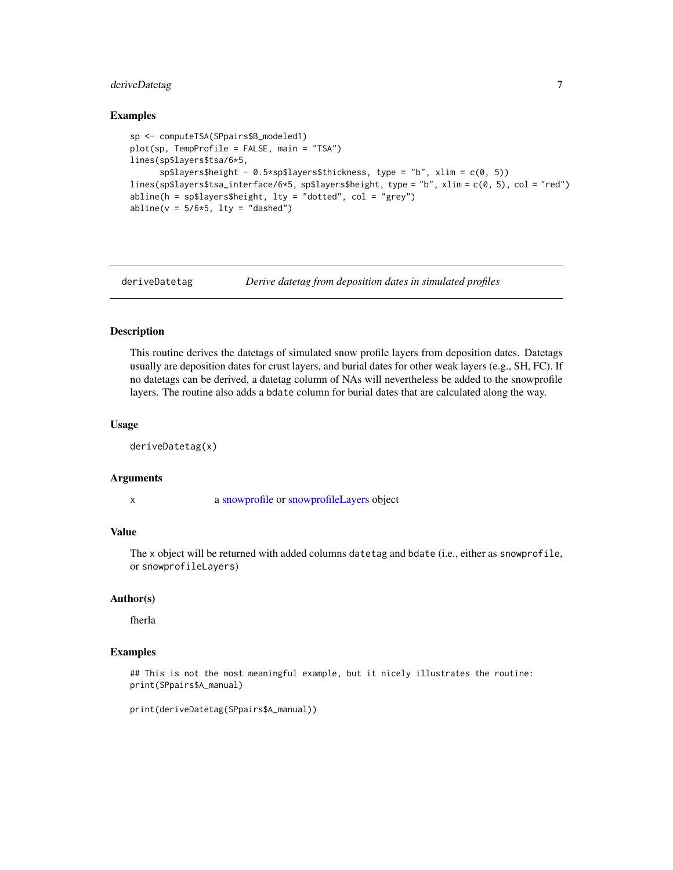## <span id="page-6-0"></span>deriveDatetag 7

#### Examples

```
sp <- computeTSA(SPpairs$B_modeled1)
plot(sp, TempProfile = FALSE, main = "TSA")
lines(sp$layers$tsa/6*5,
      sp$layers$height - 0.5*sp$layers$thickness, type = "b", xlim = c(0, 5))
lines(sp$layers$tsa_interface/6*5, sp$layers$height, type = "b", xlim = c(0, 5), col = "red")
abline(h = sp$layers{} height, 1ty = "dotted", col = "grey")abline(v = 5/6*5, lty = "dashed")
```
deriveDatetag *Derive datetag from deposition dates in simulated profiles*

## Description

This routine derives the datetags of simulated snow profile layers from deposition dates. Datetags usually are deposition dates for crust layers, and burial dates for other weak layers (e.g., SH, FC). If no datetags can be derived, a datetag column of NAs will nevertheless be added to the snowprofile layers. The routine also adds a bdate column for burial dates that are calculated along the way.

#### Usage

```
deriveDatetag(x)
```
#### Arguments

x a [snowprofile](#page-37-1) or [snowprofileLayers](#page-45-1) object

## Value

The x object will be returned with added columns datetag and bdate (i.e., either as snowprofile, or snowprofileLayers)

## Author(s)

fherla

#### Examples

## This is not the most meaningful example, but it nicely illustrates the routine: print(SPpairs\$A\_manual)

print(deriveDatetag(SPpairs\$A\_manual))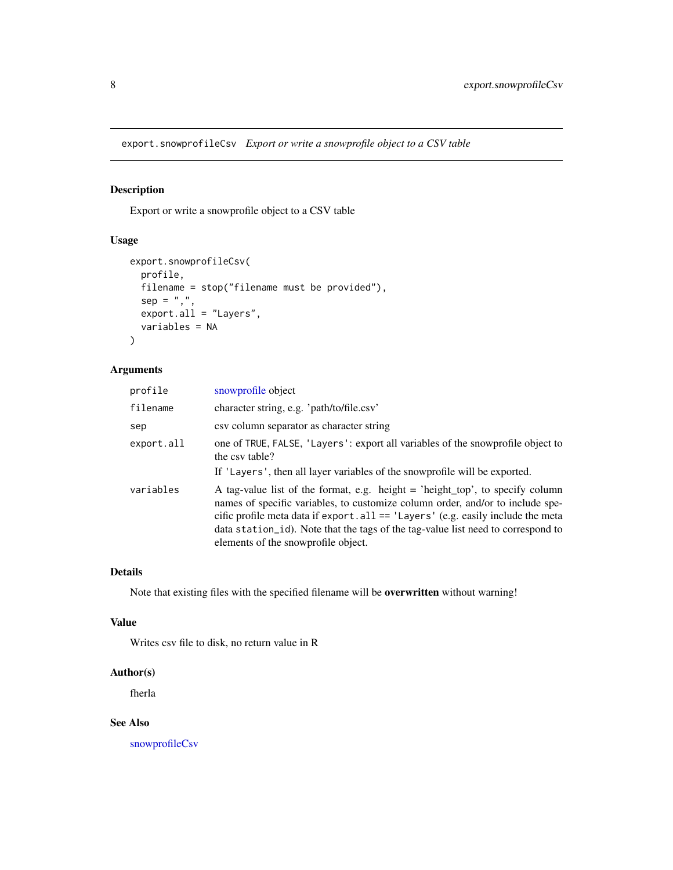<span id="page-7-0"></span>export.snowprofileCsv *Export or write a snowprofile object to a CSV table*

## Description

Export or write a snowprofile object to a CSV table

#### Usage

```
export.snowprofileCsv(
 profile,
  filename = stop("filename must be provided"),
  sep = ","export.all = "Layers",
  variables = NA
\mathcal{L}
```
## Arguments

| profile    | snowprofile object                                                                                                                                                                                                                                                                                                                                                                  |
|------------|-------------------------------------------------------------------------------------------------------------------------------------------------------------------------------------------------------------------------------------------------------------------------------------------------------------------------------------------------------------------------------------|
| filename   | character string, e.g. 'path/to/file.csv'                                                                                                                                                                                                                                                                                                                                           |
| sep        | csy column separator as character string                                                                                                                                                                                                                                                                                                                                            |
| export.all | one of TRUE, FALSE, 'Layers': export all variables of the snowprofile object to<br>the csy table?                                                                                                                                                                                                                                                                                   |
|            | If 'Layers', then all layer variables of the snowprofile will be exported.                                                                                                                                                                                                                                                                                                          |
| variables  | A tag-value list of the format, e.g. height $=$ 'height_top', to specify column<br>names of specific variables, to customize column order, and/or to include spe-<br>cific profile meta data if $export$ . all == 'Layers' (e.g. easily include the meta<br>data station id). Note that the tags of the tag-value list need to correspond to<br>elements of the snowprofile object. |

#### Details

Note that existing files with the specified filename will be overwritten without warning!

## Value

Writes csv file to disk, no return value in R

## Author(s)

fherla

## See Also

[snowprofileCsv](#page-40-1)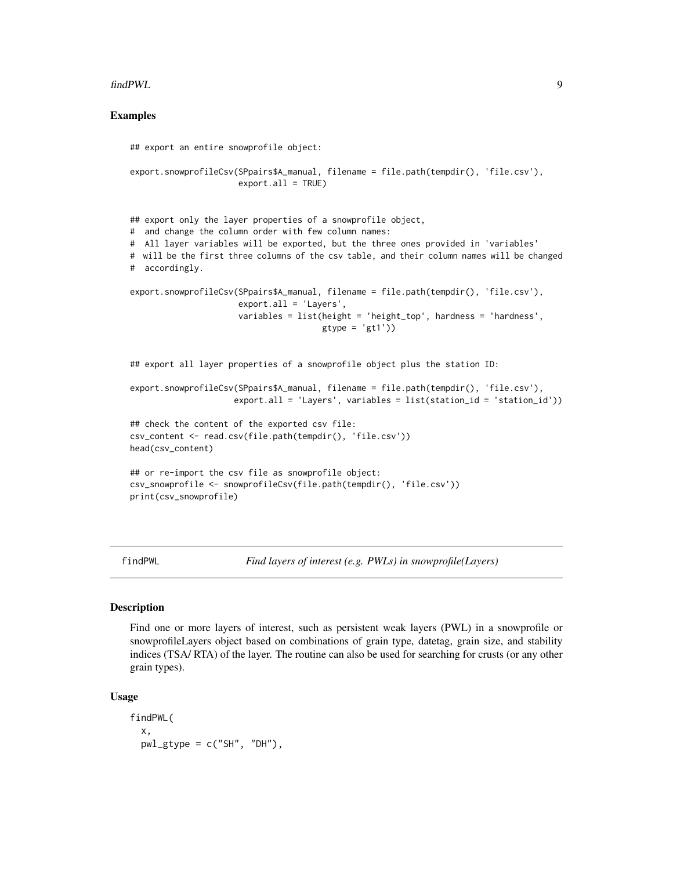#### <span id="page-8-0"></span>findPWL 9

#### Examples

```
## export an entire snowprofile object:
export.snowprofileCsv(SPpairs$A_manual, filename = file.path(tempdir(), 'file.csv'),
                      export.all = TRUE)
## export only the layer properties of a snowprofile object,
# and change the column order with few column names:
# All layer variables will be exported, but the three ones provided in 'variables'
# will be the first three columns of the csv table, and their column names will be changed
# accordingly.
export.snowprofileCsv(SPpairs$A_manual, filename = file.path(tempdir(), 'file.csv'),
                     export.all = 'Layers',
                      variables = list(height = 'height_top', hardness = 'hardness',
                                       gtype = 'gt1')## export all layer properties of a snowprofile object plus the station ID:
export.snowprofileCsv(SPpairs$A_manual, filename = file.path(tempdir(), 'file.csv'),
                     export. all = 'Layers', variables = list(station_id = 'station_id'))## check the content of the exported csv file:
csv_content <- read.csv(file.path(tempdir(), 'file.csv'))
head(csv_content)
## or re-import the csv file as snowprofile object:
csv_snowprofile <- snowprofileCsv(file.path(tempdir(), 'file.csv'))
print(csv_snowprofile)
```
<span id="page-8-1"></span>findPWL *Find layers of interest (e.g. PWLs) in snowprofile(Layers)*

#### <span id="page-8-2"></span>Description

Find one or more layers of interest, such as persistent weak layers (PWL) in a snowprofile or snowprofileLayers object based on combinations of grain type, datetag, grain size, and stability indices (TSA/ RTA) of the layer. The routine can also be used for searching for crusts (or any other grain types).

#### Usage

```
findPWL(
  x,
 pwl_gtype = c("SH", "DH"),
```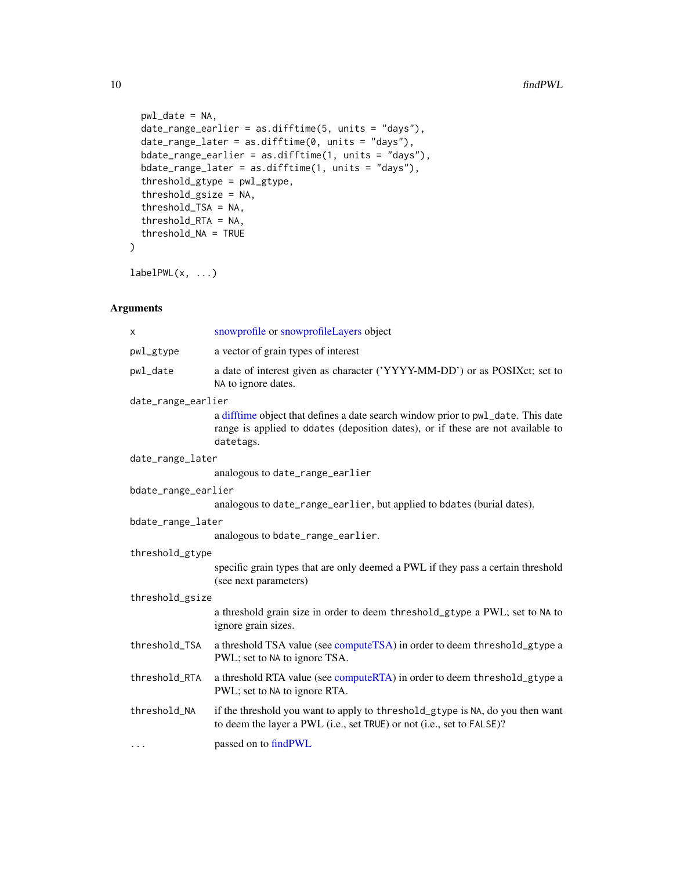```
pwl_date = NA,
  date_range_earlier = as.difftime(5, units = "days"),
  date_range\_later = as.difftime(0, units = "days"),bdate_range_earlier = as.difftime(1, units = "days"),
  bdate_range_later = as.difftime(1, units = "days"),
  threshold_gtype = pwl_gtype,
  threshold_gsize = NA,
  threshold_TSA = NA,
  threshold_RTA = NA,
  threshold_NA = TRUE
\mathcal{L}
```
 $labelPWL}(x, ...)$ 

## Arguments

| х                   | snowprofile or snowprofileLayers object                                                                                                                                          |  |
|---------------------|----------------------------------------------------------------------------------------------------------------------------------------------------------------------------------|--|
| pwl_gtype           | a vector of grain types of interest                                                                                                                                              |  |
| pwl_date            | a date of interest given as character ('YYYY-MM-DD') or as POSIXct; set to<br>NA to ignore dates.                                                                                |  |
| date_range_earlier  |                                                                                                                                                                                  |  |
|                     | a difftime object that defines a date search window prior to pwl_date. This date<br>range is applied to ddates (deposition dates), or if these are not available to<br>datetags. |  |
| date_range_later    |                                                                                                                                                                                  |  |
|                     | analogous to date_range_earlier                                                                                                                                                  |  |
| bdate_range_earlier |                                                                                                                                                                                  |  |
|                     | analogous to date_range_earlier, but applied to bdates (burial dates).                                                                                                           |  |
| bdate_range_later   |                                                                                                                                                                                  |  |
|                     | analogous to bdate_range_earlier.                                                                                                                                                |  |
| threshold_gtype     |                                                                                                                                                                                  |  |
|                     | specific grain types that are only deemed a PWL if they pass a certain threshold<br>(see next parameters)                                                                        |  |
| threshold_gsize     |                                                                                                                                                                                  |  |
|                     | a threshold grain size in order to deem threshold_gtype a PWL; set to NA to<br>ignore grain sizes.                                                                               |  |
| threshold_TSA       | a threshold TSA value (see compute TSA) in order to deem threshold_gtype a<br>PWL; set to NA to ignore TSA.                                                                      |  |
| threshold_RTA       | a threshold RTA value (see computeRTA) in order to deem threshold_gtype a<br>PWL; set to NA to ignore RTA.                                                                       |  |
| threshold_NA        | if the threshold you want to apply to threshold_gtype is NA, do you then want<br>to deem the layer a PWL (i.e., set TRUE) or not (i.e., set to FALSE)?                           |  |
| .                   | passed on to findPWL                                                                                                                                                             |  |

<span id="page-9-0"></span>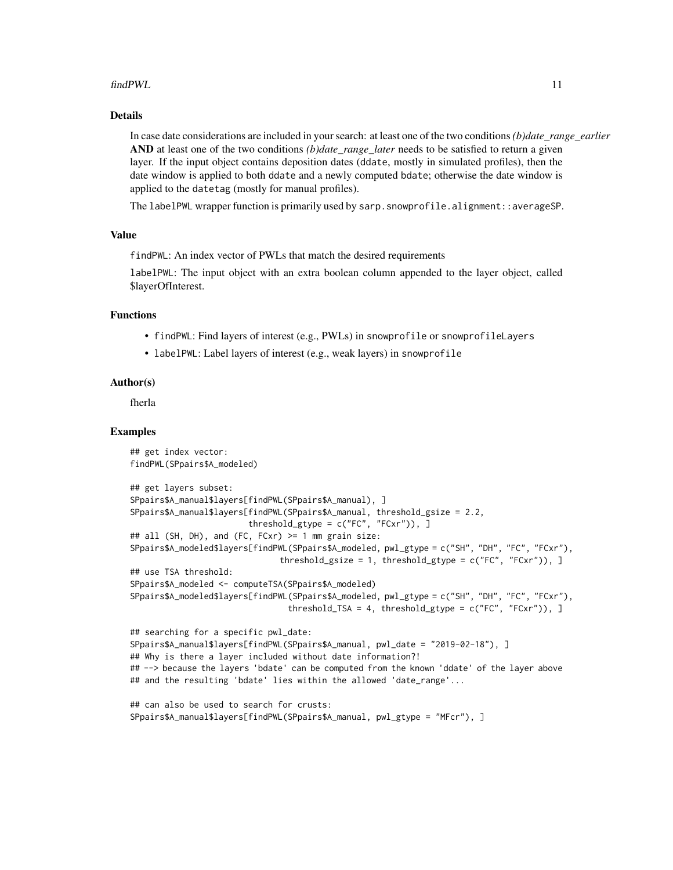#### findPWL 11

## Details

In case date considerations are included in your search: at least one of the two conditions *(b)date\_range\_earlier* AND at least one of the two conditions *(b)date\_range\_later* needs to be satisfied to return a given layer. If the input object contains deposition dates (ddate, mostly in simulated profiles), then the date window is applied to both ddate and a newly computed bdate; otherwise the date window is applied to the datetag (mostly for manual profiles).

The labelPWL wrapper function is primarily used by sarp.snowprofile.alignment::averageSP.

## Value

findPWL: An index vector of PWLs that match the desired requirements

labelPWL: The input object with an extra boolean column appended to the layer object, called \$layerOfInterest.

## Functions

- findPWL: Find layers of interest (e.g., PWLs) in snowprofile or snowprofileLayers
- labelPWL: Label layers of interest (e.g., weak layers) in snowprofile

#### Author(s)

fherla

```
## get index vector:
findPWL(SPpairs$A_modeled)
## get layers subset:
SPpairs$A_manual$layers[findPWL(SPpairs$A_manual), ]
SPpairs$A_manual$layers[findPWL(SPpairs$A_manual, threshold_gsize = 2.2,
                        threshold_gtype = c("FC", "FCxr")), ]
## all (SH, DH), and (FC, FCxr) >= 1 mm grain size:
SPpairs$A_modeled$layers[findPWL(SPpairs$A_modeled, pwl_gtype = c("SH", "DH", "FC", "FCxr"),
                               threshold_gsize = 1, threshold_gtype = c("FC", "FCxr")), ]
## use TSA threshold:
SPpairs$A_modeled <- computeTSA(SPpairs$A_modeled)
SPpairs$A_modeled$layers[findPWL(SPpairs$A_modeled, pwl_gtype = c("SH", "DH", "FC", "FCxr"),
                                threshold_TSA = 4, threshold_gtype = c("FC", "FCxr")), ]
## searching for a specific pwl_date:
SPpairs$A_manual$layers[findPWL(SPpairs$A_manual, pwl_date = "2019-02-18"), ]
## Why is there a layer included without date information?!
## --> because the layers 'bdate' can be computed from the known 'ddate' of the layer above
## and the resulting 'bdate' lies within the allowed 'date_range'...
## can also be used to search for crusts:
```

```
SPpairs$A_manual$layers[findPWL(SPpairs$A_manual, pwl_gtype = "MFcr"), ]
```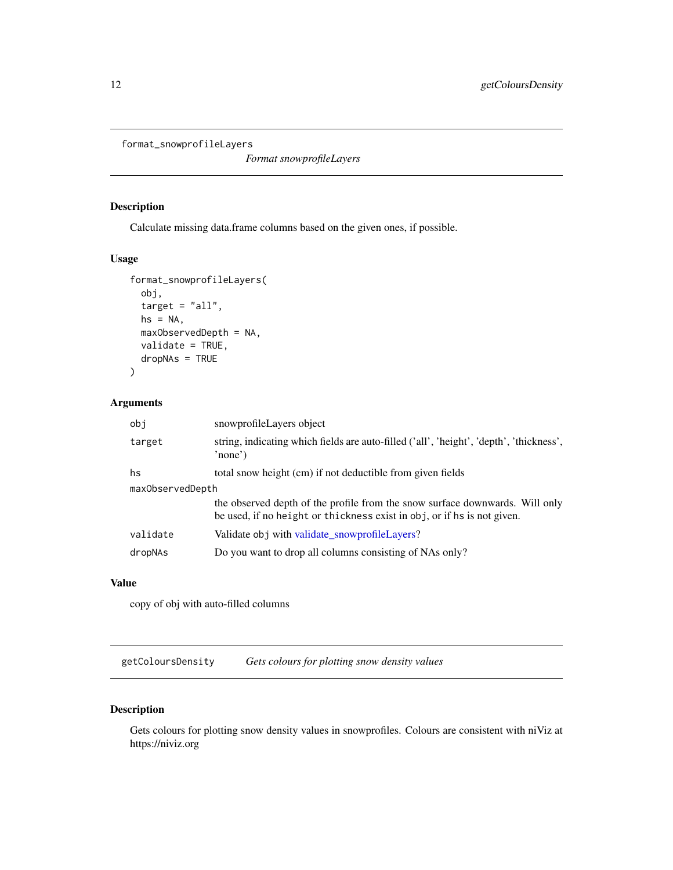```
format_snowprofileLayers
```
*Format snowprofileLayers*

## Description

Calculate missing data.frame columns based on the given ones, if possible.

#### Usage

```
format_snowprofileLayers(
 obj,
  target = "all",hs = NA,maxObservedDepth = NA,
 validate = TRUE,
 dropNAs = TRUE
)
```
## Arguments

| obi              | snowprofileLayers object                                                                                                                                |  |
|------------------|---------------------------------------------------------------------------------------------------------------------------------------------------------|--|
| target           | string, indicating which fields are auto-filled ('all', 'height', 'depth', 'thickness',<br>'none')                                                      |  |
| hs               | total snow height (cm) if not deductible from given fields                                                                                              |  |
| maxObservedDepth |                                                                                                                                                         |  |
|                  | the observed depth of the profile from the snow surface downwards. Will only<br>be used, if no height or thickness exist in obj, or if hs is not given. |  |
| validate         | Validate obj with validate snowprofileLayers?                                                                                                           |  |
| dropNAs          | Do you want to drop all columns consisting of NAs only?                                                                                                 |  |

#### Value

copy of obj with auto-filled columns

<span id="page-11-1"></span>getColoursDensity *Gets colours for plotting snow density values*

## Description

Gets colours for plotting snow density values in snowprofiles. Colours are consistent with niViz at https://niviz.org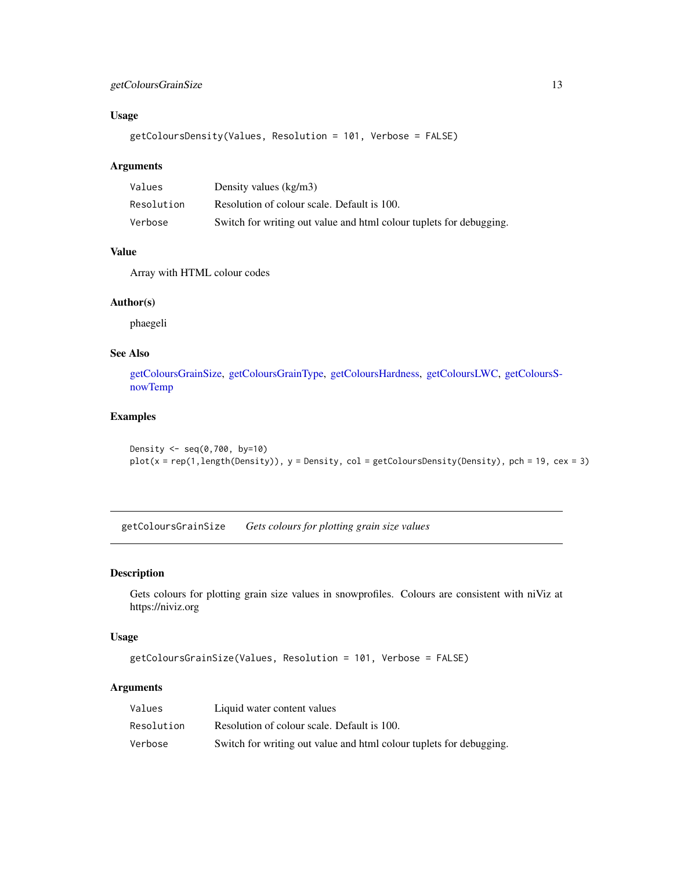## <span id="page-12-0"></span>getColoursGrainSize 13

## Usage

getColoursDensity(Values, Resolution = 101, Verbose = FALSE)

## Arguments

| Values     | Density values $(kg/m3)$                                            |
|------------|---------------------------------------------------------------------|
| Resolution | Resolution of colour scale. Default is 100.                         |
| Verbose    | Switch for writing out value and html colour tuplets for debugging. |

#### Value

Array with HTML colour codes

#### Author(s)

phaegeli

## See Also

[getColoursGrainSize,](#page-12-1) [getColoursGrainType,](#page-13-1) [getColoursHardness,](#page-14-1) [getColoursLWC,](#page-15-1) [getColoursS](#page-16-1)[nowTemp](#page-16-1)

## Examples

```
Density \leq seq(0,700, by=10)
plot(x = rep(1, length(Density)), y = Density, col = getColoursDensity(Density), pch = 19, cex = 3)
```
<span id="page-12-1"></span>getColoursGrainSize *Gets colours for plotting grain size values*

#### Description

Gets colours for plotting grain size values in snowprofiles. Colours are consistent with niViz at https://niviz.org

## Usage

```
getColoursGrainSize(Values, Resolution = 101, Verbose = FALSE)
```
## Arguments

| Values     | Liquid water content values                                         |
|------------|---------------------------------------------------------------------|
| Resolution | Resolution of colour scale. Default is 100.                         |
| Verbose    | Switch for writing out value and html colour tuplets for debugging. |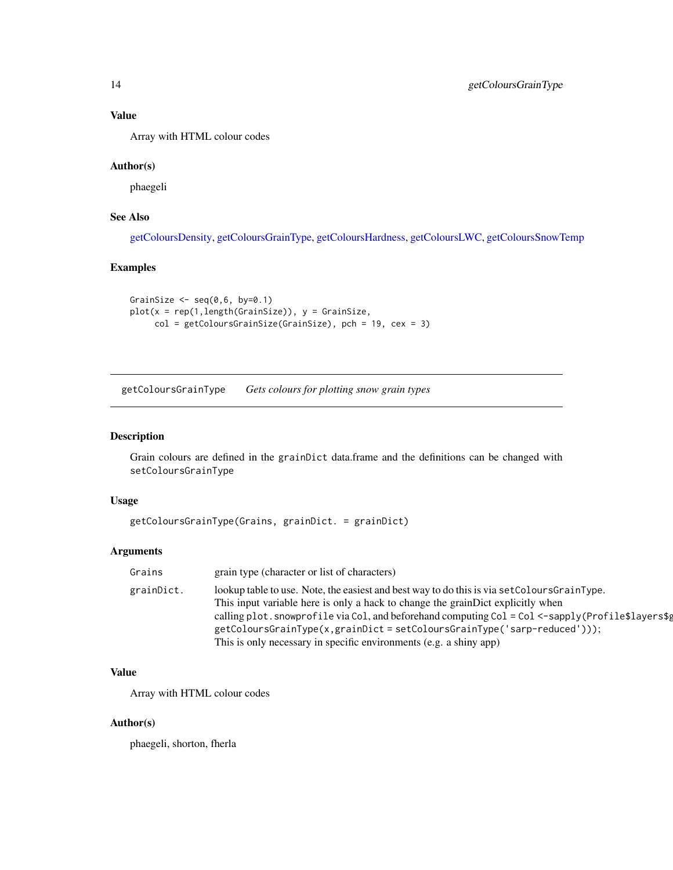## Value

Array with HTML colour codes

## Author(s)

phaegeli

## See Also

[getColoursDensity,](#page-11-1) [getColoursGrainType,](#page-13-1) [getColoursHardness,](#page-14-1) [getColoursLWC,](#page-15-1) [getColoursSnowTemp](#page-16-1)

## Examples

```
GrainSize \leq seq(0,6, by=0.1)
plot(x = rep(1,length(GrainSize)), y = GrainSize,
     col = getColoursGrainSize(GrainSize), pch = 19, cex = 3)
```
<span id="page-13-1"></span>getColoursGrainType *Gets colours for plotting snow grain types*

#### Description

Grain colours are defined in the grainDict data.frame and the definitions can be changed with setColoursGrainType

## Usage

```
getColoursGrainType(Grains, grainDict. = grainDict)
```
## Arguments

| Grains     | grain type (character or list of characters)                                                     |
|------------|--------------------------------------------------------------------------------------------------|
| grainDict. | lookup table to use. Note, the easiest and best way to do this is via set Colours Grain Type.    |
|            | This input variable here is only a hack to change the grainDict explicitly when                  |
|            | calling plot.snowprofile via Col, and beforehand computing Col = Col <-sapply(Profile\$layers\$g |
|            | getColoursGrainType(x,grainDict = setColoursGrainType('sarp-reduced')));                         |
|            | This is only necessary in specific environments (e.g. a shiny app)                               |

## Value

Array with HTML colour codes

## Author(s)

phaegeli, shorton, fherla

<span id="page-13-0"></span>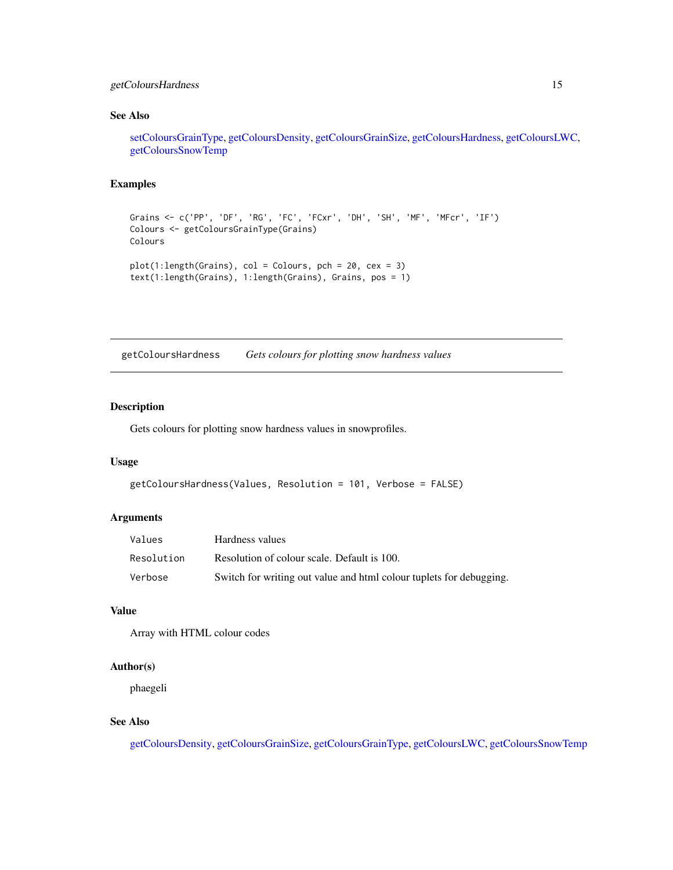## <span id="page-14-0"></span>getColoursHardness 15

## See Also

[setColoursGrainType,](#page-35-1) [getColoursDensity,](#page-11-1) [getColoursGrainSize,](#page-12-1) [getColoursHardness,](#page-14-1) [getColoursLWC,](#page-15-1) [getColoursSnowTemp](#page-16-1)

## Examples

```
Grains <- c('PP', 'DF', 'RG', 'FC', 'FCxr', 'DH', 'SH', 'MF', 'MFcr', 'IF')
Colours <- getColoursGrainType(Grains)
Colours
plot(1:length(Grains), col = Colours, pch = 20, cex = 3)
text(1:length(Grains), 1:length(Grains), Grains, pos = 1)
```
<span id="page-14-1"></span>getColoursHardness *Gets colours for plotting snow hardness values*

#### Description

Gets colours for plotting snow hardness values in snowprofiles.

#### Usage

```
getColoursHardness(Values, Resolution = 101, Verbose = FALSE)
```
## Arguments

| Values     | Hardness values                                                     |
|------------|---------------------------------------------------------------------|
| Resolution | Resolution of colour scale. Default is 100.                         |
| Verbose    | Switch for writing out value and html colour tuplets for debugging. |

## Value

Array with HTML colour codes

#### Author(s)

phaegeli

## See Also

[getColoursDensity,](#page-11-1) [getColoursGrainSize,](#page-12-1) [getColoursGrainType,](#page-13-1) [getColoursLWC,](#page-15-1) [getColoursSnowTemp](#page-16-1)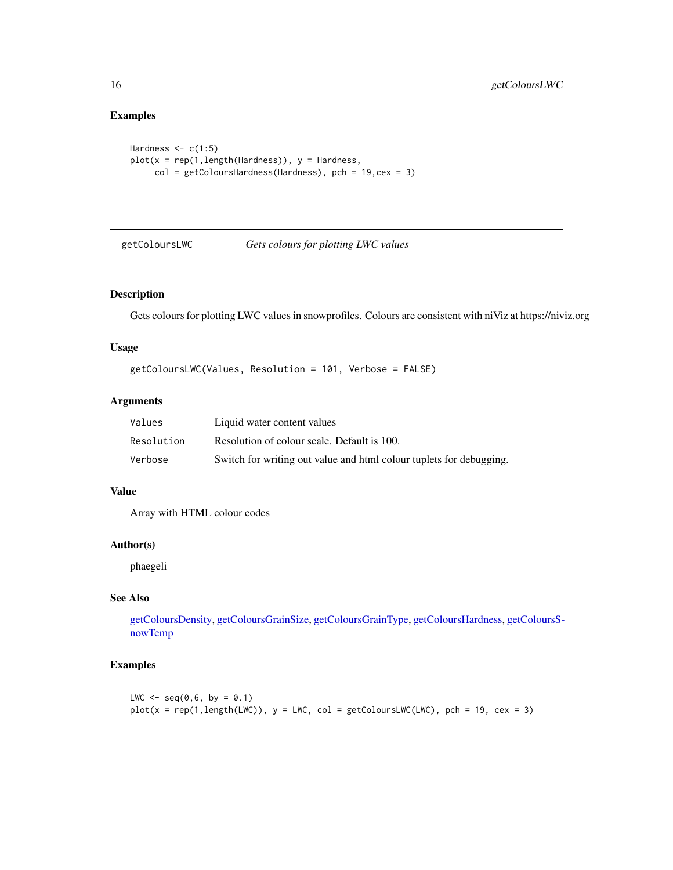## Examples

```
Hardness \leq c(1:5)plot(x = rep(1, length(Hardness)), y = Hardness,col = getColoursHardness(Hardness), pch = 19,cex = 3)
```
<span id="page-15-1"></span>getColoursLWC *Gets colours for plotting LWC values*

## Description

Gets colours for plotting LWC values in snowprofiles. Colours are consistent with niViz at https://niviz.org

#### Usage

getColoursLWC(Values, Resolution = 101, Verbose = FALSE)

## Arguments

| Values     | Liquid water content values                                         |
|------------|---------------------------------------------------------------------|
| Resolution | Resolution of colour scale. Default is 100.                         |
| Verbose    | Switch for writing out value and html colour tuplets for debugging. |

#### Value

Array with HTML colour codes

#### Author(s)

phaegeli

## See Also

[getColoursDensity,](#page-11-1) [getColoursGrainSize,](#page-12-1) [getColoursGrainType,](#page-13-1) [getColoursHardness,](#page-14-1) [getColoursS](#page-16-1)[nowTemp](#page-16-1)

```
LWC \leq -seq(0, 6, by = 0.1)plot(x = rep(1, length(LWC)), y = LWC, col = getColoursLWC(LWC), pch = 19, cex = 3)
```
<span id="page-15-0"></span>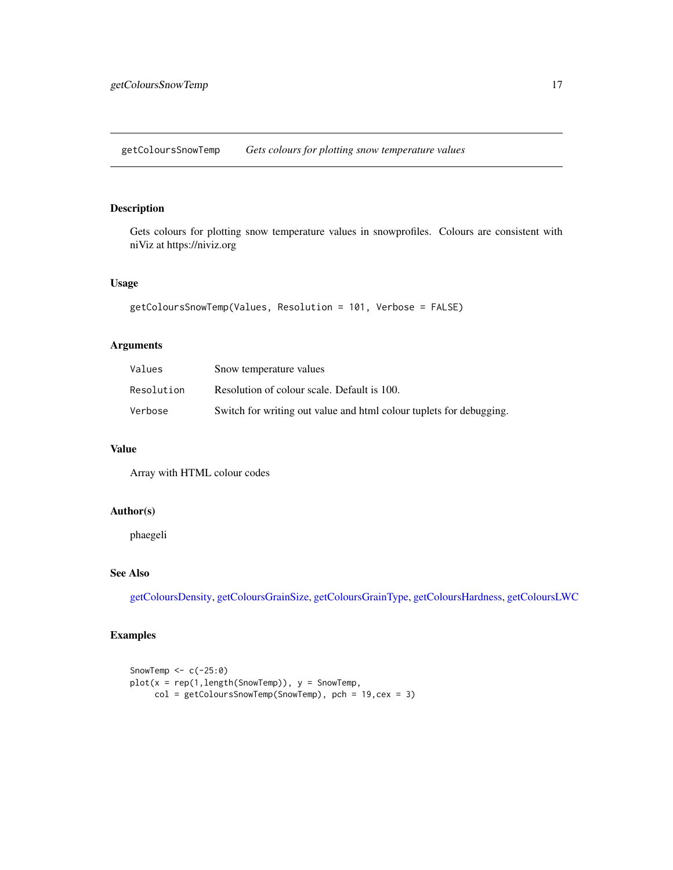<span id="page-16-1"></span><span id="page-16-0"></span>getColoursSnowTemp *Gets colours for plotting snow temperature values*

## Description

Gets colours for plotting snow temperature values in snowprofiles. Colours are consistent with niViz at https://niviz.org

#### Usage

```
getColoursSnowTemp(Values, Resolution = 101, Verbose = FALSE)
```
## Arguments

| Values     | Snow temperature values                                             |
|------------|---------------------------------------------------------------------|
| Resolution | Resolution of colour scale. Default is 100.                         |
| Verbose    | Switch for writing out value and html colour tuplets for debugging. |

#### Value

Array with HTML colour codes

#### Author(s)

phaegeli

## See Also

[getColoursDensity,](#page-11-1) [getColoursGrainSize,](#page-12-1) [getColoursGrainType,](#page-13-1) [getColoursHardness,](#page-14-1) [getColoursLWC](#page-15-1)

```
SnowTemp <-c(-25:0)plot(x = rep(1, length(SnowTemp)), y = SnowTemp,col = getColoursSnowTemp(SnowTemp), pch = 19,cex = 3)
```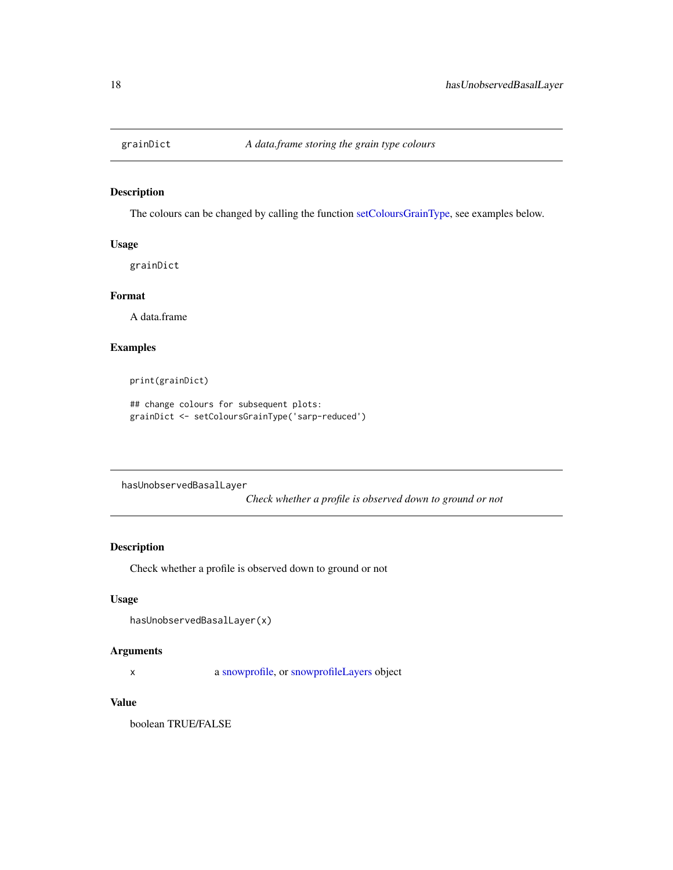<span id="page-17-1"></span><span id="page-17-0"></span>

The colours can be changed by calling the function [setColoursGrainType,](#page-35-1) see examples below.

#### Usage

grainDict

## Format

A data.frame

#### Examples

print(grainDict)

## change colours for subsequent plots: grainDict <- setColoursGrainType('sarp-reduced')

hasUnobservedBasalLayer

*Check whether a profile is observed down to ground or not*

#### Description

Check whether a profile is observed down to ground or not

#### Usage

```
hasUnobservedBasalLayer(x)
```
## Arguments

x a [snowprofile,](#page-37-1) or [snowprofileLayers](#page-45-1) object

## Value

boolean TRUE/FALSE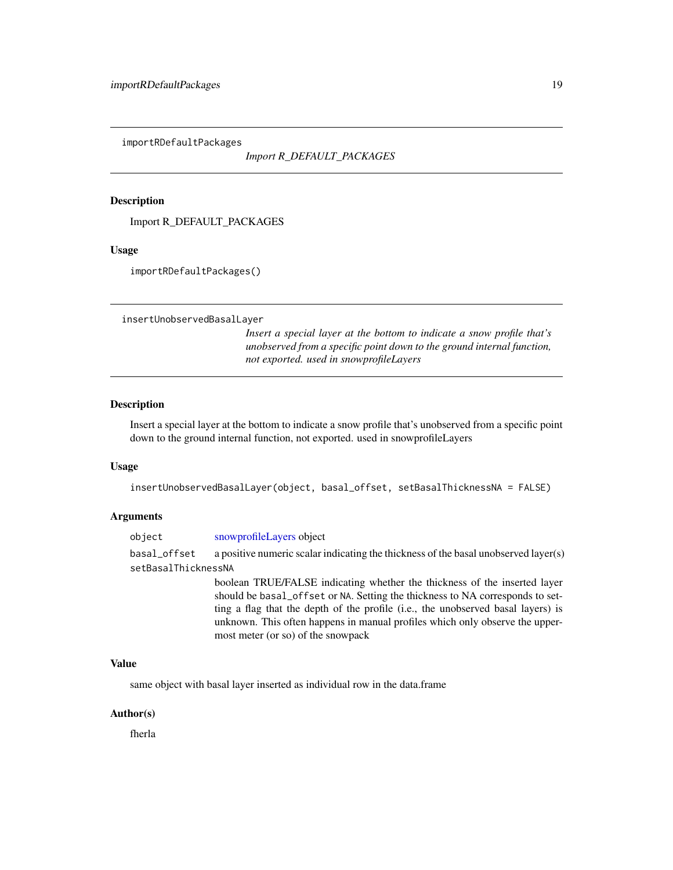<span id="page-18-0"></span>importRDefaultPackages

*Import R\_DEFAULT\_PACKAGES*

## Description

Import R\_DEFAULT\_PACKAGES

#### Usage

importRDefaultPackages()

insertUnobservedBasalLayer

*Insert a special layer at the bottom to indicate a snow profile that's unobserved from a specific point down to the ground internal function, not exported. used in snowprofileLayers*

## Description

Insert a special layer at the bottom to indicate a snow profile that's unobserved from a specific point down to the ground internal function, not exported. used in snowprofileLayers

#### Usage

```
insertUnobservedBasalLayer(object, basal_offset, setBasalThicknessNA = FALSE)
```
#### Arguments

| object              | snowprofileLayers object                                                            |  |
|---------------------|-------------------------------------------------------------------------------------|--|
| basal_offset        | a positive numeric scalar indicating the thickness of the basal unobserved layer(s) |  |
| setBasalThicknessNA |                                                                                     |  |
|                     | boolean TRUE/FALSE indicating whether the thickness of the inserted layer           |  |
|                     | should be basal_offset or NA. Setting the thickness to NA corresponds to set-       |  |
|                     | ting a flag that the depth of the profile (i.e., the unobserved basal layers) is    |  |

unknown. This often happens in manual profiles which only observe the upper-

Value

same object with basal layer inserted as individual row in the data.frame

most meter (or so) of the snowpack

#### Author(s)

fherla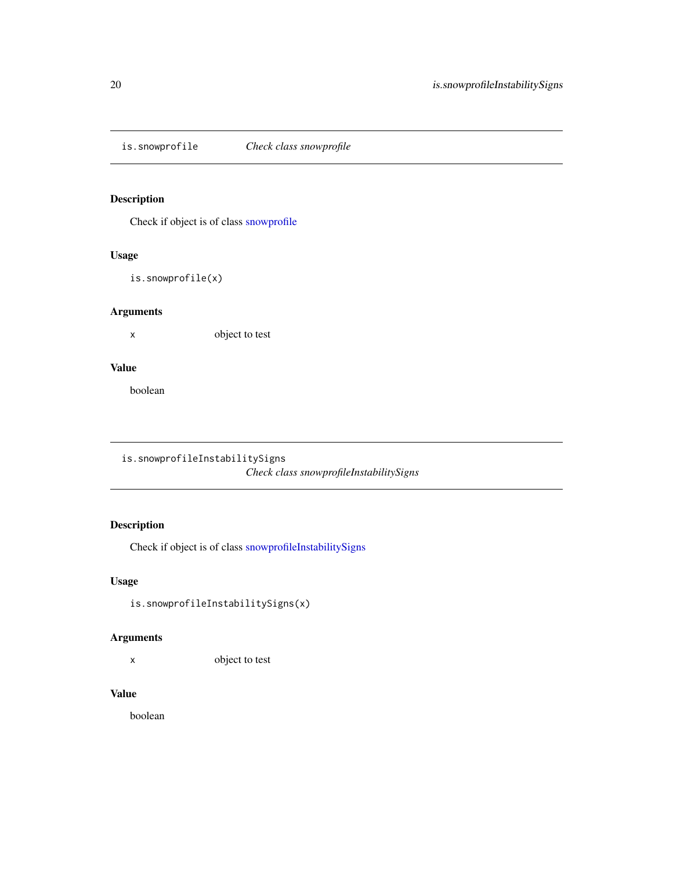<span id="page-19-0"></span>is.snowprofile *Check class snowprofile*

## Description

Check if object is of class [snowprofile](#page-37-1)

## Usage

is.snowprofile(x)

## Arguments

x object to test

#### Value

boolean

```
is.snowprofileInstabilitySigns
```
*Check class snowprofileInstabilitySigns*

## Description

Check if object is of class [snowprofileInstabilitySigns](#page-44-1)

## Usage

```
is.snowprofileInstabilitySigns(x)
```
## Arguments

x object to test

## Value

boolean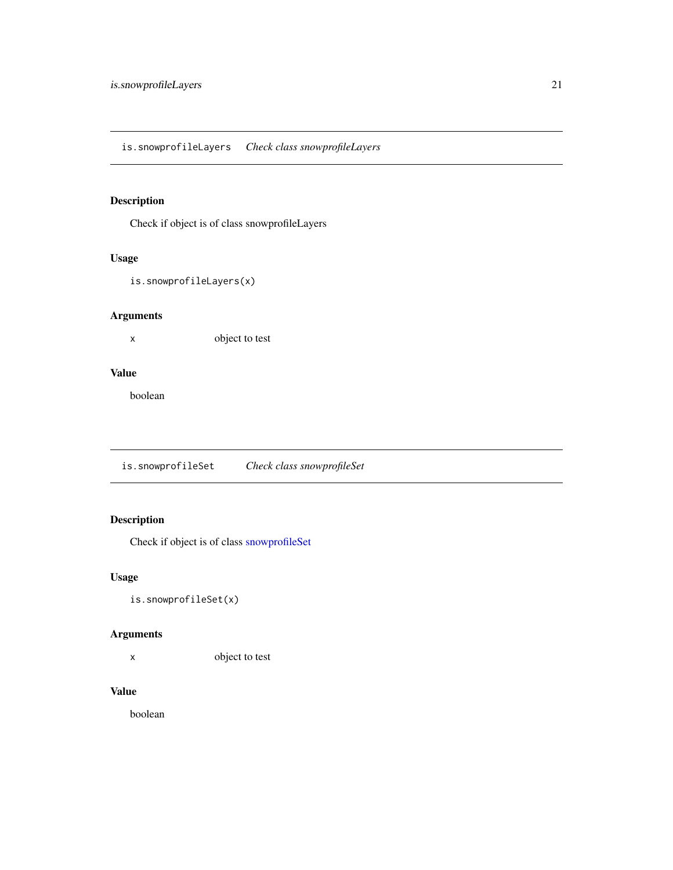<span id="page-20-0"></span>Check if object is of class snowprofileLayers

## Usage

is.snowprofileLayers(x)

## Arguments

x object to test

## Value

boolean

is.snowprofileSet *Check class snowprofileSet*

## Description

Check if object is of class [snowprofileSet](#page-52-1)

## Usage

is.snowprofileSet(x)

## Arguments

x object to test

## Value

boolean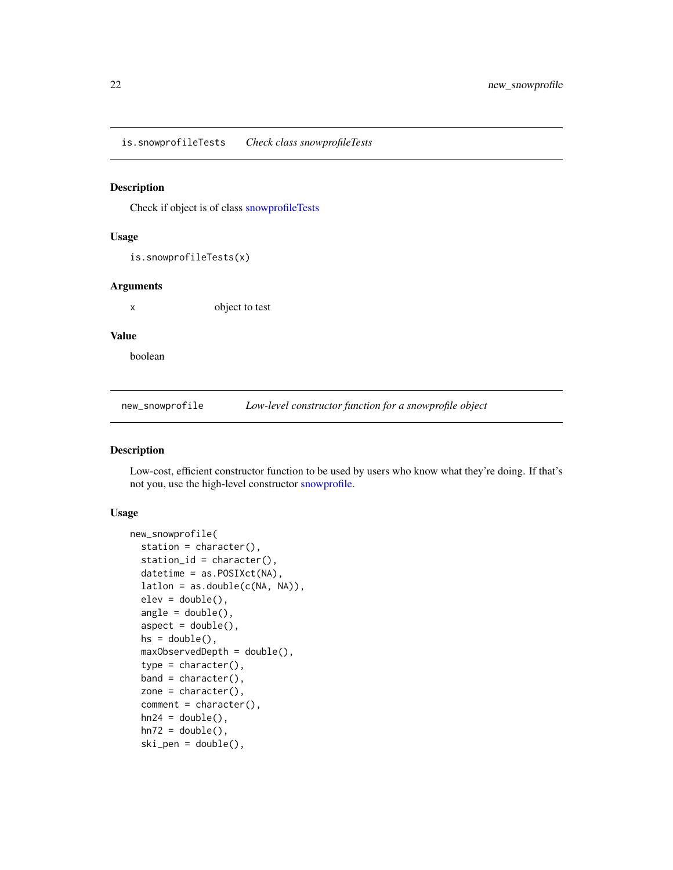<span id="page-21-0"></span>is.snowprofileTests *Check class snowprofileTests*

## Description

Check if object is of class [snowprofileTests](#page-53-1)

#### Usage

is.snowprofileTests(x)

#### Arguments

x object to test

#### Value

boolean

<span id="page-21-1"></span>new\_snowprofile *Low-level constructor function for a snowprofile object*

## Description

Low-cost, efficient constructor function to be used by users who know what they're doing. If that's not you, use the high-level constructor [snowprofile.](#page-37-1)

## Usage

```
new_snowprofile(
  station = character(),
 station_id = character(),
 datetime = as.POSIXct(NA),
  lation = as.double(c(NA, NA)),elev = double(),angle = double(),aspect = double(),hs = double(),maxObservedDepth = double(),
  type = character(),
 band = character(),
 zone = character(),
  comment = character(),
 hn24 = double(),hn72 = double(),ski_pen = double(),
```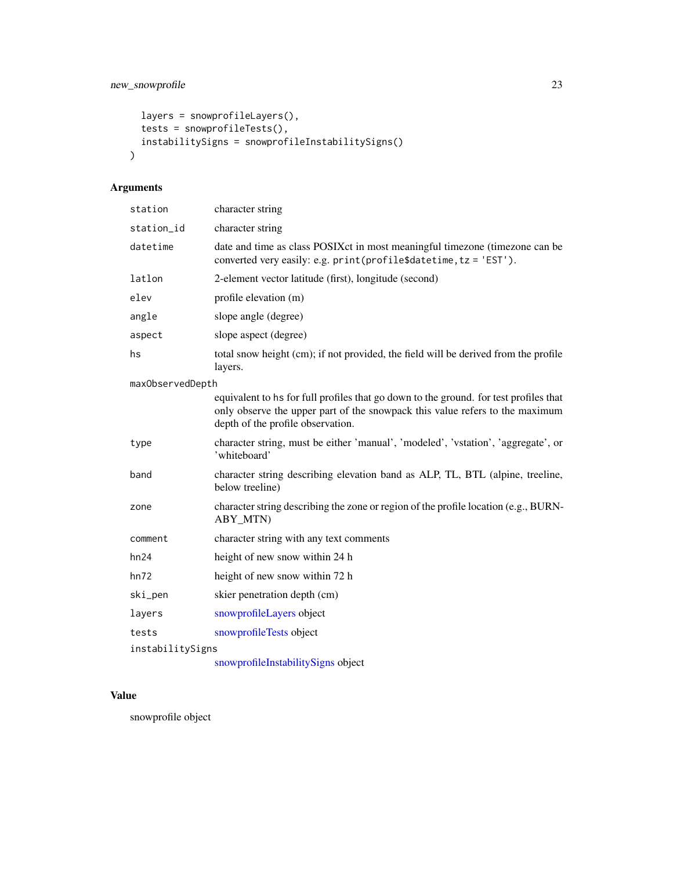```
layers = snowprofileLayers(),
 tests = snowprofileTests(),
 instabilitySigns = snowprofileInstabilitySigns()
\mathcal{L}
```
## Arguments

| station          | character string                                                                                                                                                                                           |  |
|------------------|------------------------------------------------------------------------------------------------------------------------------------------------------------------------------------------------------------|--|
| station_id       | character string                                                                                                                                                                                           |  |
| datetime         | date and time as class POSIXct in most meaningful timezone (timezone can be<br>converted very easily: e.g. print(profile\$datetime, tz = 'EST').                                                           |  |
| latlon           | 2-element vector latitude (first), longitude (second)                                                                                                                                                      |  |
| elev             | profile elevation (m)                                                                                                                                                                                      |  |
| angle            | slope angle (degree)                                                                                                                                                                                       |  |
| aspect           | slope aspect (degree)                                                                                                                                                                                      |  |
| hs               | total snow height (cm); if not provided, the field will be derived from the profile<br>layers.                                                                                                             |  |
| maxObservedDepth |                                                                                                                                                                                                            |  |
|                  | equivalent to hs for full profiles that go down to the ground. for test profiles that<br>only observe the upper part of the snowpack this value refers to the maximum<br>depth of the profile observation. |  |
| type             | character string, must be either 'manual', 'modeled', 'vstation', 'aggregate', or<br>'whiteboard'                                                                                                          |  |
| band             | character string describing elevation band as ALP, TL, BTL (alpine, treeline,<br>below treeline)                                                                                                           |  |
| zone             | character string describing the zone or region of the profile location (e.g., BURN-<br>ABY MTN)                                                                                                            |  |
| comment          | character string with any text comments                                                                                                                                                                    |  |
| hn24             | height of new snow within 24 h                                                                                                                                                                             |  |
| hn72             | height of new snow within 72 h                                                                                                                                                                             |  |
| ski_pen          | skier penetration depth (cm)                                                                                                                                                                               |  |
| layers           | snowprofileLayers object                                                                                                                                                                                   |  |
| tests            | snowprofileTests object                                                                                                                                                                                    |  |
| instabilitySigns |                                                                                                                                                                                                            |  |
|                  | snowprofileInstabilitySigns object                                                                                                                                                                         |  |

## Value

snowprofile object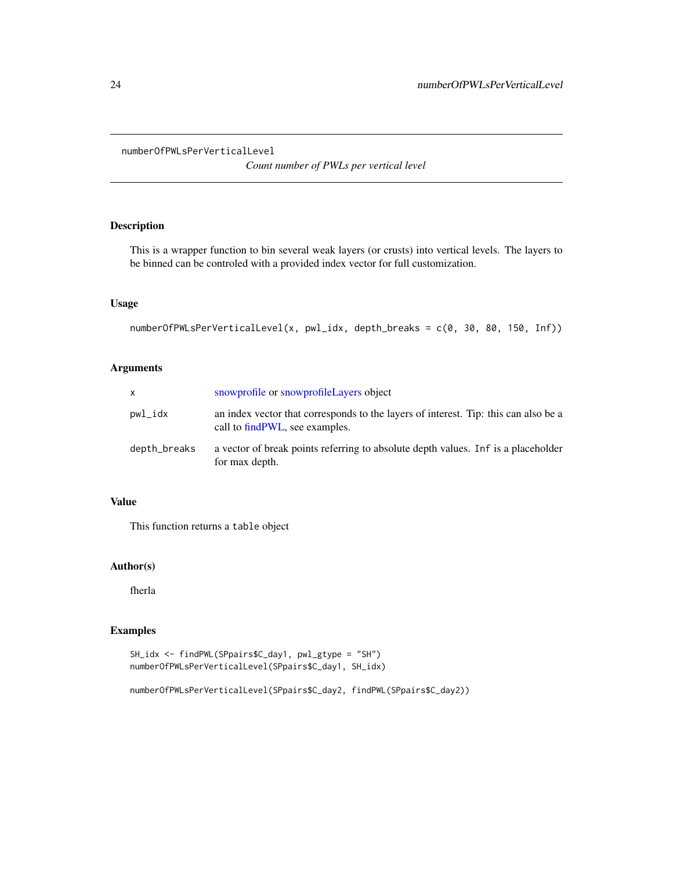<span id="page-23-0"></span>numberOfPWLsPerVerticalLevel

*Count number of PWLs per vertical level*

#### Description

This is a wrapper function to bin several weak layers (or crusts) into vertical levels. The layers to be binned can be controled with a provided index vector for full customization.

## Usage

```
numberOfPWLsPerVerticalLevel(x, pwl_idx, depth_breaks = c(0, 30, 80, 150, Inf))
```
## Arguments

| X            | snowprofile or snowprofile Layers object                                                                               |
|--------------|------------------------------------------------------------------------------------------------------------------------|
| pwl_idx      | an index vector that corresponds to the layers of interest. Tip: this can also be a<br>call to find PWL, see examples. |
| depth_breaks | a vector of break points referring to absolute depth values. In f is a placeholder<br>for max depth.                   |

## Value

This function returns a table object

## Author(s)

fherla

## Examples

```
SH_idx <- findPWL(SPpairs$C_day1, pwl_gtype = "SH")
numberOfPWLsPerVerticalLevel(SPpairs$C_day1, SH_idx)
```
numberOfPWLsPerVerticalLevel(SPpairs\$C\_day2, findPWL(SPpairs\$C\_day2))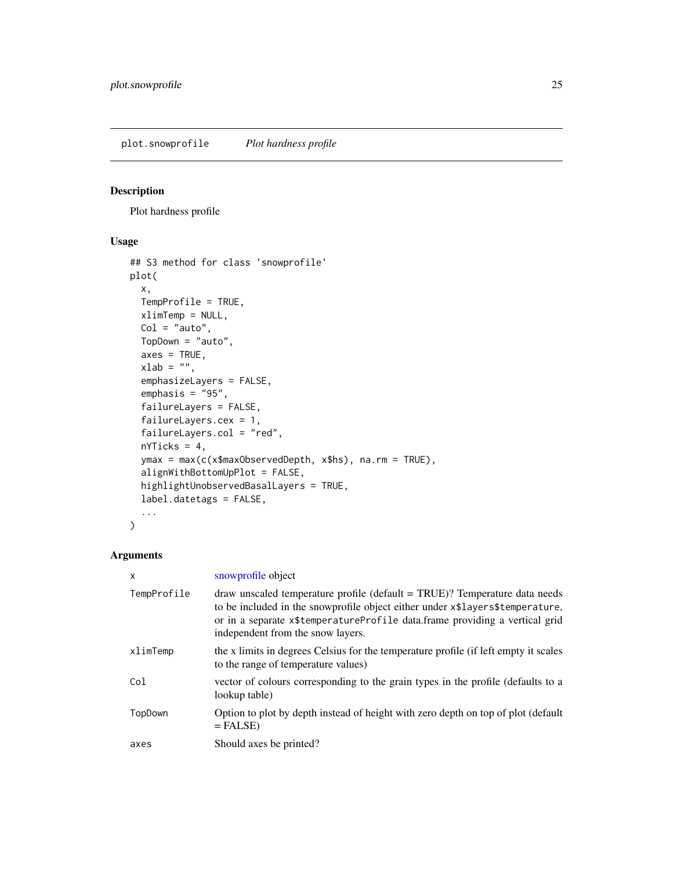<span id="page-24-1"></span><span id="page-24-0"></span>plot.snowprofile *Plot hardness profile*

## Description

Plot hardness profile

## Usage

```
## S3 method for class 'snowprofile'
plot(
 x,
 TempProfile = TRUE,
 xlimTemp = NULL,
 Col = "auto",TopDown = "auto",
  axes = TRUE,xlab = "",
  emphasizeLayers = FALSE,
  emphasis = "95",
  failureLayers = FALSE,
 failureLayers.cex = 1,
  failureLayers.col = "red",
 nYTicks = 4,
 ymax = max(c(x$maxObservedDepth, x$hs), na.rm = TRUE),
  alignWithBottomUpPlot = FALSE,
 highlightUnobservedBasalLayers = TRUE,
 label.datetags = FALSE,
  ...
)
```
## Arguments

| X           | snowprofile object                                                                                                                                                                                                                                                              |
|-------------|---------------------------------------------------------------------------------------------------------------------------------------------------------------------------------------------------------------------------------------------------------------------------------|
| TempProfile | draw unscaled temperature profile (default = TRUE)? Temperature data needs<br>to be included in the snowprofile object either under x\$layers\$temperature,<br>or in a separate x\$temperatureProfile data.frame providing a vertical grid<br>independent from the snow layers. |
| xlimTemp    | the x limits in degrees Celsius for the temperature profile (if left empty it scales<br>to the range of temperature values)                                                                                                                                                     |
| Col         | vector of colours corresponding to the grain types in the profile (defaults to a<br>lookup table)                                                                                                                                                                               |
| TopDown     | Option to plot by depth instead of height with zero depth on top of plot (default<br>$=$ FALSE)                                                                                                                                                                                 |
| axes        | Should axes be printed?                                                                                                                                                                                                                                                         |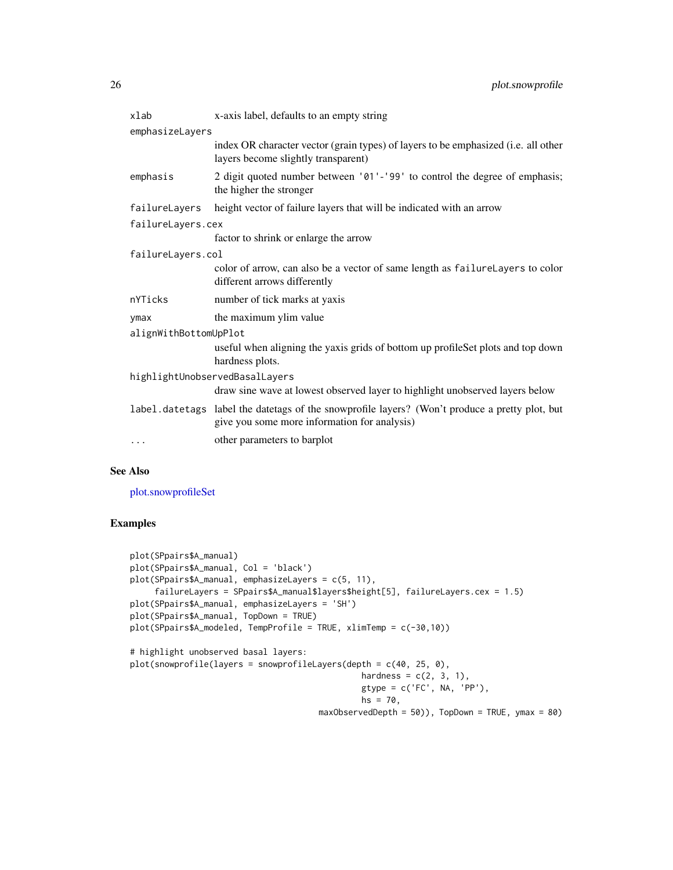<span id="page-25-0"></span>

| xlab                           | x-axis label, defaults to an empty string                                                                                                      |  |
|--------------------------------|------------------------------------------------------------------------------------------------------------------------------------------------|--|
| emphasizeLayers                |                                                                                                                                                |  |
|                                | index OR character vector (grain types) of layers to be emphasized (i.e. all other<br>layers become slightly transparent)                      |  |
| emphasis                       | 2 digit quoted number between '01'-'99' to control the degree of emphasis;<br>the higher the stronger                                          |  |
| failureLayers                  | height vector of failure layers that will be indicated with an arrow                                                                           |  |
| failureLayers.cex              |                                                                                                                                                |  |
|                                | factor to shrink or enlarge the arrow                                                                                                          |  |
| failureLayers.col              |                                                                                                                                                |  |
|                                | color of arrow, can also be a vector of same length as failureLayers to color<br>different arrows differently                                  |  |
| nYTicks                        | number of tick marks at yaxis                                                                                                                  |  |
| ymax                           | the maximum ylim value                                                                                                                         |  |
| alignWithBottomUpPlot          |                                                                                                                                                |  |
|                                | useful when aligning the yaxis grids of bottom up profileSet plots and top down<br>hardness plots.                                             |  |
| highlightUnobservedBasalLayers |                                                                                                                                                |  |
|                                | draw sine wave at lowest observed layer to highlight unobserved layers below                                                                   |  |
|                                | label.datetags label the datetags of the snowprofile layers? (Won't produce a pretty plot, but<br>give you some more information for analysis) |  |
| $\cdots$                       | other parameters to barplot                                                                                                                    |  |

## See Also

[plot.snowprofileSet](#page-26-1)

```
plot(SPpairs$A_manual)
plot(SPpairs$A_manual, Col = 'black')
plot(SPpairs$A_manual, emphasizeLayers = c(5, 11),
     failureLayers = SPpairs$A_manual$layers$height[5], failureLayers.cex = 1.5)
plot(SPpairs$A_manual, emphasizeLayers = 'SH')
plot(SPpairs$A_manual, TopDown = TRUE)
plot(SPpairs$A_modeled, TempProfile = TRUE, xlimTemp = c(-30,10))
# highlight unobserved basal layers:
plot(snowprofile(layers = snowprofileLayers(depth = c(40, 25, 0),
                                               hardness = c(2, 3, 1),
                                               gtype = c('FC', NA, 'PP'),
                                               hs = 70,maxObservedDepth = 50)), TopDown = TRUE, ymax = 80)
```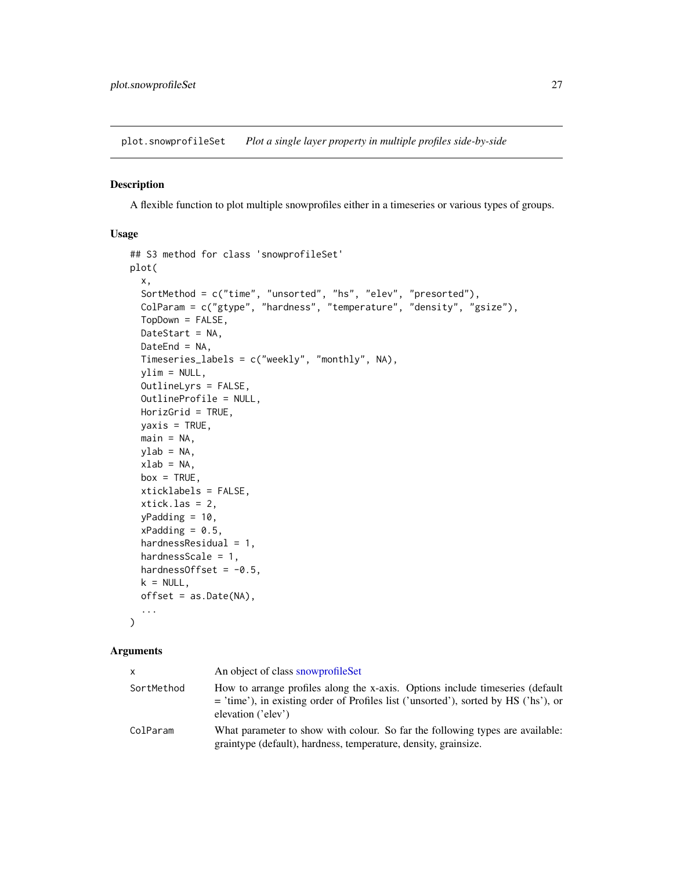<span id="page-26-1"></span><span id="page-26-0"></span>plot.snowprofileSet *Plot a single layer property in multiple profiles side-by-side*

#### Description

A flexible function to plot multiple snowprofiles either in a timeseries or various types of groups.

#### Usage

```
## S3 method for class 'snowprofileSet'
plot(
  x,
  SortMethod = c("time", "unsorted", "hs", "elev", "presorted"),
 ColParam = c("gtype", "hardness", "temperature", "density", "gsize"),
  TopDown = FALSE,
 DateStart = NA,
 DateEnd = NA,
  Timeseries_labels = c("weekly", "monthly", NA),
  ylim = NULL,
  OutlineLyrs = FALSE,
  OutlineProfile = NULL,
 HorizGrid = TRUE,
 yaxis = TRUE,main = NA,
 ylab = NA,
  xlab = NA,
 box = TRUE,xticklabels = FALSE,
  xtick.las = 2,
  yPadding = 10,
  xPadding = 0.5,
  hardnessResidual = 1,
  hardnessScale = 1,
  hardnessOffset = -0.5,
  k = NULL,offset = as.Date(NA),
  ...
\mathcal{L}
```
#### Arguments

| x          | An object of class snowprofile Set                                                                                                                                                           |
|------------|----------------------------------------------------------------------------------------------------------------------------------------------------------------------------------------------|
| SortMethod | How to arrange profiles along the x-axis. Options include timeseries (default<br>$=$ 'time'), in existing order of Profiles list ('unsorted'), sorted by HS ('hs'), or<br>elevation ('elev') |
| ColParam   | What parameter to show with colour. So far the following types are available:<br>graintype (default), hardness, temperature, density, grainsize.                                             |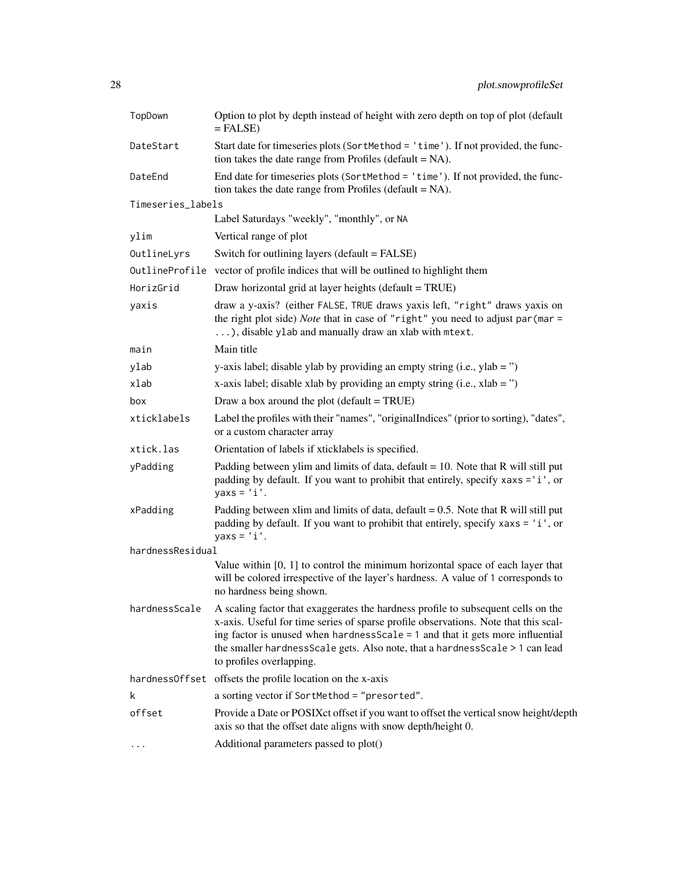| TopDown           | Option to plot by depth instead of height with zero depth on top of plot (default<br>$=$ FALSE)                                                                                                                                                                                                                                                                          |  |
|-------------------|--------------------------------------------------------------------------------------------------------------------------------------------------------------------------------------------------------------------------------------------------------------------------------------------------------------------------------------------------------------------------|--|
| DateStart         | Start date for timeseries plots (SortMethod = 'time'). If not provided, the func-<br>tion takes the date range from Profiles (default $= NA$ ).                                                                                                                                                                                                                          |  |
| DateEnd           | End date for timeseries plots (SortMethod = 'time'). If not provided, the func-<br>tion takes the date range from Profiles ( $default = NA$ ).                                                                                                                                                                                                                           |  |
| Timeseries_labels |                                                                                                                                                                                                                                                                                                                                                                          |  |
|                   | Label Saturdays "weekly", "monthly", or NA                                                                                                                                                                                                                                                                                                                               |  |
| ylim              | Vertical range of plot                                                                                                                                                                                                                                                                                                                                                   |  |
| OutlineLyrs       | Switch for outlining layers (default = FALSE)                                                                                                                                                                                                                                                                                                                            |  |
|                   | OutlineProfile vector of profile indices that will be outlined to highlight them                                                                                                                                                                                                                                                                                         |  |
| HorizGrid         | Draw horizontal grid at layer heights (default = TRUE)                                                                                                                                                                                                                                                                                                                   |  |
| yaxis             | draw a y-axis? (either FALSE, TRUE draws yaxis left, "right" draws yaxis on<br>the right plot side) Note that in case of "right" you need to adjust par (mar =<br>), disable ylab and manually draw an xlab with mtext.                                                                                                                                                  |  |
| main              | Main title                                                                                                                                                                                                                                                                                                                                                               |  |
| ylab              | y-axis label; disable ylab by providing an empty string (i.e., ylab = $\degree$ )                                                                                                                                                                                                                                                                                        |  |
| xlab              | x-axis label; disable xlab by providing an empty string (i.e., $x$ lab = ")                                                                                                                                                                                                                                                                                              |  |
| box               | Draw a box around the plot (default $=$ TRUE)                                                                                                                                                                                                                                                                                                                            |  |
| xticklabels       | Label the profiles with their "names", "originalIndices" (prior to sorting), "dates",<br>or a custom character array                                                                                                                                                                                                                                                     |  |
| xtick.las         | Orientation of labels if xticklabels is specified.                                                                                                                                                                                                                                                                                                                       |  |
| yPadding          | Padding between ylim and limits of data, $default = 10$ . Note that R will still put<br>padding by default. If you want to prohibit that entirely, specify xaxs = 'i', or<br>$yaxs = 'i'.$                                                                                                                                                                               |  |
| xPadding          | Padding between xlim and limits of data, $\text{default} = 0.5$ . Note that R will still put<br>padding by default. If you want to prohibit that entirely, specify xaxs = 'i', or<br>$y$ axs = $'i'.$                                                                                                                                                                    |  |
| hardnessResidual  |                                                                                                                                                                                                                                                                                                                                                                          |  |
|                   | Value within $[0, 1]$ to control the minimum horizontal space of each layer that<br>will be colored irrespective of the layer's hardness. A value of 1 corresponds to<br>no hardness being shown.                                                                                                                                                                        |  |
| hardnessScale     | A scaling factor that exaggerates the hardness profile to subsequent cells on the<br>x-axis. Useful for time series of sparse profile observations. Note that this scal-<br>ing factor is unused when hardness Scale $= 1$ and that it gets more influential<br>the smaller hardnessScale gets. Also note, that a hardnessScale > 1 can lead<br>to profiles overlapping. |  |
| hardnessOffset    | offsets the profile location on the x-axis                                                                                                                                                                                                                                                                                                                               |  |
| k                 | a sorting vector if SortMethod = "presorted".                                                                                                                                                                                                                                                                                                                            |  |
| offset            | Provide a Date or POSIXct offset if you want to offset the vertical snow height/depth<br>axis so that the offset date aligns with snow depth/height 0.                                                                                                                                                                                                                   |  |
| .                 | Additional parameters passed to plot()                                                                                                                                                                                                                                                                                                                                   |  |
|                   |                                                                                                                                                                                                                                                                                                                                                                          |  |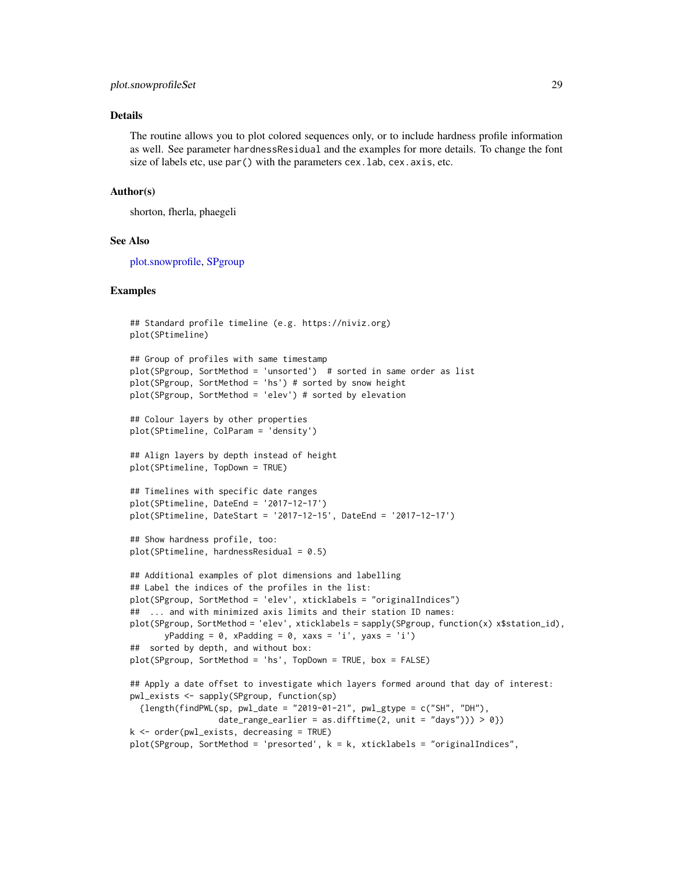#### <span id="page-28-0"></span>plot.snowprofileSet 29

## Details

The routine allows you to plot colored sequences only, or to include hardness profile information as well. See parameter hardnessResidual and the examples for more details. To change the font size of labels etc, use par() with the parameters cex. lab, cex. axis, etc.

#### Author(s)

shorton, fherla, phaegeli

## See Also

[plot.snowprofile,](#page-24-1) [SPgroup](#page-55-1)

```
## Standard profile timeline (e.g. https://niviz.org)
plot(SPtimeline)
## Group of profiles with same timestamp
plot(SPgroup, SortMethod = 'unsorted') # sorted in same order as list
plot(SPgroup, SortMethod = 'hs') # sorted by snow height
plot(SPgroup, SortMethod = 'elev') # sorted by elevation
## Colour layers by other properties
plot(SPtimeline, ColParam = 'density')
## Align layers by depth instead of height
plot(SPtimeline, TopDown = TRUE)
## Timelines with specific date ranges
plot(SPtimeline, DateEnd = '2017-12-17')
plot(SPtimeline, DateStart = '2017-12-15', DateEnd = '2017-12-17')
## Show hardness profile, too:
plot(SPtimeline, hardnessResidual = 0.5)## Additional examples of plot dimensions and labelling
## Label the indices of the profiles in the list:
plot(SPgroup, SortMethod = 'elev', xticklabels = "originalIndices")
## ... and with minimized axis limits and their station ID names:
plot(SPgroup, SortMethod = 'elev', xticklabels = sapply(SPgroup, function(x) x$station_id),
      yPadding = 0, xPadding = 0, xaxs = 'i', yaxs = 'i')
## sorted by depth, and without box:
plot(SPgroup, SortMethod = 'hs', TopDown = TRUE, box = FALSE)
## Apply a date offset to investigate which layers formed around that day of interest:
pwl_exists <- sapply(SPgroup, function(sp)
 {length(findPWL(sp, pwl_data = "2019-01-21", pwl_gtype = c("SH", "DH");}date_range_earlier = as.difftime(2, unit = "days"))) > 0})
k <- order(pwl_exists, decreasing = TRUE)
plot(SPgroup, SortMethod = 'presorted', k = k, xticklabels = "originalIndices",
```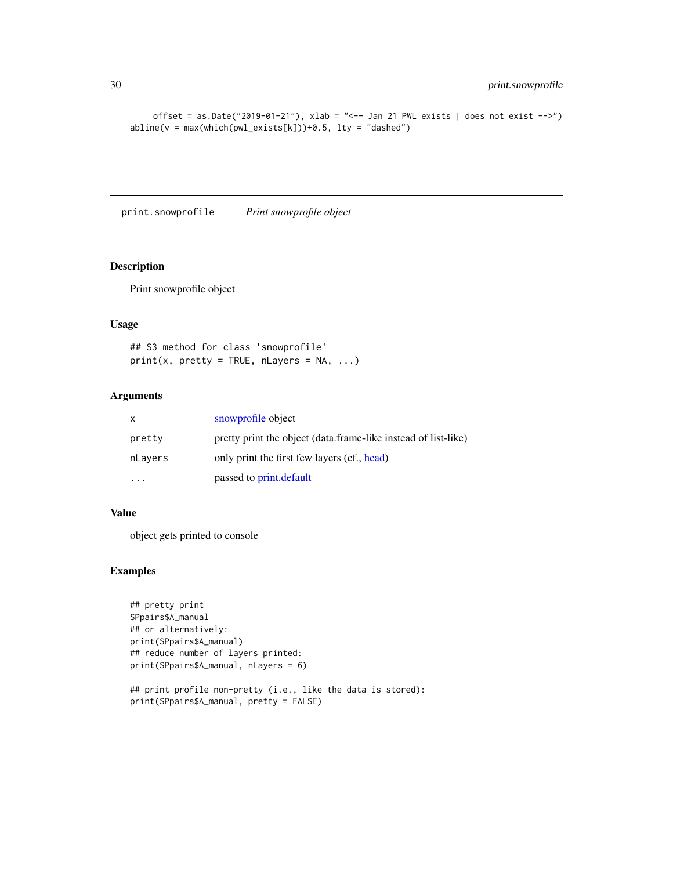```
offset = as.Date("2019-01-21"), xlab = "<-- Jan 21 PWL exists | does not exist -->")
abline(v = max(which(pwl_eexists[k]))+0.5, lty = "dashed")
```
print.snowprofile *Print snowprofile object*

## Description

Print snowprofile object

#### Usage

## S3 method for class 'snowprofile'  $print(x, pretty = TRUE, nLayers = NA, ...)$ 

## Arguments

| $\mathsf{X}$ | snowprofile object                                             |
|--------------|----------------------------------------------------------------|
| pretty       | pretty print the object (data.frame-like instead of list-like) |
| nLayers      | only print the first few layers (cf., head)                    |
|              | passed to print.default                                        |

#### Value

object gets printed to console

```
## pretty print
SPpairs$A_manual
## or alternatively:
print(SPpairs$A_manual)
## reduce number of layers printed:
print(SPpairs$A_manual, nLayers = 6)
```

```
## print profile non-pretty (i.e., like the data is stored):
print(SPpairs$A_manual, pretty = FALSE)
```
<span id="page-29-0"></span>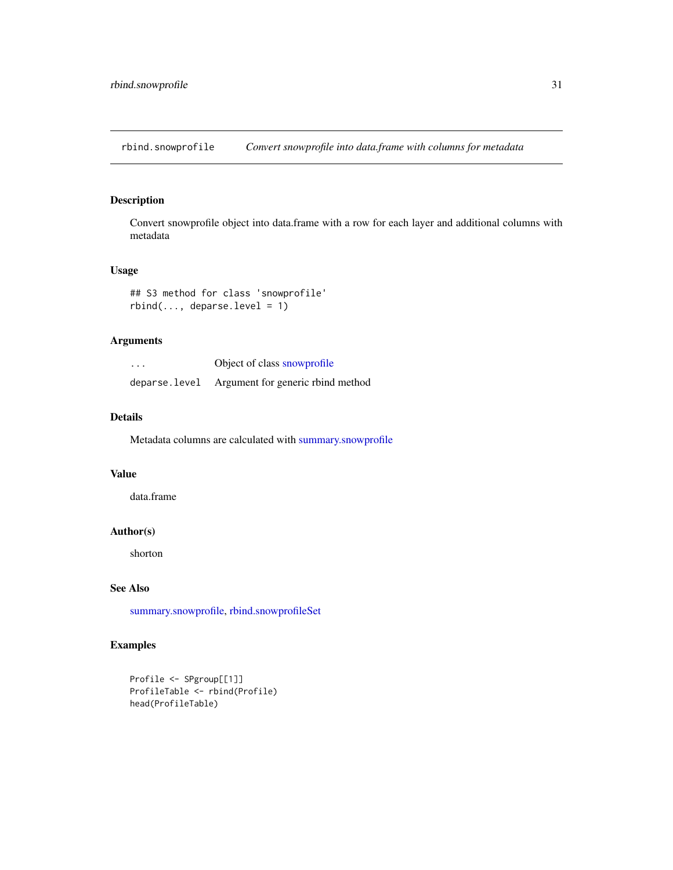<span id="page-30-1"></span><span id="page-30-0"></span>rbind.snowprofile *Convert snowprofile into data.frame with columns for metadata*

## Description

Convert snowprofile object into data.frame with a row for each layer and additional columns with metadata

## Usage

```
## S3 method for class 'snowprofile'
rbind(..., <i>deparse-level = 1</i>)
```
## Arguments

| $\cdots$ | Object of class snowprofile                      |
|----------|--------------------------------------------------|
|          | deparse. level Argument for generic rbind method |

#### Details

Metadata columns are calculated with [summary.snowprofile](#page-57-1)

## Value

data.frame

## Author(s)

shorton

## See Also

[summary.snowprofile,](#page-57-1) [rbind.snowprofileSet](#page-31-1)

```
Profile <- SPgroup[[1]]
ProfileTable <- rbind(Profile)
head(ProfileTable)
```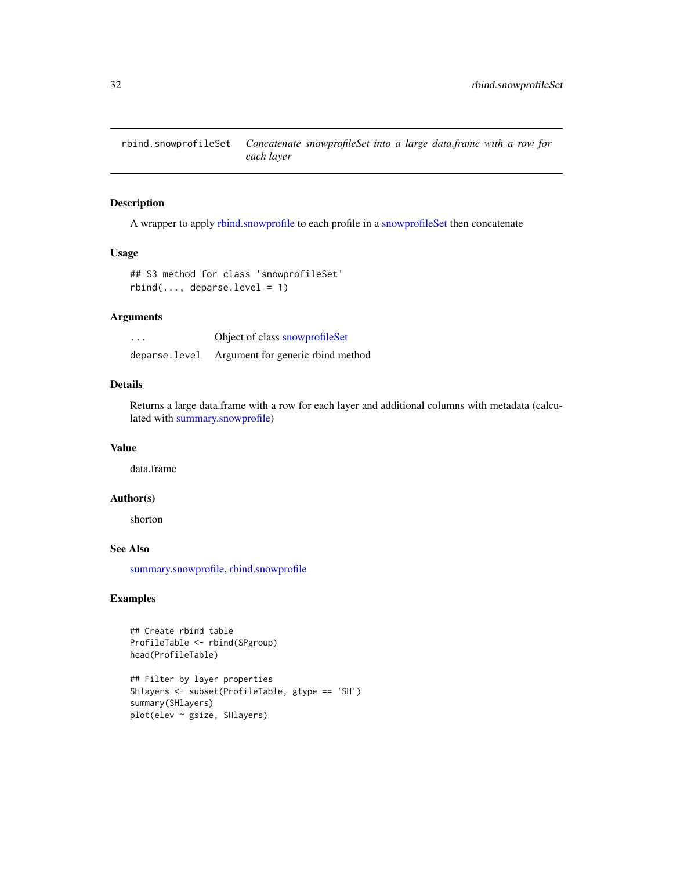<span id="page-31-1"></span><span id="page-31-0"></span>rbind.snowprofileSet *Concatenate snowprofileSet into a large data.frame with a row for each layer*

#### Description

A wrapper to apply [rbind.snowprofile](#page-30-1) to each profile in a [snowprofileSet](#page-52-1) then concatenate

## Usage

```
## S3 method for class 'snowprofileSet'
rbind(..., <i>deparse-level = 1</i>)
```
## Arguments

| $\cdots$      | Object of class snowprofileSet    |
|---------------|-----------------------------------|
| deparse.level | Argument for generic rbind method |

## Details

Returns a large data.frame with a row for each layer and additional columns with metadata (calculated with [summary.snowprofile\)](#page-57-1)

## Value

data.frame

#### Author(s)

shorton

## See Also

[summary.snowprofile,](#page-57-1) [rbind.snowprofile](#page-30-1)

```
## Create rbind table
ProfileTable <- rbind(SPgroup)
head(ProfileTable)
## Filter by layer properties
SHlayers <- subset(ProfileTable, gtype == 'SH')
summary(SHlayers)
plot(elev ~ gsize, SHlayers)
```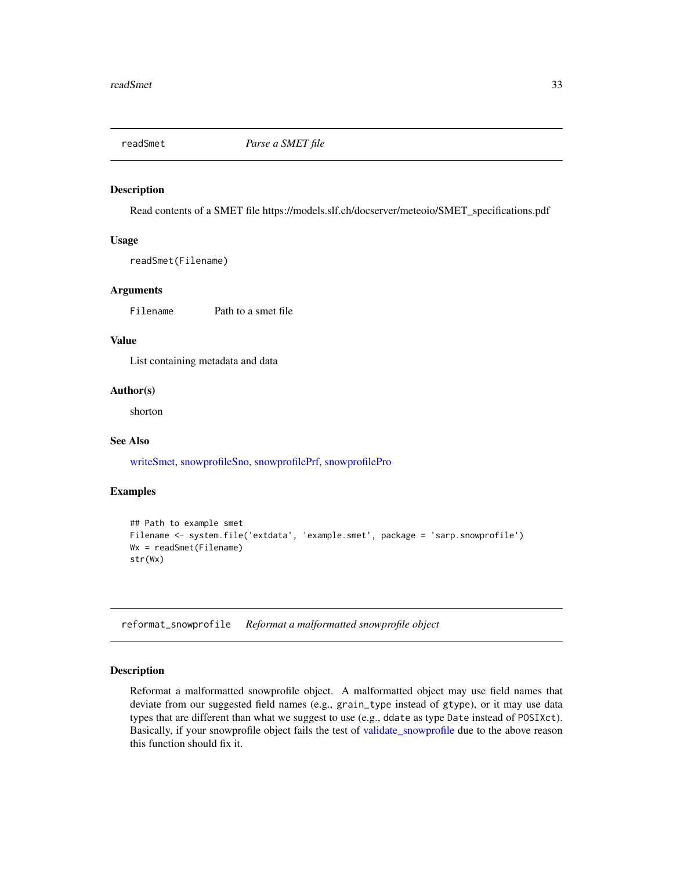<span id="page-32-2"></span><span id="page-32-0"></span>

Read contents of a SMET file https://models.slf.ch/docserver/meteoio/SMET\_specifications.pdf

#### Usage

readSmet(Filename)

## Arguments

Filename Path to a smet file

## Value

List containing metadata and data

#### Author(s)

shorton

## See Also

[writeSmet,](#page-61-1) [snowprofileSno,](#page-52-2) [snowprofilePrf,](#page-49-1) [snowprofilePro](#page-50-1)

#### Examples

```
## Path to example smet
Filename <- system.file('extdata', 'example.smet', package = 'sarp.snowprofile')
Wx = readSmet(Filename)
str(Wx)
```
<span id="page-32-1"></span>reformat\_snowprofile *Reformat a malformatted snowprofile object*

## Description

Reformat a malformatted snowprofile object. A malformatted object may use field names that deviate from our suggested field names (e.g., grain\_type instead of gtype), or it may use data types that are different than what we suggest to use (e.g., ddate as type Date instead of POSIXct). Basically, if your snowprofile object fails the test of [validate\\_snowprofile](#page-59-1) due to the above reason this function should fix it.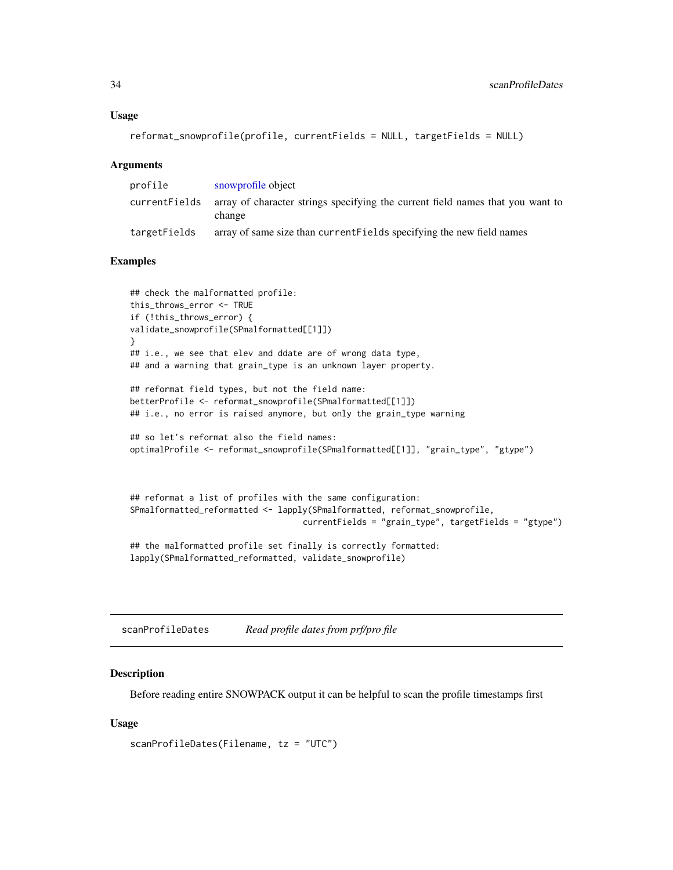```
reformat_snowprofile(profile, currentFields = NULL, targetFields = NULL)
```
#### **Arguments**

| profile      | snowprofile object                                                                                      |
|--------------|---------------------------------------------------------------------------------------------------------|
|              | current Fields array of character strings specifying the current field names that you want to<br>change |
| targetFields | array of same size than current Fields specifying the new field names                                   |

#### Examples

```
## check the malformatted profile:
this_throws_error <- TRUE
if (!this_throws_error) {
validate_snowprofile(SPmalformatted[[1]])
}
## i.e., we see that elev and ddate are of wrong data type,
## and a warning that grain_type is an unknown layer property.
## reformat field types, but not the field name:
betterProfile <- reformat_snowprofile(SPmalformatted[[1]])
## i.e., no error is raised anymore, but only the grain_type warning
## so let's reformat also the field names:
optimalProfile <- reformat_snowprofile(SPmalformatted[[1]], "grain_type", "gtype")
## reformat a list of profiles with the same configuration:
```

```
SPmalformatted_reformatted <- lapply(SPmalformatted, reformat_snowprofile,
                                   currentFields = "grain_type", targetFields = "gtype")
```
## the malformatted profile set finally is correctly formatted: lapply(SPmalformatted\_reformatted, validate\_snowprofile)

<span id="page-33-1"></span>scanProfileDates *Read profile dates from prf/pro file*

#### Description

Before reading entire SNOWPACK output it can be helpful to scan the profile timestamps first

#### Usage

```
scanProfileDates(Filename, tz = "UTC")
```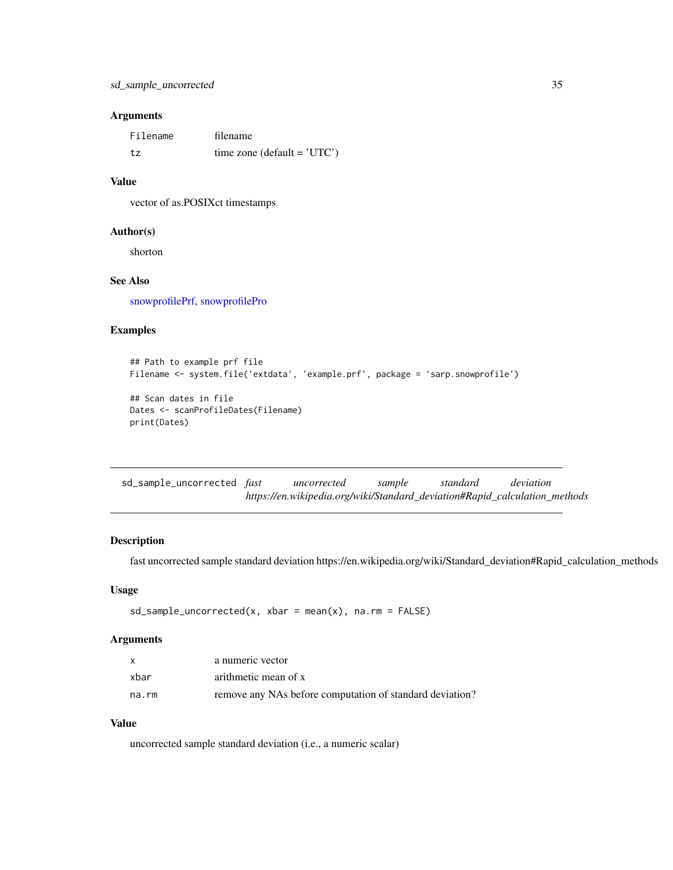## <span id="page-34-0"></span>Arguments

| Filename | filename                       |
|----------|--------------------------------|
| tz       | time zone (default = $'UTC'$ ) |

## Value

vector of as.POSIXct timestamps

## Author(s)

shorton

## See Also

[snowprofilePrf,](#page-49-1) [snowprofilePro](#page-50-1)

### Examples

```
## Path to example prf file
Filename <- system.file('extdata', 'example.prf', package = 'sarp.snowprofile')
## Scan dates in file
Dates <- scanProfileDates(Filename)
print(Dates)
```

| sd_sample_uncorrected <i>fast</i> | uncorrected                                                                | sample | standard | deviation |  |
|-----------------------------------|----------------------------------------------------------------------------|--------|----------|-----------|--|
|                                   | https://en.wikipedia.org/wiki/Standard_deviation#Rapid_calculation_methods |        |          |           |  |

## Description

fast uncorrected sample standard deviation https://en.wikipedia.org/wiki/Standard\_deviation#Rapid\_calculation\_methods

## Usage

 $sd\_sample\_uncorrected(x, xbar = mean(x), na.rm = FALSE)$ 

## Arguments

| $\mathsf{x}$ | a numeric vector                                         |
|--------------|----------------------------------------------------------|
| xbar         | arithmetic mean of x                                     |
| na.rm        | remove any NAs before computation of standard deviation? |

## Value

uncorrected sample standard deviation (i.e., a numeric scalar)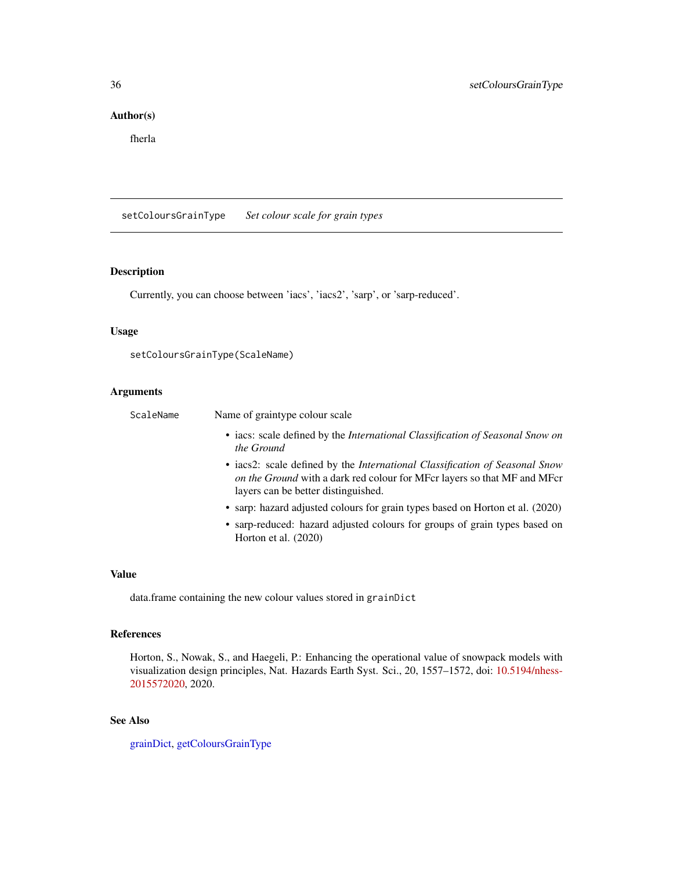## <span id="page-35-0"></span>Author(s)

fherla

<span id="page-35-1"></span>setColoursGrainType *Set colour scale for grain types*

## Description

Currently, you can choose between 'iacs', 'iacs2', 'sarp', or 'sarp-reduced'.

## Usage

```
setColoursGrainType(ScaleName)
```
## Arguments

| ScaleName | Name of graintype colour scale                                                                                                                                                                        |
|-----------|-------------------------------------------------------------------------------------------------------------------------------------------------------------------------------------------------------|
|           | • iacs: scale defined by the <i>International Classification of Seasonal Snow on</i><br>the Ground                                                                                                    |
|           | • iacs2: scale defined by the <i>International Classification of Seasonal Snow</i><br>on the Ground with a dark red colour for MFcr layers so that MF and MFcr<br>layers can be better distinguished. |
|           | • sarp: hazard adjusted colours for grain types based on Horton et al. (2020)                                                                                                                         |
|           | • sarp-reduced: hazard adjusted colours for groups of grain types based on<br>Horton et al. (2020)                                                                                                    |

#### Value

data.frame containing the new colour values stored in grainDict

## References

Horton, S., Nowak, S., and Haegeli, P.: Enhancing the operational value of snowpack models with visualization design principles, Nat. Hazards Earth Syst. Sci., 20, 1557–1572, doi: [10.5194/nhess-](https://doi.org/10.5194/nhess-20-1557-2020)[2015572020,](https://doi.org/10.5194/nhess-20-1557-2020) 2020.

## See Also

[grainDict,](#page-17-1) [getColoursGrainType](#page-13-1)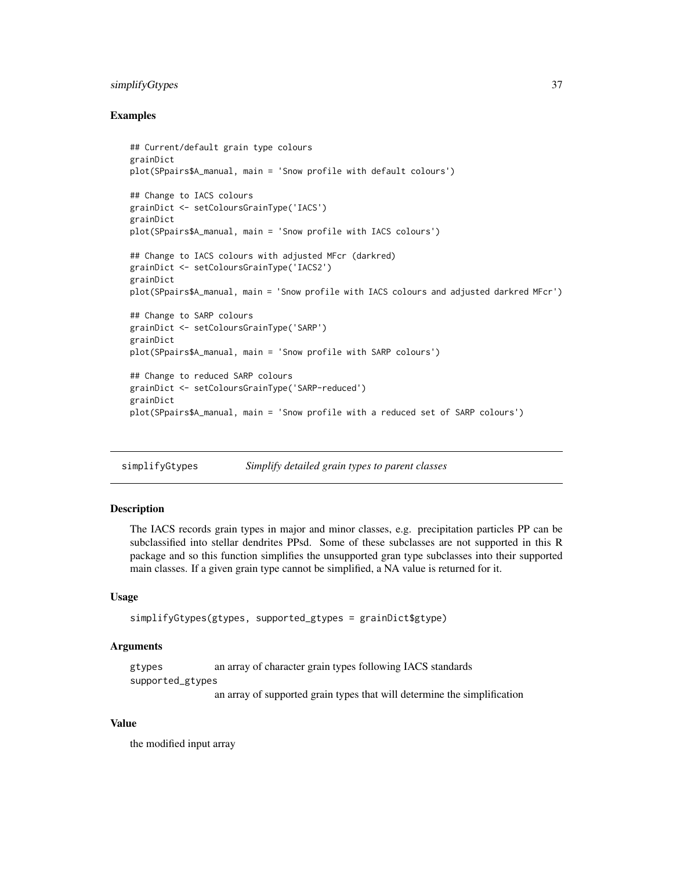## <span id="page-36-0"></span>simplifyGtypes 37

#### Examples

```
## Current/default grain type colours
grainDict
plot(SPpairs$A_manual, main = 'Snow profile with default colours')
## Change to IACS colours
grainDict <- setColoursGrainType('IACS')
grainDict
plot(SPpairs$A_manual, main = 'Snow profile with IACS colours')
## Change to IACS colours with adjusted MFcr (darkred)
grainDict <- setColoursGrainType('IACS2')
grainDict
plot(SPpairs$A_manual, main = 'Snow profile with IACS colours and adjusted darkred MFcr')
## Change to SARP colours
grainDict <- setColoursGrainType('SARP')
grainDict
plot(SPpairs$A_manual, main = 'Snow profile with SARP colours')
## Change to reduced SARP colours
grainDict <- setColoursGrainType('SARP-reduced')
grainDict
plot(SPpairs$A_manual, main = 'Snow profile with a reduced set of SARP colours')
```
simplifyGtypes *Simplify detailed grain types to parent classes*

## Description

The IACS records grain types in major and minor classes, e.g. precipitation particles PP can be subclassified into stellar dendrites PPsd. Some of these subclasses are not supported in this R package and so this function simplifies the unsupported gran type subclasses into their supported main classes. If a given grain type cannot be simplified, a NA value is returned for it.

#### Usage

```
simplifyGtypes(gtypes, supported_gtypes = grainDict$gtype)
```
## Arguments

gtypes an array of character grain types following IACS standards supported\_gtypes

an array of supported grain types that will determine the simplification

#### Value

the modified input array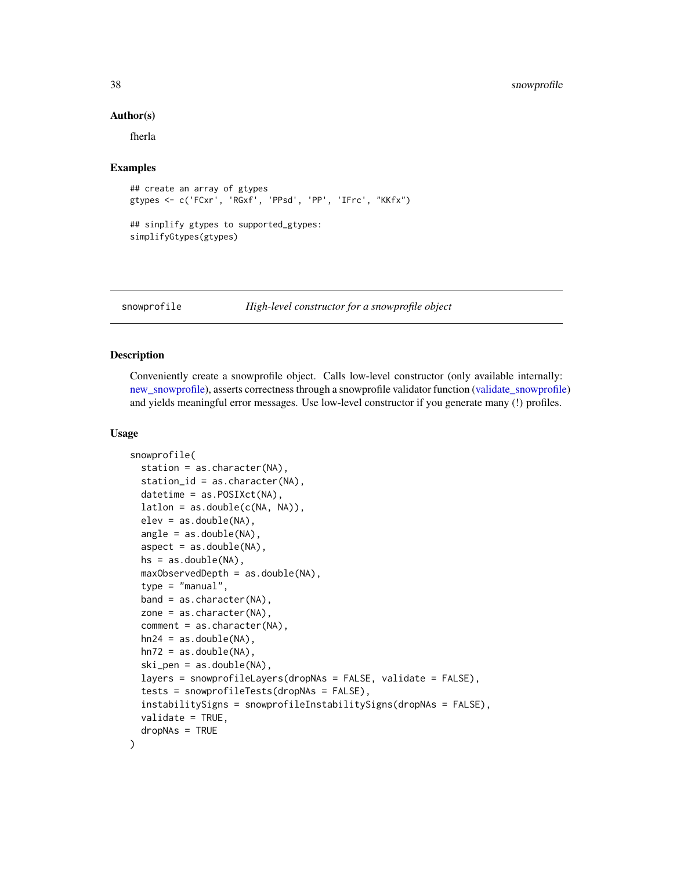#### Author(s)

fherla

#### Examples

```
## create an array of gtypes
gtypes <- c('FCxr', 'RGxf', 'PPsd', 'PP', 'IFrc', "KKfx")
## sinplify gtypes to supported_gtypes:
```
simplifyGtypes(gtypes)

<span id="page-37-1"></span>snowprofile *High-level constructor for a snowprofile object*

#### Description

Conveniently create a snowprofile object. Calls low-level constructor (only available internally: [new\\_snowprofile\)](#page-21-1), asserts correctness through a snowprofile validator function [\(validate\\_snowprofile\)](#page-59-1) and yields meaningful error messages. Use low-level constructor if you generate many (!) profiles.

#### Usage

```
snowprofile(
 station = as.character(NA),
  station_id = as.character(NA),
 datetime = as.POSIXct(NA),
 lation = as.double(c(NA, NA)),elev = as.double(NA),
  angle = as.double(NA),aspect = as.double(NA),hs = as.double(NA),
 maxObservedDepth = as.double(NA),
  type = "manual",band = as.character(NA),
 zone = as.character(NA),
  comment = as.character(NA),
 hn24 = as.double(NA),hn72 = as.double(NA),ski_pen = as.double(NA),
  layers = snowprofileLayers(dropNAs = FALSE, validate = FALSE),
  tests = snowprofileTests(dropNAs = FALSE),
  instabilitySigns = snowprofileInstabilitySigns(dropNAs = FALSE),
 validate = TRUE,
  dropNAs = TRUE
)
```
<span id="page-37-0"></span>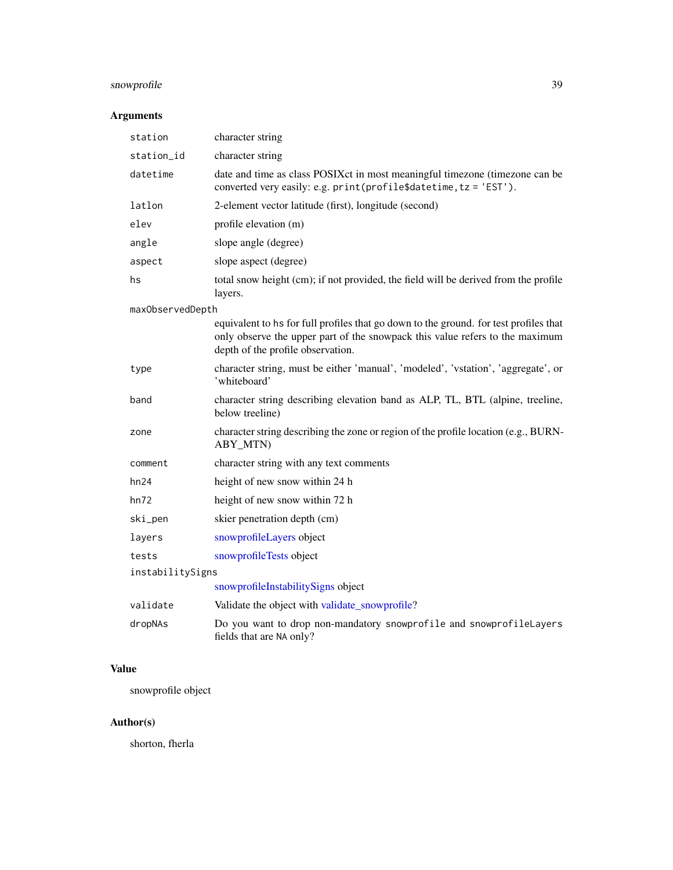## <span id="page-38-0"></span>snowprofile 39

## Arguments

| station          | character string                                                                                                                                                                                           |
|------------------|------------------------------------------------------------------------------------------------------------------------------------------------------------------------------------------------------------|
| station_id       | character string                                                                                                                                                                                           |
| datetime         | date and time as class POSIXct in most meaningful timezone (timezone can be<br>converted very easily: e.g. print(profile\$datetime, tz = 'EST').                                                           |
| latlon           | 2-element vector latitude (first), longitude (second)                                                                                                                                                      |
| elev             | profile elevation (m)                                                                                                                                                                                      |
| angle            | slope angle (degree)                                                                                                                                                                                       |
| aspect           | slope aspect (degree)                                                                                                                                                                                      |
| hs               | total snow height (cm); if not provided, the field will be derived from the profile<br>layers.                                                                                                             |
| maxObservedDepth |                                                                                                                                                                                                            |
|                  | equivalent to hs for full profiles that go down to the ground. for test profiles that<br>only observe the upper part of the snowpack this value refers to the maximum<br>depth of the profile observation. |
| type             | character string, must be either 'manual', 'modeled', 'vstation', 'aggregate', or<br>'whiteboard'                                                                                                          |
| band             | character string describing elevation band as ALP, TL, BTL (alpine, treeline,<br>below treeline)                                                                                                           |
| zone             | character string describing the zone or region of the profile location (e.g., BURN-<br>ABY_MTN)                                                                                                            |
| comment          | character string with any text comments                                                                                                                                                                    |
| hn24             | height of new snow within 24 h                                                                                                                                                                             |
| hn72             | height of new snow within 72 h                                                                                                                                                                             |
| ski_pen          | skier penetration depth (cm)                                                                                                                                                                               |
| layers           | snowprofileLayers object                                                                                                                                                                                   |
| tests            | snowprofileTests object                                                                                                                                                                                    |
| instabilitySigns |                                                                                                                                                                                                            |
|                  | snowprofileInstabilitySigns object                                                                                                                                                                         |
| validate         | Validate the object with validate_snowprofile?                                                                                                                                                             |
| dropNAs          | Do you want to drop non-mandatory snowprofile and snowprofileLayers<br>fields that are NA only?                                                                                                            |

## Value

snowprofile object

## Author(s)

shorton, fherla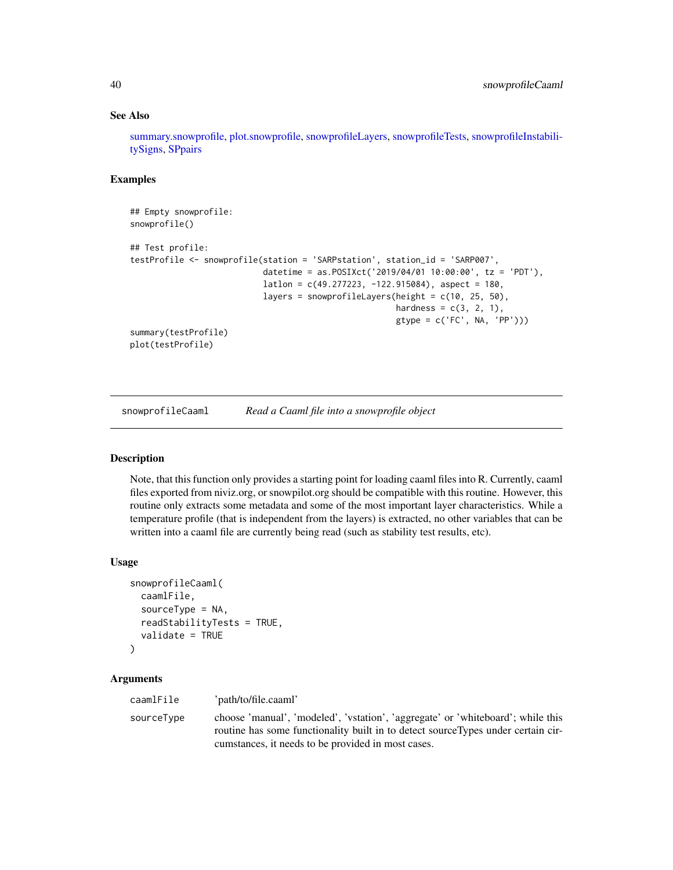#### See Also

[summary.snowprofile,](#page-57-1) [plot.snowprofile,](#page-24-1) [snowprofileLayers,](#page-45-1) [snowprofileTests,](#page-53-1) [snowprofileInstabili](#page-44-1)[tySigns,](#page-44-1) [SPpairs](#page-56-1)

## Examples

```
## Empty snowprofile:
snowprofile()
## Test profile:
testProfile <- snowprofile(station = 'SARPstation', station_id = 'SARP007',
                           datetime = as.POSIXct('2019/04/01 10:00:00', tz = 'PDT'),
                           lational = c(49.277223, -122.915084), aspect = 180,
                           layers = snowprofileLayers(height = c(10, 25, 50),
                                                       hardness = c(3, 2, 1),
                                                       gtype = c('FC', NA, 'PP')))
summary(testProfile)
plot(testProfile)
```
snowprofileCaaml *Read a Caaml file into a snowprofile object*

## Description

Note, that this function only provides a starting point for loading caaml files into R. Currently, caaml files exported from niviz.org, or snowpilot.org should be compatible with this routine. However, this routine only extracts some metadata and some of the most important layer characteristics. While a temperature profile (that is independent from the layers) is extracted, no other variables that can be written into a caaml file are currently being read (such as stability test results, etc).

#### Usage

```
snowprofileCaaml(
  caamlFile,
  sourceType = NA,
  readStabilityTests = TRUE,
  validate = TRUE
)
```
#### Arguments

caamlFile 'path/to/file.caaml' sourceType choose 'manual', 'modeled', 'vstation', 'aggregate' or 'whiteboard'; while this routine has some functionality built in to detect sourceTypes under certain circumstances, it needs to be provided in most cases.

<span id="page-39-0"></span>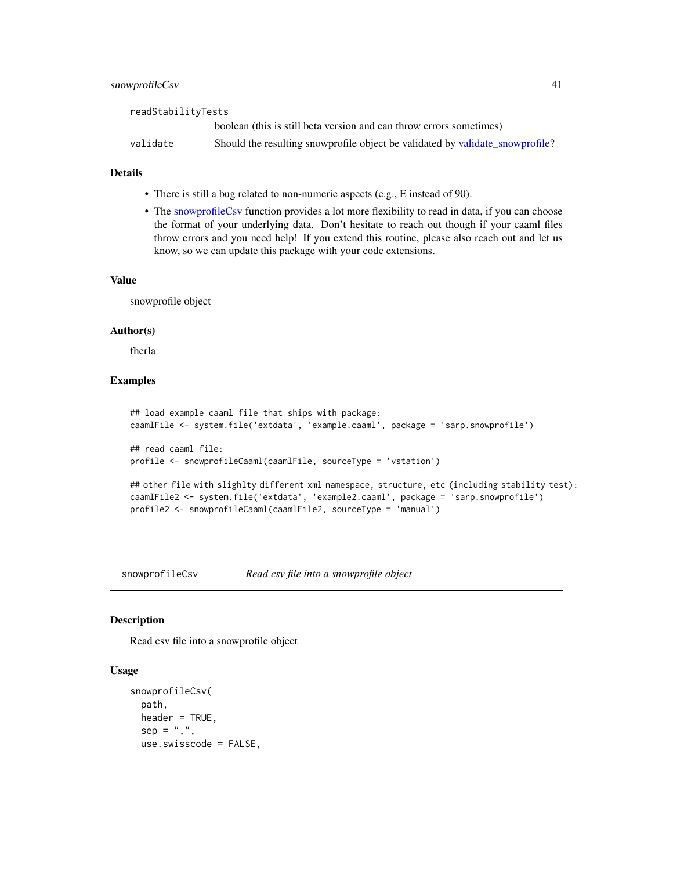#### <span id="page-40-0"></span>snowprofileCsv 41

| readStabilityTests |                                                                               |
|--------------------|-------------------------------------------------------------------------------|
|                    | boolean (this is still beta version and can throw errors sometimes)           |
| validate           | Should the resulting snowprofile object be validated by validate_snowprofile? |

## Details

- There is still a bug related to non-numeric aspects (e.g., E instead of 90).
- The [snowprofileCsv](#page-40-1) function provides a lot more flexibility to read in data, if you can choose the format of your underlying data. Don't hesitate to reach out though if your caaml files throw errors and you need help! If you extend this routine, please also reach out and let us know, so we can update this package with your code extensions.

#### Value

snowprofile object

#### Author(s)

fherla

## Examples

```
## load example caaml file that ships with package:
caamlFile <- system.file('extdata', 'example.caaml', package = 'sarp.snowprofile')
## read caaml file:
profile <- snowprofileCaaml(caamlFile, sourceType = 'vstation')
## other file with slighlty different xml namespace, structure, etc (including stability test):
caamlFile2 <- system.file('extdata', 'example2.caaml', package = 'sarp.snowprofile')
profile2 <- snowprofileCaaml(caamlFile2, sourceType = 'manual')
```
<span id="page-40-1"></span>snowprofileCsv *Read csv file into a snowprofile object*

#### **Description**

Read csv file into a snowprofile object

## Usage

```
snowprofileCsv(
 path,
 header = TRUE,
  sep = ","use.swisscode = FALSE,
```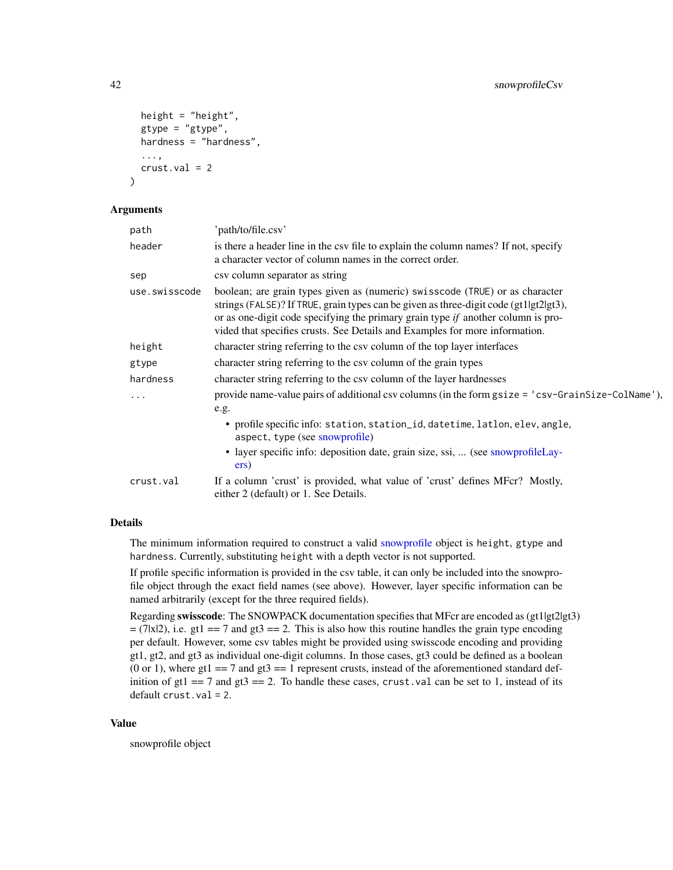```
height = "height",
  gtype = "gtype",
 hardness = "hardness",
  ...,
  crust.val = 2)
```
#### Arguments

| path          | 'path/to/file.csv'                                                                                                                                                                                                                                                                                                                         |
|---------------|--------------------------------------------------------------------------------------------------------------------------------------------------------------------------------------------------------------------------------------------------------------------------------------------------------------------------------------------|
| header        | is there a header line in the csy file to explain the column names? If not, specify<br>a character vector of column names in the correct order.                                                                                                                                                                                            |
| sep           | csy column separator as string                                                                                                                                                                                                                                                                                                             |
| use.swisscode | boolean; are grain types given as (numeric) swisscode (TRUE) or as character<br>strings (FALSE)? If TRUE, grain types can be given as three-digit code (gt1lgt2lgt3),<br>or as one-digit code specifying the primary grain type $if$ another column is pro-<br>vided that specifies crusts. See Details and Examples for more information. |
| height        | character string referring to the csv column of the top layer interfaces                                                                                                                                                                                                                                                                   |
| gtype         | character string referring to the csv column of the grain types                                                                                                                                                                                                                                                                            |
| hardness      | character string referring to the csy column of the layer hardnesses                                                                                                                                                                                                                                                                       |
| $\cdots$      | provide name-value pairs of additional csv columns (in the form gsize = 'csv-GrainSize-ColName'),<br>e.g.                                                                                                                                                                                                                                  |
|               | • profile specific info: station, station_id, datetime, latlon, elev, angle,<br>aspect, type (see snowprofile)                                                                                                                                                                                                                             |
|               | • layer specific info: deposition date, grain size, ssi,  (see snowprofileLay-<br>ers)                                                                                                                                                                                                                                                     |
| crust.val     | If a column 'crust' is provided, what value of 'crust' defines MFcr? Mostly,<br>either 2 (default) or 1. See Details.                                                                                                                                                                                                                      |

## Details

The minimum information required to construct a valid [snowprofile](#page-37-1) object is height, gtype and hardness. Currently, substituting height with a depth vector is not supported.

If profile specific information is provided in the csv table, it can only be included into the snowprofile object through the exact field names (see above). However, layer specific information can be named arbitrarily (except for the three required fields).

Regarding swisscode: The SNOWPACK documentation specifies that MFcr are encoded as (gt1|gt2|gt3)  $=$  (7|x|2), i.e. gt1 = = 7 and gt3 = = 2. This is also how this routine handles the grain type encoding per default. However, some csv tables might be provided using swisscode encoding and providing gt1, gt2, and gt3 as individual one-digit columns. In those cases, gt3 could be defined as a boolean (0 or 1), where gt1 =  $= 7$  and gt3 =  $= 1$  represent crusts, instead of the aforementioned standard definition of  $gt1 = 7$  and  $gt3 = 2$ . To handle these cases, crust.val can be set to 1, instead of its default crust.val = 2.

#### Value

snowprofile object

<span id="page-41-0"></span>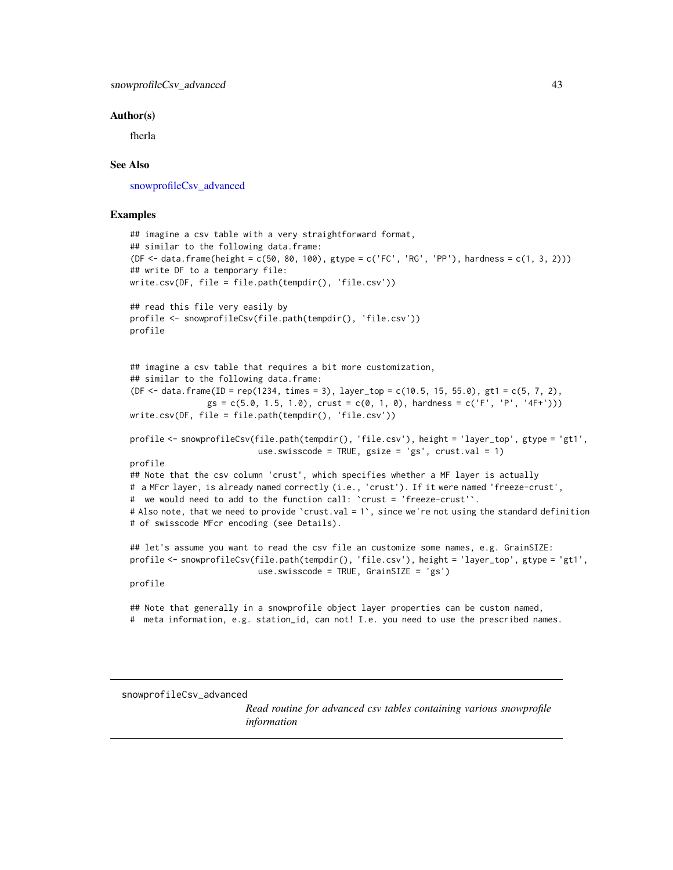#### <span id="page-42-0"></span>Author(s)

fherla

#### See Also

[snowprofileCsv\\_advanced](#page-42-1)

### Examples

```
## imagine a csv table with a very straightforward format,
## similar to the following data.frame:
(DF <- data.frame(height = c(50, 80, 100), gtype = c('FC', 'RG', 'PP'), hardness = c(1, 3, 2)))
## write DF to a temporary file:
write.csv(DF, file = file.path(tempdir(), 'file.csv'))
## read this file very easily by
profile <- snowprofileCsv(file.path(tempdir(), 'file.csv'))
profile
## imagine a csv table that requires a bit more customization,
## similar to the following data.frame:
(DF <- data.frame(ID = rep(1234, times = 3), layer_top = c(10.5, 15, 55.0), gt1 = c(5, 7, 2),
                gs = c(5.0, 1.5, 1.0), crust = c(0, 1, 0), hardness = c('F', 'P', '4F+'))write.csv(DF, file = file.path(tempdir(), 'file.csv'))
profile <- snowprofileCsv(file.path(tempdir(), 'file.csv'), height = 'layer_top', gtype = 'gt1',
                          use.swisscode = TRUE, gsize = 'gs', crust.val = 1)
profile
## Note that the csv column 'crust', which specifies whether a MF layer is actually
# a MFcr layer, is already named correctly (i.e., 'crust'). If it were named 'freeze-crust',
# we would need to add to the function call: `crust = 'freeze-crust'`.
# Also note, that we need to provide `crust.val = 1`, since we're not using the standard definition
# of swisscode MFcr encoding (see Details).
## let's assume you want to read the csv file an customize some names, e.g. GrainSIZE:
profile <- snowprofileCsv(file.path(tempdir(), 'file.csv'), height = 'layer_top', gtype = 'gt1',
                          use.swisscode = TRUE, GrainSIZE = 'gs')
profile
## Note that generally in a snowprofile object layer properties can be custom named,
# meta information, e.g. station_id, can not! I.e. you need to use the prescribed names.
```
#### <span id="page-42-1"></span>snowprofileCsv\_advanced

*Read routine for advanced csv tables containing various snowprofile information*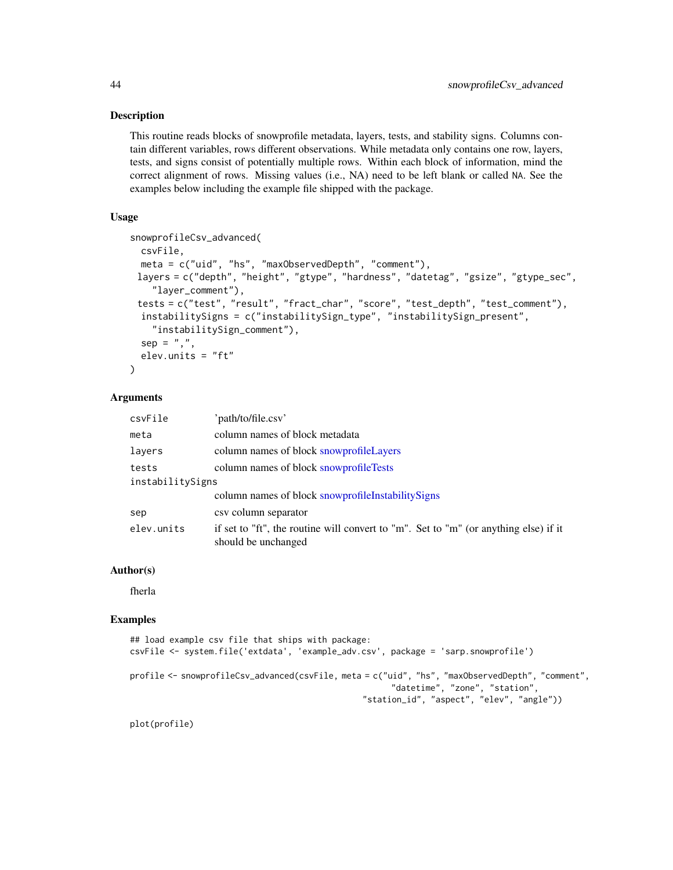This routine reads blocks of snowprofile metadata, layers, tests, and stability signs. Columns contain different variables, rows different observations. While metadata only contains one row, layers, tests, and signs consist of potentially multiple rows. Within each block of information, mind the correct alignment of rows. Missing values (i.e., NA) need to be left blank or called NA. See the examples below including the example file shipped with the package.

## Usage

```
snowprofileCsv_advanced(
  csvFile,
 meta = c("uid", "hs", "maxObservedDepth", "comment"),
 layers = c("depth", "height", "gtype", "hardness", "datetag", "gsize", "gtype_sec",
    "layer_comment"),
 tests = c("test", "result", "fract_char", "score", "test_depth", "test_comment"),
  instabilitySigns = c("instabilitySign_type", "instabilitySign_present",
    "instabilitySign_comment"),
  sep = ","elev.units = "ft"
\lambda
```
#### Arguments

| csvFile          | 'path/to/file.csv'                                                                                          |
|------------------|-------------------------------------------------------------------------------------------------------------|
| meta             | column names of block metadata                                                                              |
| layers           | column names of block snowprofileLayers                                                                     |
| tests            | column names of block snowprofileTests                                                                      |
| instabilitySigns |                                                                                                             |
|                  | column names of block snowprofileInstabilitySigns                                                           |
| sep              | csy column separator                                                                                        |
| elev.units       | if set to "ft", the routine will convert to "m". Set to "m" (or anything else) if it<br>should be unchanged |

#### Author(s)

fherla

#### Examples

```
## load example csv file that ships with package:
csvFile <- system.file('extdata', 'example_adv.csv', package = 'sarp.snowprofile')
profile <- snowprofileCsv_advanced(csvFile, meta = c("uid", "hs", "maxObservedDepth", "comment",
                                                      "datetime", "zone", "station",
                                                "station_id", "aspect", "elev", "angle"))
```
plot(profile)

<span id="page-43-0"></span>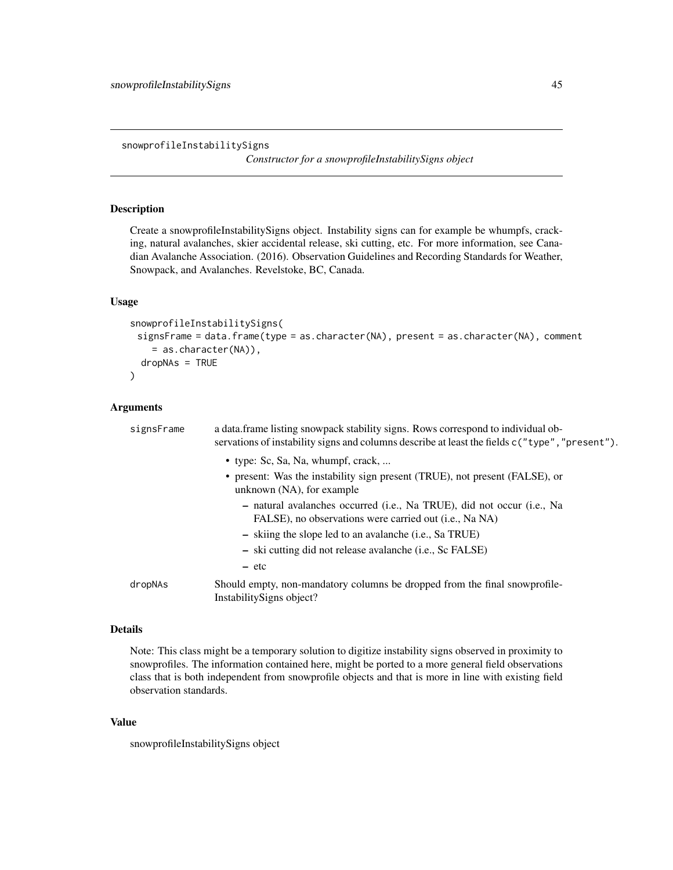<span id="page-44-1"></span><span id="page-44-0"></span>snowprofileInstabilitySigns

*Constructor for a snowprofileInstabilitySigns object*

#### Description

Create a snowprofileInstabilitySigns object. Instability signs can for example be whumpfs, cracking, natural avalanches, skier accidental release, ski cutting, etc. For more information, see Canadian Avalanche Association. (2016). Observation Guidelines and Recording Standards for Weather, Snowpack, and Avalanches. Revelstoke, BC, Canada.

#### Usage

```
snowprofileInstabilitySigns(
 signsFrame = data.frame(type = as.character(NA), present = as.character(NA), comment
    = as.character(NA)),
 dropNAs = TRUE
\mathcal{L}
```
## Arguments

| signsFrame | a data. frame listing snowpack stability signs. Rows correspond to individual ob-<br>servations of instability signs and columns describe at least the fields c("type", "present"). |
|------------|-------------------------------------------------------------------------------------------------------------------------------------------------------------------------------------|
|            | • type: Sc, Sa, Na, whumpf, crack,<br>• present: Was the instability sign present (TRUE), not present (FALSE), or<br>unknown (NA), for example                                      |
|            | - natural avalanches occurred (i.e., Na TRUE), did not occur (i.e., Na<br>FALSE), no observations were carried out <i>(i.e.</i> , Na NA)                                            |
|            | - skiing the slope led to an avalanche ( <i>i.e.</i> , Sa TRUE)                                                                                                                     |
|            | - ski cutting did not release avalanche ( <i>i.e.</i> , Sc FALSE)                                                                                                                   |
|            | – etc                                                                                                                                                                               |
| dropNAs    | Should empty, non-mandatory columns be dropped from the final snowprofile-<br>Instability Signs object?                                                                             |

#### Details

Note: This class might be a temporary solution to digitize instability signs observed in proximity to snowprofiles. The information contained here, might be ported to a more general field observations class that is both independent from snowprofile objects and that is more in line with existing field observation standards.

#### Value

snowprofileInstabilitySigns object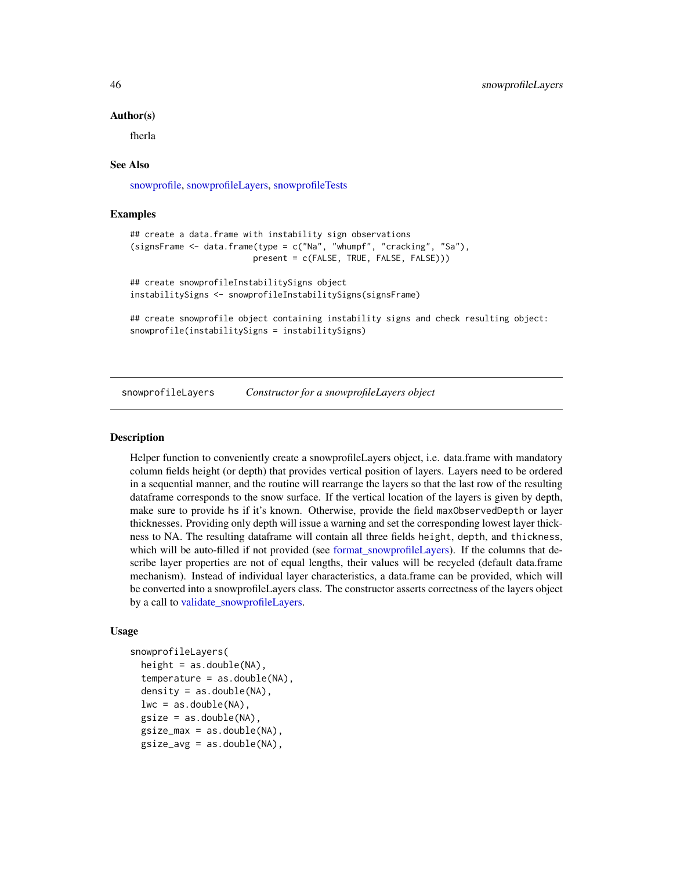#### Author(s)

fherla

#### See Also

[snowprofile,](#page-37-1) [snowprofileLayers,](#page-45-1) [snowprofileTests](#page-53-1)

## Examples

```
## create a data.frame with instability sign observations
(signsFrame \leq data.frame(type = c("Na", "whumpf", "cracking", "Sa"),
                        present = c(FALSE, TRUE, FALSE, FALSE)))
```

```
## create snowprofileInstabilitySigns object
instabilitySigns <- snowprofileInstabilitySigns(signsFrame)
```
## create snowprofile object containing instability signs and check resulting object: snowprofile(instabilitySigns = instabilitySigns)

<span id="page-45-1"></span>snowprofileLayers *Constructor for a snowprofileLayers object*

#### **Description**

Helper function to conveniently create a snowprofileLayers object, i.e. data.frame with mandatory column fields height (or depth) that provides vertical position of layers. Layers need to be ordered in a sequential manner, and the routine will rearrange the layers so that the last row of the resulting dataframe corresponds to the snow surface. If the vertical location of the layers is given by depth, make sure to provide hs if it's known. Otherwise, provide the field maxObservedDepth or layer thicknesses. Providing only depth will issue a warning and set the corresponding lowest layer thickness to NA. The resulting dataframe will contain all three fields height, depth, and thickness, which will be auto-filled if not provided (see [format\\_snowprofileLayers\)](#page-11-2). If the columns that describe layer properties are not of equal lengths, their values will be recycled (default data.frame mechanism). Instead of individual layer characteristics, a data.frame can be provided, which will be converted into a snowprofileLayers class. The constructor asserts correctness of the layers object by a call to [validate\\_snowprofileLayers.](#page-60-1)

#### Usage

```
snowprofileLayers(
  height = as.double(NA),temperature = as.double(NA),
  density = as.double(NA),lwc = as.double(NA),
  gsize = as.double(NA),
  gsize_max = as.double(NA),
  gsize_avg = as.double(NA),
```
<span id="page-45-0"></span>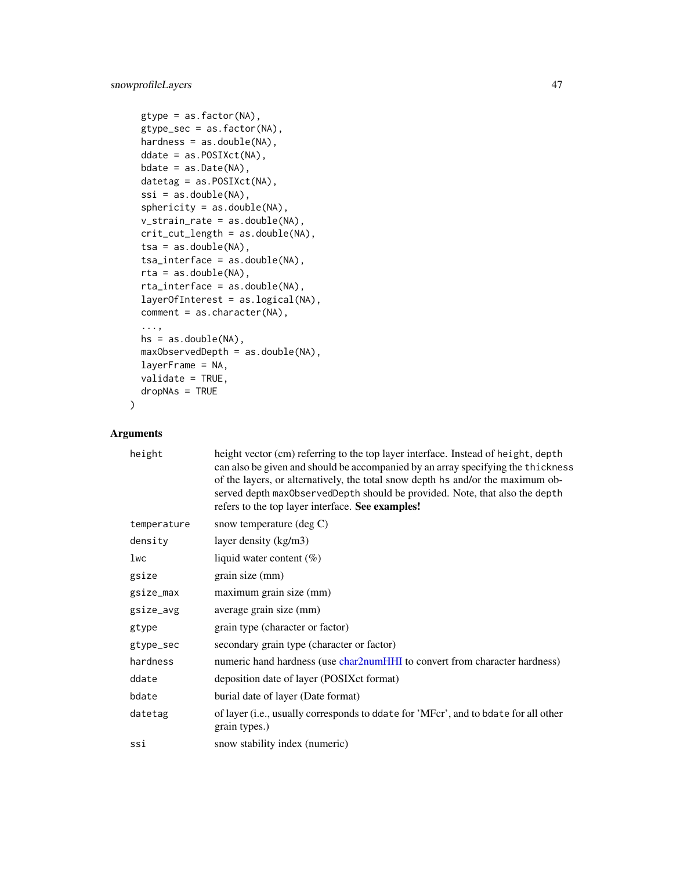```
gtype = as.factor(NA),
gtype_sec = as.factor(NA),
hardness = as.double(NA),
ddate = as.POSIXct(NA),
bdate = as.Date(NA),
datetag = as.POSIXct(NA),
ssi = as.double(NA),sphericity = as.double(NA),v_strain_rate = as.double(NA),
crit_cut_length = as.double(NA),
tsa = as.double(NA),
tsa_interface = as.double(NA),
rta = as.double(NA),
rta_interface = as.double(NA),
layerOfInterest = as.logical(NA),
comment = as.character(NA),
...,
hs = as.double(NA),
maxObservedDepth = as.double(NA),
layerFrame = NA,
validate = TRUE,
dropNAs = TRUE
```
## Arguments

 $\mathcal{L}$ 

| height      | height vector (cm) referring to the top layer interface. Instead of height, depth<br>can also be given and should be accompanied by an array specifying the thickness<br>of the layers, or alternatively, the total snow depth hs and/or the maximum ob-<br>served depth maxObservedDepth should be provided. Note, that also the depth<br>refers to the top layer interface. See examples! |
|-------------|---------------------------------------------------------------------------------------------------------------------------------------------------------------------------------------------------------------------------------------------------------------------------------------------------------------------------------------------------------------------------------------------|
| temperature | snow temperature $(\text{deg } C)$                                                                                                                                                                                                                                                                                                                                                          |
| density     | layer density (kg/m3)                                                                                                                                                                                                                                                                                                                                                                       |
| 1wc         | liquid water content $(\%)$                                                                                                                                                                                                                                                                                                                                                                 |
| gsize       | grain size (mm)                                                                                                                                                                                                                                                                                                                                                                             |
| gsize_max   | maximum grain size (mm)                                                                                                                                                                                                                                                                                                                                                                     |
| gsize_avg   | average grain size (mm)                                                                                                                                                                                                                                                                                                                                                                     |
| gtype       | grain type (character or factor)                                                                                                                                                                                                                                                                                                                                                            |
| gtype_sec   | secondary grain type (character or factor)                                                                                                                                                                                                                                                                                                                                                  |
| hardness    | numeric hand hardness (use char2numHHI to convert from character hardness)                                                                                                                                                                                                                                                                                                                  |
| ddate       | deposition date of layer (POSIX ct format)                                                                                                                                                                                                                                                                                                                                                  |
| bdate       | burial date of layer (Date format)                                                                                                                                                                                                                                                                                                                                                          |
| datetag     | of layer (i.e., usually corresponds to ddate for 'MFcr', and to bdate for all other<br>grain types.)                                                                                                                                                                                                                                                                                        |
| ssi         | snow stability index (numeric)                                                                                                                                                                                                                                                                                                                                                              |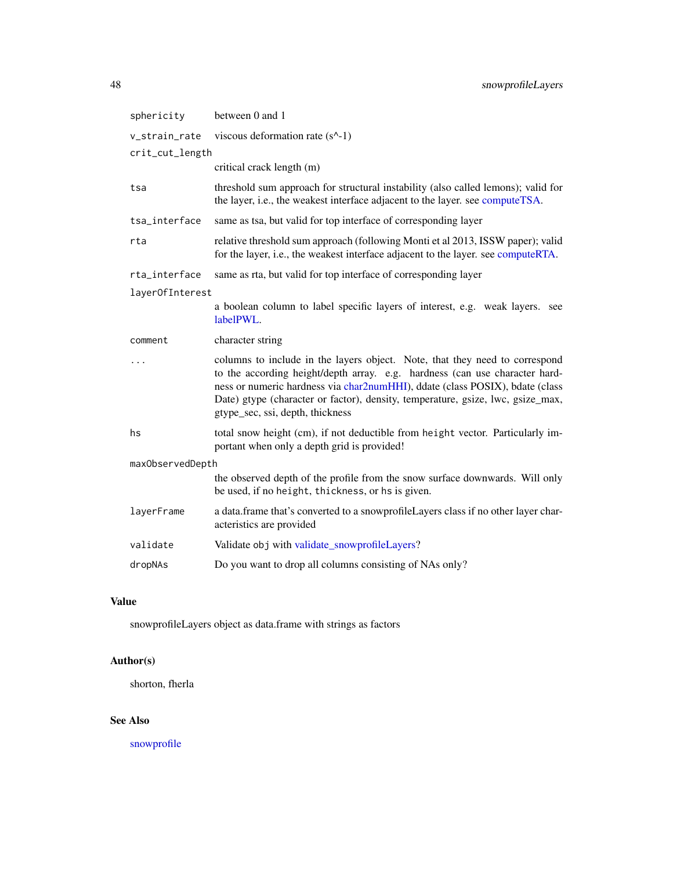<span id="page-47-0"></span>

| sphericity       | between 0 and 1                                                                                                                                                                                                                                                                                                                                                   |  |  |
|------------------|-------------------------------------------------------------------------------------------------------------------------------------------------------------------------------------------------------------------------------------------------------------------------------------------------------------------------------------------------------------------|--|--|
| v_strain_rate    | viscous deformation rate (s^-1)                                                                                                                                                                                                                                                                                                                                   |  |  |
| crit_cut_length  |                                                                                                                                                                                                                                                                                                                                                                   |  |  |
|                  | critical crack length (m)                                                                                                                                                                                                                                                                                                                                         |  |  |
| tsa              | threshold sum approach for structural instability (also called lemons); valid for<br>the layer, i.e., the weakest interface adjacent to the layer. see computeTSA.                                                                                                                                                                                                |  |  |
| tsa_interface    | same as tsa, but valid for top interface of corresponding layer                                                                                                                                                                                                                                                                                                   |  |  |
| rta              | relative threshold sum approach (following Monti et al 2013, ISSW paper); valid<br>for the layer, i.e., the weakest interface adjacent to the layer. see computeRTA.                                                                                                                                                                                              |  |  |
| rta_interface    | same as rta, but valid for top interface of corresponding layer                                                                                                                                                                                                                                                                                                   |  |  |
| layer0fInterest  |                                                                                                                                                                                                                                                                                                                                                                   |  |  |
|                  | a boolean column to label specific layers of interest, e.g. weak layers. see<br>labelPWL.                                                                                                                                                                                                                                                                         |  |  |
| comment          | character string                                                                                                                                                                                                                                                                                                                                                  |  |  |
|                  | columns to include in the layers object. Note, that they need to correspond<br>to the according height/depth array. e.g. hardness (can use character hard-<br>ness or numeric hardness via char2numHHI), ddate (class POSIX), bdate (class<br>Date) gtype (character or factor), density, temperature, gsize, lwc, gsize_max,<br>gtype_sec, ssi, depth, thickness |  |  |
| hs               | total snow height (cm), if not deductible from height vector. Particularly im-<br>portant when only a depth grid is provided!                                                                                                                                                                                                                                     |  |  |
| maxObservedDepth |                                                                                                                                                                                                                                                                                                                                                                   |  |  |
|                  | the observed depth of the profile from the snow surface downwards. Will only<br>be used, if no height, thickness, or hs is given.                                                                                                                                                                                                                                 |  |  |
| layerFrame       | a data.frame that's converted to a snowprofileLayers class if no other layer char-<br>acteristics are provided                                                                                                                                                                                                                                                    |  |  |
| validate         | Validate obj with validate_snowprofileLayers?                                                                                                                                                                                                                                                                                                                     |  |  |
| dropNAs          | Do you want to drop all columns consisting of NAs only?                                                                                                                                                                                                                                                                                                           |  |  |

## Value

snowprofileLayers object as data.frame with strings as factors

## Author(s)

shorton, fherla

## See Also

[snowprofile](#page-37-1)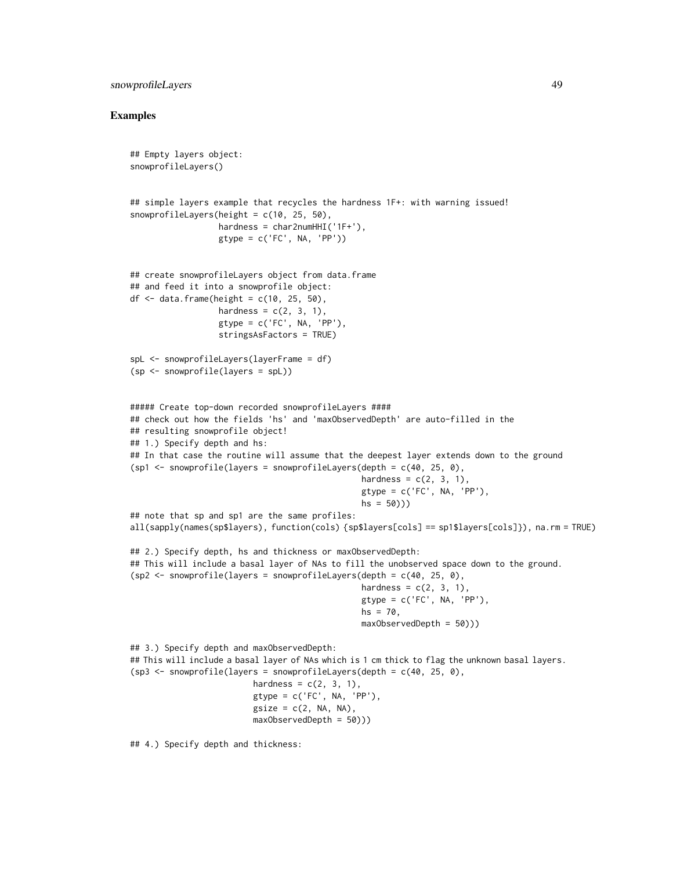#### snowprofileLayers 49

```
## Empty layers object:
snowprofileLayers()
## simple layers example that recycles the hardness 1F+: with warning issued!
snowprofileLayers(height = c(10, 25, 50),
                  hardness = char2numHHI('1F+'),
                  gtype = c('FC', NA, 'PP'))## create snowprofileLayers object from data.frame
## and feed it into a snowprofile object:
df \le- data.frame(height = c(10, 25, 50),
                  hardness = c(2, 3, 1),
                  gtype = c('FC', NA, 'PP'),
                  stringsAsFactors = TRUE)
spL <- snowprofileLayers(layerFrame = df)
(sp <- snowprofile(layers = spL))
##### Create top-down recorded snowprofileLayers ####
## check out how the fields 'hs' and 'maxObservedDepth' are auto-filled in the
## resulting snowprofile object!
## 1.) Specify depth and hs:
## In that case the routine will assume that the deepest layer extends down to the ground
(\text{spl} \leq \text{nowprofile}(\text{layers} = \text{snowprofile}(\text{layers}(\text{depth} = \text{c}(40, 25, 0)),hardness = c(2, 3, 1),
                                                 gtype = c('FC', NA, 'PP'),hs = 50))
## note that sp and sp1 are the same profiles:
all(sapply(names(sp$layers), function(cols) {sp$layers[cols] == sp1$layers[cols]}), na.rm = TRUE)
## 2.) Specify depth, hs and thickness or maxObservedDepth:
## This will include a basal layer of NAs to fill the unobserved space down to the ground.
(sp2 \leq -snowprofile (layers = snowprofile Layers (depth = c(40, 25, 0)),hardness = c(2, 3, 1),
                                                 gtype = c('FC', NA, 'PP'),hs = 70,maxObservedDepth = 50)))
## 3.) Specify depth and maxObservedDepth:
## This will include a basal layer of NAs which is 1 cm thick to flag the unknown basal layers.
(sp3 \leq -snowprofile (layers = snowprofile Layers (depth = c(40, 25, 0)),hardness = c(2, 3, 1),
                          gtype = c('FC', NA, 'PP'),
                          gsize = c(2, NA, NA),
                          maxObservedDepth = 50)))
## 4.) Specify depth and thickness:
```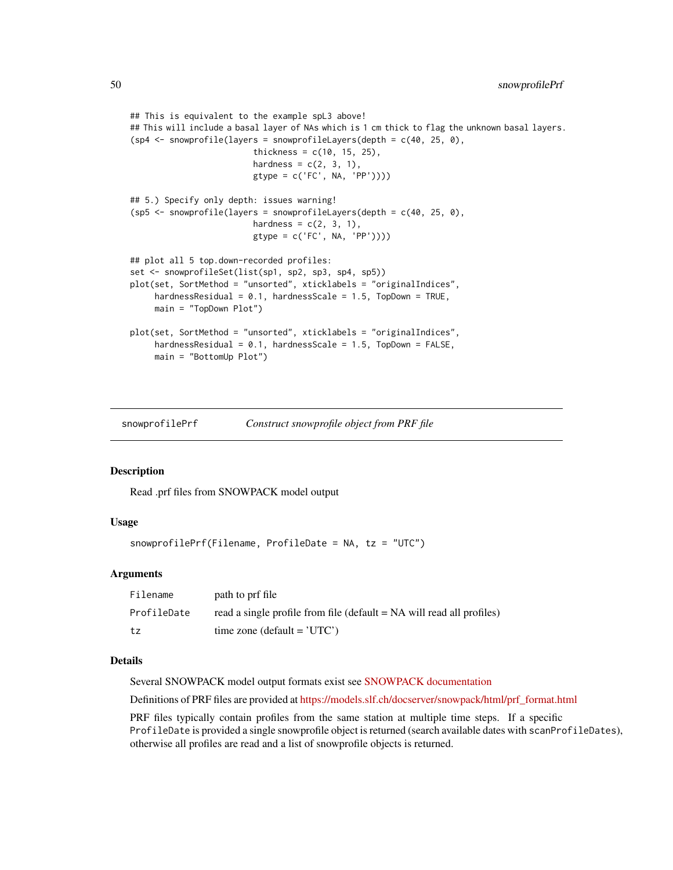```
## This is equivalent to the example spL3 above!
## This will include a basal layer of NAs which is 1 cm thick to flag the unknown basal layers.
(sp4 <- snowprofile(layers = snowprofileLayers(depth = c(40, 25, 0),
                         thickness = c(10, 15, 25),
                         hardness = c(2, 3, 1),
                         gtype = c('FC', NA, 'PP'))))
## 5.) Specify only depth: issues warning!
(sp5 \leq -snowprofile(layers = snowprofileLayers(depth = c(40, 25, 0)),hardness = c(2, 3, 1),
                         gtype = c('FC', NA, 'PP'))))
## plot all 5 top.down-recorded profiles:
set <- snowprofileSet(list(sp1, sp2, sp3, sp4, sp5))
plot(set, SortMethod = "unsorted", xticklabels = "originalIndices",
     hardnessResidual = 0.1, hardnessScale = 1.5, TopDown = TRUE,
     main = "TopDown Plot")
plot(set, SortMethod = "unsorted", xticklabels = "originalIndices",
     hardnessResidual = 0.1, hardnessScale = 1.5, TopDown = FALSE,
     main = "BottomUp Plot")
```
<span id="page-49-1"></span>snowprofilePrf *Construct snowprofile object from PRF file*

## Description

Read .prf files from SNOWPACK model output

## Usage

```
snowprofilePrf(Filename, ProfileDate = NA, tz = "UTC")
```
#### Arguments

| Filename    | path to prf file                                                      |
|-------------|-----------------------------------------------------------------------|
| ProfileDate | read a single profile from file (default = NA will read all profiles) |
| tz          | time zone (default = $'UTC'$ )                                        |

#### Details

Several SNOWPACK model output formats exist see [SNOWPACK documentation](https://models.slf.ch/docserver/snowpack/html/snowpackio.html)

Definitions of PRF files are provided at [https://models.slf.ch/docserver/snowpack/html/prf\\_format.html](https://models.slf.ch/docserver/snowpack/html/prf_format.html)

PRF files typically contain profiles from the same station at multiple time steps. If a specific ProfileDate is provided a single snowprofile object is returned (search available dates with scanProfileDates), otherwise all profiles are read and a list of snowprofile objects is returned.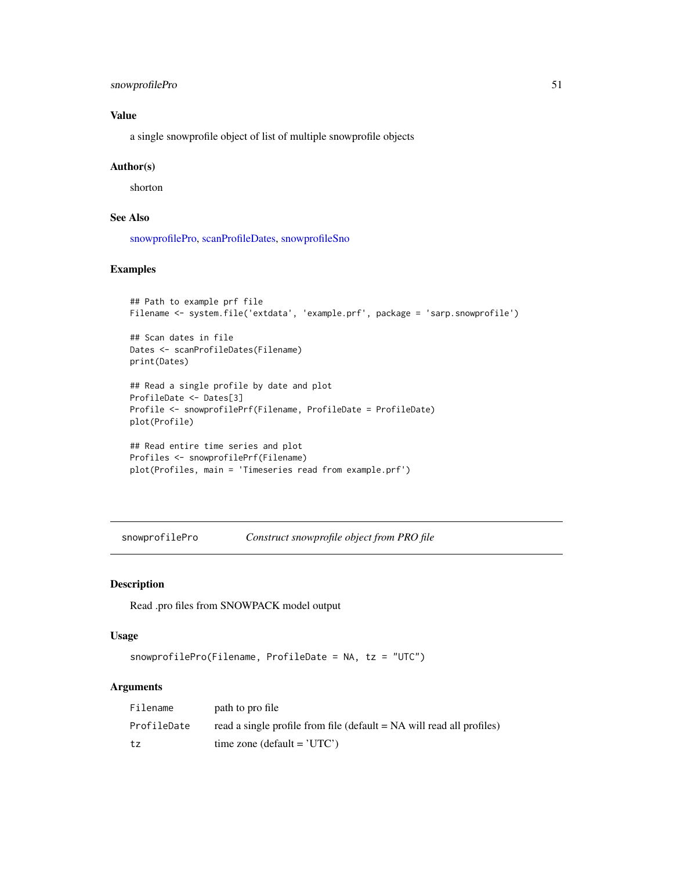## <span id="page-50-0"></span>snowprofilePro 51

## Value

a single snowprofile object of list of multiple snowprofile objects

#### Author(s)

shorton

## See Also

[snowprofilePro,](#page-50-1) [scanProfileDates,](#page-33-1) [snowprofileSno](#page-52-2)

#### Examples

```
## Path to example prf file
Filename <- system.file('extdata', 'example.prf', package = 'sarp.snowprofile')
```
## Scan dates in file Dates <- scanProfileDates(Filename) print(Dates)

```
## Read a single profile by date and plot
ProfileDate <- Dates[3]
Profile <- snowprofilePrf(Filename, ProfileDate = ProfileDate)
plot(Profile)
```

```
## Read entire time series and plot
Profiles <- snowprofilePrf(Filename)
plot(Profiles, main = 'Timeseries read from example.prf')
```
<span id="page-50-1"></span>snowprofilePro *Construct snowprofile object from PRO file*

#### Description

Read .pro files from SNOWPACK model output

## Usage

```
snowprofilePro(Filename, ProfileDate = NA, tz = "UTC")
```
#### Arguments

| Filename    | path to pro file                                                         |
|-------------|--------------------------------------------------------------------------|
| ProfileDate | read a single profile from file ( $default = NA$ will read all profiles) |
| tz          | time zone (default = $'UTC'$ )                                           |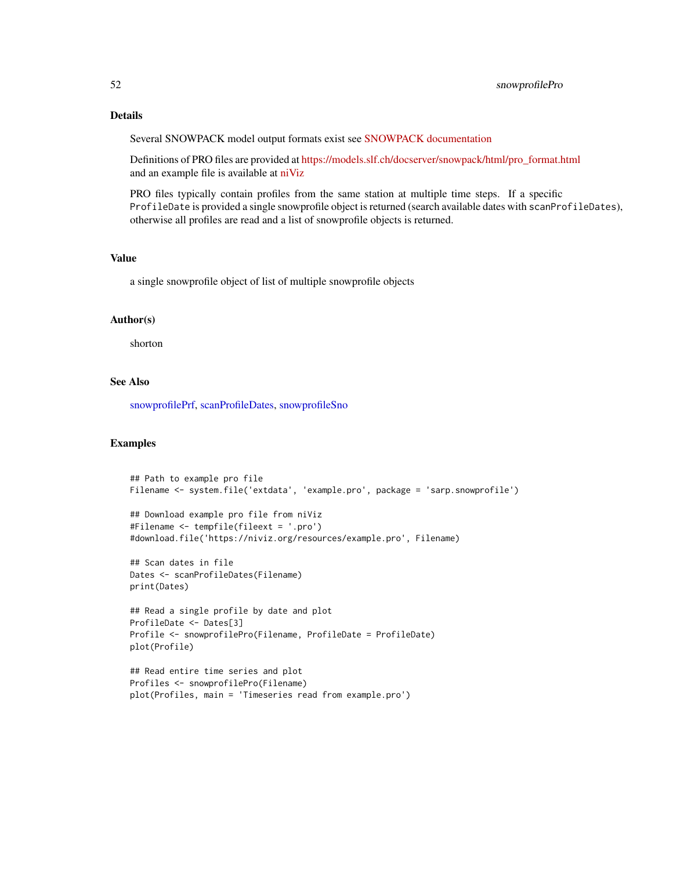## <span id="page-51-0"></span>Details

Several SNOWPACK model output formats exist see [SNOWPACK documentation](https://models.slf.ch/docserver/snowpack/html/snowpackio.html)

Definitions of PRO files are provided at [https://models.slf.ch/docserver/snowpack/html/pro\\_format.html](https://models.slf.ch/docserver/snowpack/html/pro_format.html) and an example file is available at [niViz](https://run.niviz.org/?file=resources%2Fexample.pro)

PRO files typically contain profiles from the same station at multiple time steps. If a specific ProfileDate is provided a single snowprofile object is returned (search available dates with scanProfileDates), otherwise all profiles are read and a list of snowprofile objects is returned.

#### Value

a single snowprofile object of list of multiple snowprofile objects

## Author(s)

shorton

## See Also

[snowprofilePrf,](#page-49-1) [scanProfileDates,](#page-33-1) [snowprofileSno](#page-52-2)

```
## Path to example pro file
Filename <- system.file('extdata', 'example.pro', package = 'sarp.snowprofile')
## Download example pro file from niViz
#Filename <- tempfile(fileext = '.pro')
#download.file('https://niviz.org/resources/example.pro', Filename)
## Scan dates in file
Dates <- scanProfileDates(Filename)
print(Dates)
## Read a single profile by date and plot
ProfileDate <- Dates[3]
Profile <- snowprofilePro(Filename, ProfileDate = ProfileDate)
plot(Profile)
## Read entire time series and plot
```

```
Profiles <- snowprofilePro(Filename)
plot(Profiles, main = 'Timeseries read from example.pro')
```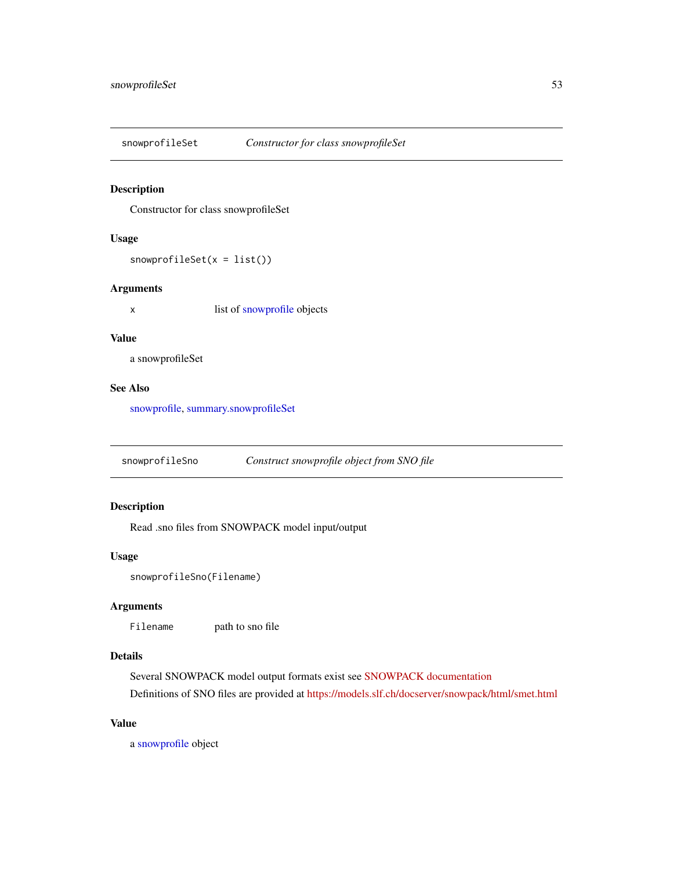<span id="page-52-1"></span><span id="page-52-0"></span>

Constructor for class snowprofileSet

#### Usage

snowprofileSet(x = list())

#### Arguments

x list of [snowprofile](#page-37-1) objects

## Value

a snowprofileSet

## See Also

[snowprofile,](#page-37-1) [summary.snowprofileSet](#page-58-1)

<span id="page-52-2"></span>snowprofileSno *Construct snowprofile object from SNO file*

## Description

Read .sno files from SNOWPACK model input/output

## Usage

```
snowprofileSno(Filename)
```
## Arguments

Filename path to sno file

#### Details

Several SNOWPACK model output formats exist see [SNOWPACK documentation](https://models.slf.ch/docserver/snowpack/html/snowpackio.html)

Definitions of SNO files are provided at <https://models.slf.ch/docserver/snowpack/html/smet.html>

## Value

a [snowprofile](#page-37-1) object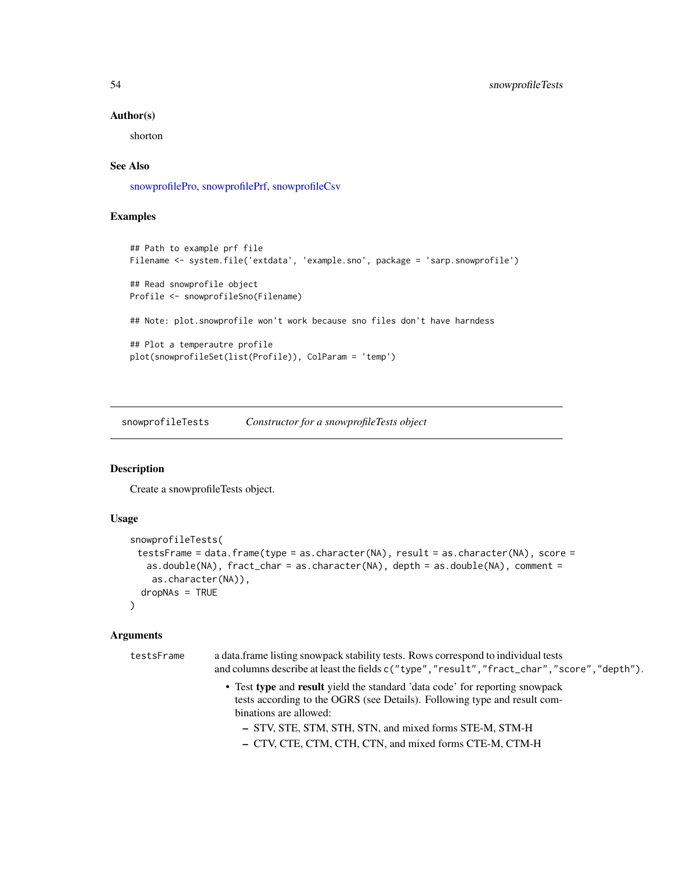#### Author(s)

shorton

## See Also

[snowprofilePro,](#page-50-1) [snowprofilePrf,](#page-49-1) [snowprofileCsv](#page-40-1)

## Examples

```
## Path to example prf file
Filename <- system.file('extdata', 'example.sno', package = 'sarp.snowprofile')
## Read snowprofile object
Profile <- snowprofileSno(Filename)
## Note: plot.snowprofile won't work because sno files don't have harndess
## Plot a temperautre profile
plot(snowprofileSet(list(Profile)), ColParam = 'temp')
```
<span id="page-53-1"></span>snowprofileTests *Constructor for a snowprofileTests object*

#### Description

Create a snowprofileTests object.

## Usage

```
snowprofileTests(
 testsFrame = data.frame(type = as.character(NA), result = as.character(NA), score =
   as.double(NA), fract_char = as.character(NA), depth = as.double(NA), comment =
    as.character(NA)),
 dropNAs = TRUE
\lambda
```
## Arguments

| testsFrame | a data frame listing snowpack stability tests. Rows correspond to individual tests<br>and columns describe at least the fields $c("type", "result", "fract\_char", "score", "depth").$ |
|------------|----------------------------------------------------------------------------------------------------------------------------------------------------------------------------------------|
|            | • Test type and result yield the standard 'data code' for reporting snowpack<br>tests according to the OGRS (see Details). Following type and result com-<br>binations are allowed:    |
|            | - STV, STE, STM, STH, STN, and mixed forms STE-M, STM-H<br>- CTV, CTE, CTM, CTH, CTN, and mixed forms CTE-M, CTM-H                                                                     |

<span id="page-53-0"></span>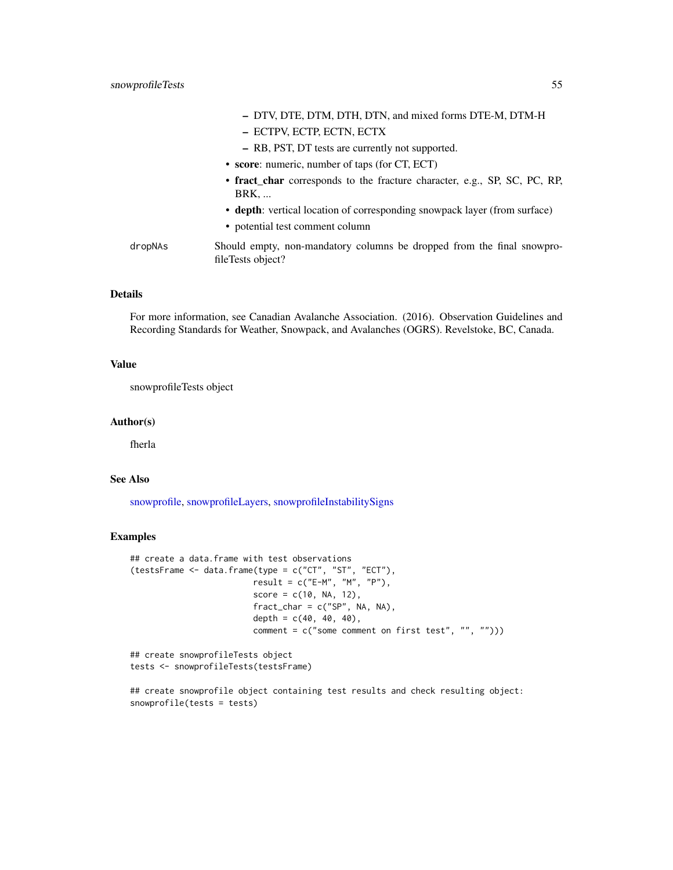<span id="page-54-0"></span>

|         | - DTV, DTE, DTM, DTH, DTN, and mixed forms DTE-M, DTM-H                                     |
|---------|---------------------------------------------------------------------------------------------|
|         | - ECTPV, ECTP, ECTN, ECTX                                                                   |
|         | - RB, PST, DT tests are currently not supported.                                            |
|         | • score: numeric, number of taps (for CT, ECT)                                              |
|         | • fract_char corresponds to the fracture character, e.g., SP, SC, PC, RP,<br><b>BRK</b>     |
|         | • depth: vertical location of corresponding snowpack layer (from surface)                   |
|         | • potential test comment column                                                             |
| dropNAs | Should empty, non-mandatory columns be dropped from the final snowpro-<br>fileTests object? |

## Details

For more information, see Canadian Avalanche Association. (2016). Observation Guidelines and Recording Standards for Weather, Snowpack, and Avalanches (OGRS). Revelstoke, BC, Canada.

#### Value

snowprofileTests object

#### Author(s)

fherla

## See Also

[snowprofile,](#page-37-1) [snowprofileLayers,](#page-45-1) [snowprofileInstabilitySigns](#page-44-1)

## Examples

```
## create a data.frame with test observations
(testsFrame <- data.frame(type = c("CT", "ST", "ECT"),
                        result = c("E-M", "M", "P"),score = c(10, NA, 12),
                        fract_{char} = c("SP", NA, NA),depth = c(40, 40, 40),
                        comment = c("some comment on first test", "", "")))
```

```
## create snowprofileTests object
tests <- snowprofileTests(testsFrame)
```
## create snowprofile object containing test results and check resulting object: snowprofile(tests = tests)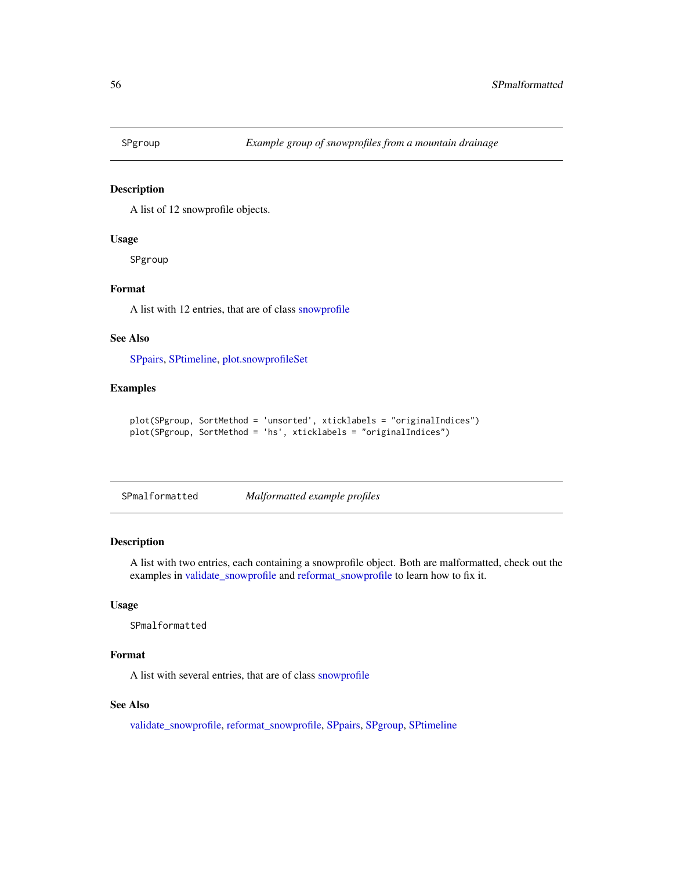<span id="page-55-1"></span><span id="page-55-0"></span>

A list of 12 snowprofile objects.

#### Usage

SPgroup

## Format

A list with 12 entries, that are of class [snowprofile](#page-37-1)

## See Also

[SPpairs,](#page-56-1) [SPtimeline,](#page-56-2) [plot.snowprofileSet](#page-26-1)

## Examples

```
plot(SPgroup, SortMethod = 'unsorted', xticklabels = "originalIndices")
plot(SPgroup, SortMethod = 'hs', xticklabels = "originalIndices")
```
SPmalformatted *Malformatted example profiles*

## Description

A list with two entries, each containing a snowprofile object. Both are malformatted, check out the examples in [validate\\_snowprofile](#page-59-1) and [reformat\\_snowprofile](#page-32-1) to learn how to fix it.

#### Usage

SPmalformatted

## Format

A list with several entries, that are of class [snowprofile](#page-37-1)

#### See Also

[validate\\_snowprofile,](#page-59-1) [reformat\\_snowprofile,](#page-32-1) [SPpairs,](#page-56-1) [SPgroup,](#page-55-1) [SPtimeline](#page-56-2)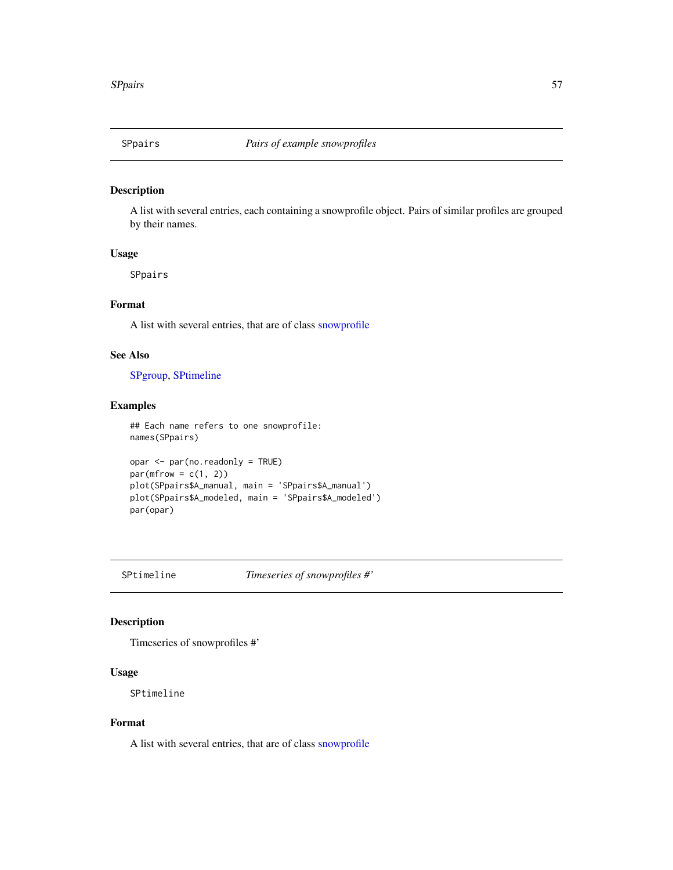<span id="page-56-1"></span><span id="page-56-0"></span>

A list with several entries, each containing a snowprofile object. Pairs of similar profiles are grouped by their names.

## Usage

SPpairs

## Format

A list with several entries, that are of class [snowprofile](#page-37-1)

## See Also

[SPgroup,](#page-55-1) [SPtimeline](#page-56-2)

## Examples

```
## Each name refers to one snowprofile:
names(SPpairs)
```

```
opar <- par(no.readonly = TRUE)
par(mfrow = c(1, 2))plot(SPpairs$A_manual, main = 'SPpairs$A_manual')
plot(SPpairs$A_modeled, main = 'SPpairs$A_modeled')
par(opar)
```
<span id="page-56-2"></span>SPtimeline *Timeseries of snowprofiles #'*

## Description

Timeseries of snowprofiles #'

#### Usage

SPtimeline

## Format

A list with several entries, that are of class [snowprofile](#page-37-1)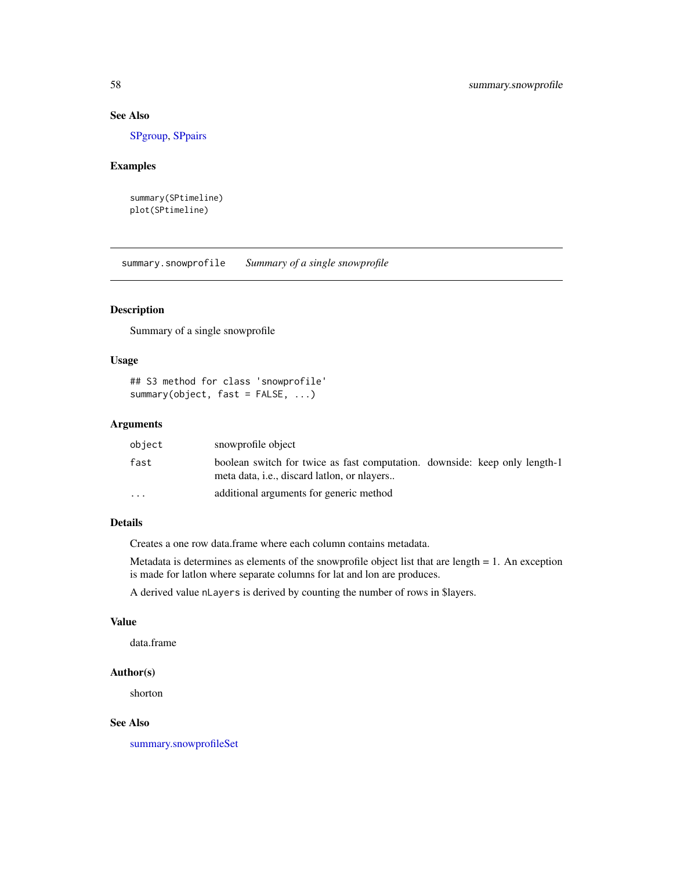## See Also

[SPgroup,](#page-55-1) [SPpairs](#page-56-1)

## Examples

```
summary(SPtimeline)
plot(SPtimeline)
```
<span id="page-57-1"></span>summary.snowprofile *Summary of a single snowprofile*

## Description

Summary of a single snowprofile

#### Usage

```
## S3 method for class 'snowprofile'
summary(object, fast = FALSE, ...)
```
## Arguments

| object                  | snowprofile object                                                                                                                |  |  |
|-------------------------|-----------------------------------------------------------------------------------------------------------------------------------|--|--|
| fast                    | boolean switch for twice as fast computation. downside: keep only length-1<br>meta data, <i>i.e.</i> , discard lation, or niavers |  |  |
| $\cdot$ $\cdot$ $\cdot$ | additional arguments for generic method                                                                                           |  |  |

## Details

Creates a one row data.frame where each column contains metadata.

Metadata is determines as elements of the snowprofile object list that are length = 1. An exception is made for latlon where separate columns for lat and lon are produces.

A derived value nLayers is derived by counting the number of rows in \$layers.

#### Value

data.frame

## Author(s)

shorton

## See Also

[summary.snowprofileSet](#page-58-1)

<span id="page-57-0"></span>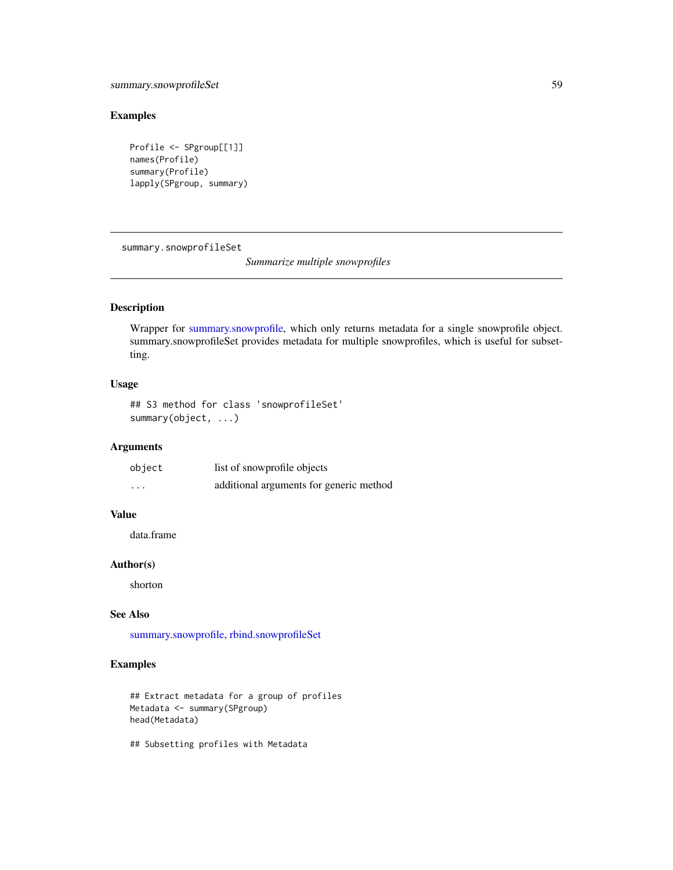## <span id="page-58-0"></span>summary.snowprofileSet 59

## Examples

```
Profile <- SPgroup[[1]]
names(Profile)
summary(Profile)
lapply(SPgroup, summary)
```
<span id="page-58-1"></span>summary.snowprofileSet

*Summarize multiple snowprofiles*

## Description

Wrapper for [summary.snowprofile,](#page-57-1) which only returns metadata for a single snowprofile object. summary.snowprofileSet provides metadata for multiple snowprofiles, which is useful for subsetting.

## Usage

```
## S3 method for class 'snowprofileSet'
summary(object, ...)
```
## Arguments

| object   | list of snowprofile objects             |
|----------|-----------------------------------------|
| $\cdots$ | additional arguments for generic method |

## Value

data.frame

## Author(s)

shorton

#### See Also

[summary.snowprofile,](#page-57-1) [rbind.snowprofileSet](#page-31-1)

## Examples

```
## Extract metadata for a group of profiles
Metadata <- summary(SPgroup)
head(Metadata)
```
## Subsetting profiles with Metadata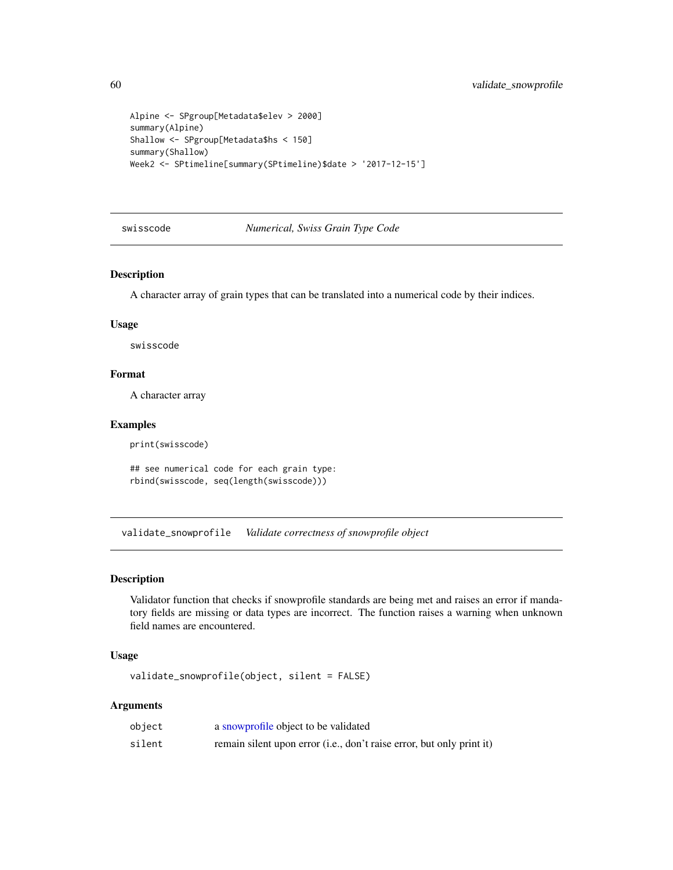```
Alpine <- SPgroup[Metadata$elev > 2000]
summary(Alpine)
Shallow <- SPgroup[Metadata$hs < 150]
summary(Shallow)
Week2 <- SPtimeline[summary(SPtimeline)$date > '2017-12-15']
```
swisscode *Numerical, Swiss Grain Type Code*

#### Description

A character array of grain types that can be translated into a numerical code by their indices.

#### Usage

swisscode

## Format

A character array

## Examples

print(swisscode)

## see numerical code for each grain type: rbind(swisscode, seq(length(swisscode)))

<span id="page-59-1"></span>validate\_snowprofile *Validate correctness of snowprofile object*

## Description

Validator function that checks if snowprofile standards are being met and raises an error if mandatory fields are missing or data types are incorrect. The function raises a warning when unknown field names are encountered.

#### Usage

validate\_snowprofile(object, silent = FALSE)

## Arguments

| object | a snowprofile object to be validated                                  |
|--------|-----------------------------------------------------------------------|
| silent | remain silent upon error (i.e., don't raise error, but only print it) |

<span id="page-59-0"></span>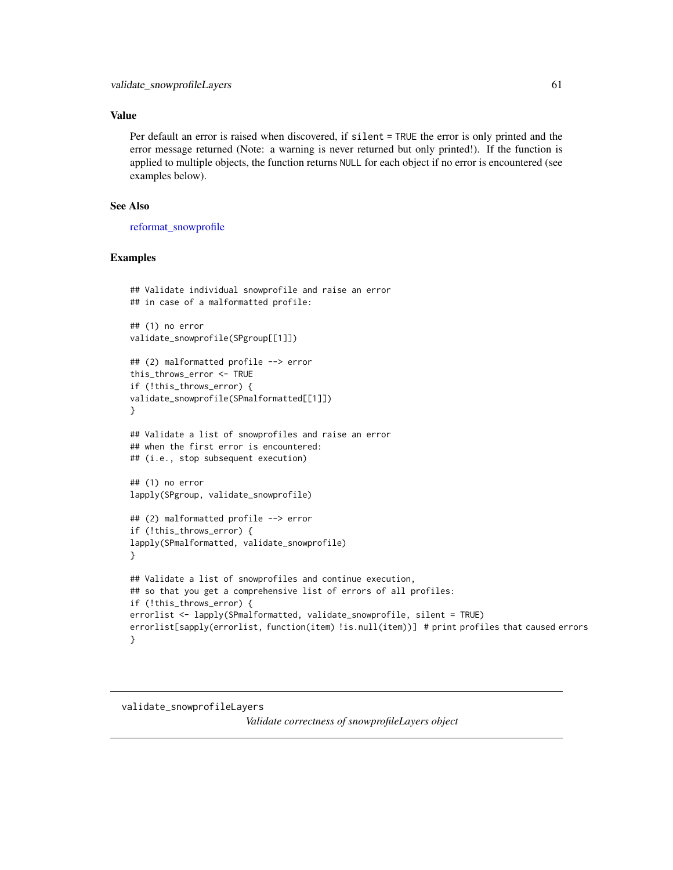## <span id="page-60-0"></span>Value

Per default an error is raised when discovered, if silent = TRUE the error is only printed and the error message returned (Note: a warning is never returned but only printed!). If the function is applied to multiple objects, the function returns NULL for each object if no error is encountered (see examples below).

## See Also

[reformat\\_snowprofile](#page-32-1)

#### Examples

```
## Validate individual snowprofile and raise an error
## in case of a malformatted profile:
## (1) no error
validate_snowprofile(SPgroup[[1]])
## (2) malformatted profile --> error
this_throws_error <- TRUE
if (!this_throws_error) {
validate_snowprofile(SPmalformatted[[1]])
}
## Validate a list of snowprofiles and raise an error
## when the first error is encountered:
## (i.e., stop subsequent execution)
## (1) no error
lapply(SPgroup, validate_snowprofile)
## (2) malformatted profile --> error
if (!this_throws_error) {
lapply(SPmalformatted, validate_snowprofile)
}
## Validate a list of snowprofiles and continue execution,
## so that you get a comprehensive list of errors of all profiles:
if (!this_throws_error) {
errorlist <- lapply(SPmalformatted, validate_snowprofile, silent = TRUE)
errorlist[sapply(errorlist, function(item) !is.null(item))] # print profiles that caused errors
}
```
## <span id="page-60-1"></span>validate\_snowprofileLayers

*Validate correctness of snowprofileLayers object*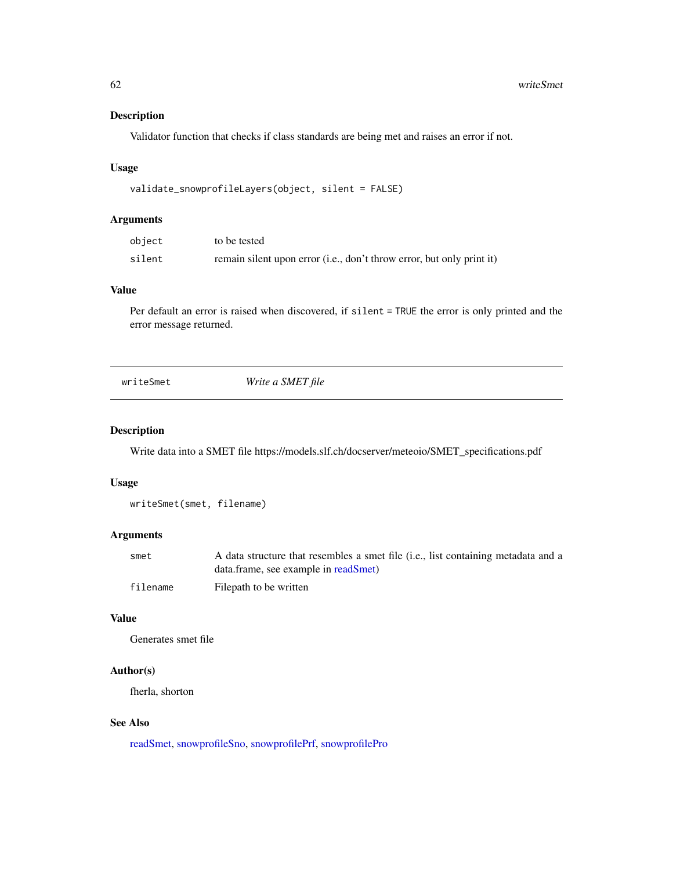Validator function that checks if class standards are being met and raises an error if not.

#### Usage

```
validate_snowprofileLayers(object, silent = FALSE)
```
#### Arguments

| object | to be tested                                                          |
|--------|-----------------------------------------------------------------------|
| silent | remain silent upon error (i.e., don't throw error, but only print it) |

## Value

Per default an error is raised when discovered, if silent = TRUE the error is only printed and the error message returned.

<span id="page-61-1"></span>writeSmet *Write a SMET file*

#### Description

Write data into a SMET file https://models.slf.ch/docserver/meteoio/SMET\_specifications.pdf

#### Usage

```
writeSmet(smet, filename)
```
## Arguments

| smet     | A data structure that resembles a smet file (i.e., list containing metadata and a |
|----------|-----------------------------------------------------------------------------------|
|          | data.frame, see example in readSmet)                                              |
| filename | Filepath to be written                                                            |

#### Value

Generates smet file

#### Author(s)

fherla, shorton

#### See Also

[readSmet,](#page-32-2) [snowprofileSno,](#page-52-2) [snowprofilePrf,](#page-49-1) [snowprofilePro](#page-50-1)

<span id="page-61-0"></span>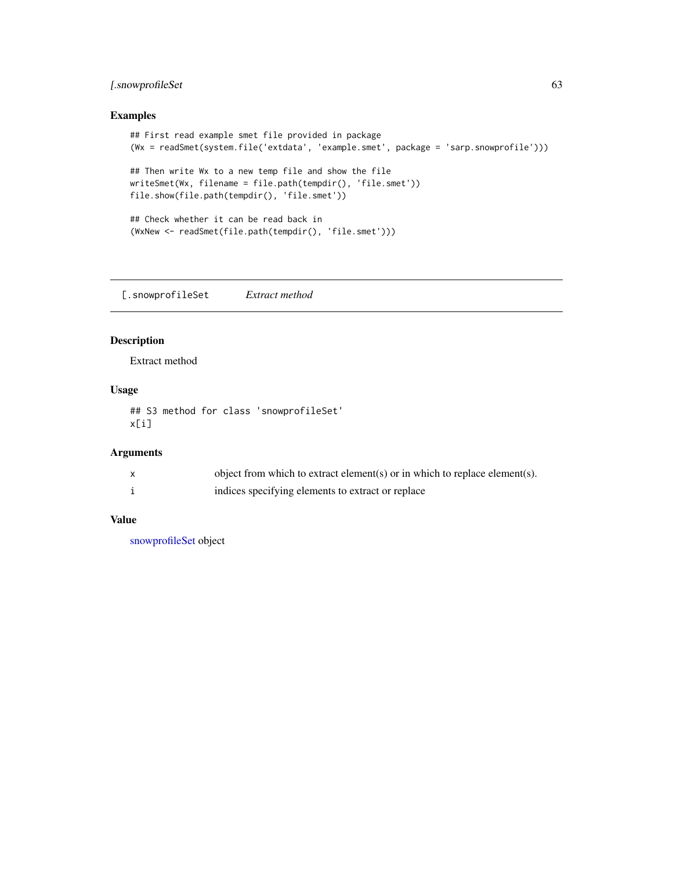## <span id="page-62-0"></span>[.snowprofileSet 63

## Examples

```
## First read example smet file provided in package
(Wx = readSmet(system.file('extdata', 'example.smet', package = 'sarp.snowprofile')))
## Then write Wx to a new temp file and show the file
writeSmet(Wx, filename = file.path(tempdir(), 'file.smet'))
file.show(file.path(tempdir(), 'file.smet'))
## Check whether it can be read back in
(WxNew <- readSmet(file.path(tempdir(), 'file.smet')))
```
[.snowprofileSet *Extract method*

## Description

Extract method

## Usage

## S3 method for class 'snowprofileSet' x[i]

## Arguments

| object from which to extract element(s) or in which to replace element(s). |
|----------------------------------------------------------------------------|
| indices specifying elements to extract or replace                          |

## Value

[snowprofileSet](#page-52-1) object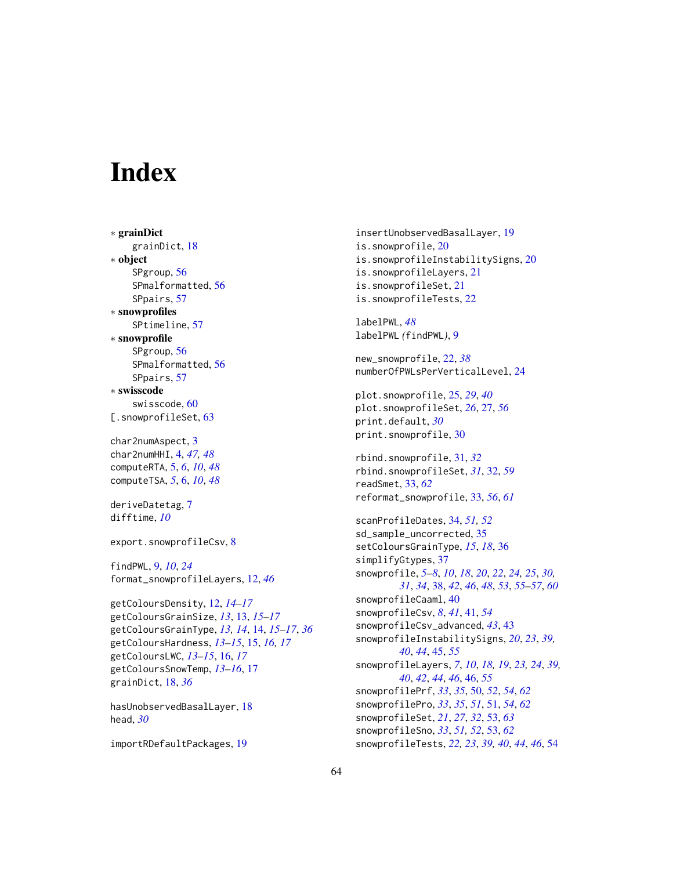# <span id="page-63-0"></span>**Index**

∗ grainDict grainDict, [18](#page-17-0) ∗ object SPgroup, [56](#page-55-0) SPmalformatted, [56](#page-55-0) SPpairs, [57](#page-56-0) ∗ snowprofiles SPtimeline, [57](#page-56-0) ∗ snowprofile SPgroup, [56](#page-55-0) SPmalformatted, [56](#page-55-0) SPpairs, [57](#page-56-0) ∗ swisscode swisscode, [60](#page-59-0) [.snowprofileSet, [63](#page-62-0)] char2numAspect, [3](#page-2-0) char2numHHI, [4,](#page-3-0) *[47,](#page-46-0) [48](#page-47-0)* computeRTA, [5,](#page-4-0) *[6](#page-5-0)*, *[10](#page-9-0)*, *[48](#page-47-0)* computeTSA, *[5](#page-4-0)*, [6,](#page-5-0) *[10](#page-9-0)*, *[48](#page-47-0)* deriveDatetag, [7](#page-6-0) difftime, *[10](#page-9-0)* export.snowprofileCsv, [8](#page-7-0) findPWL, [9,](#page-8-0) *[10](#page-9-0)*, *[24](#page-23-0)* format\_snowprofileLayers, [12,](#page-11-0) *[46](#page-45-0)* getColoursDensity, [12,](#page-11-0) *[14–](#page-13-0)[17](#page-16-0)* getColoursGrainSize, *[13](#page-12-0)*, [13,](#page-12-0) *[15–](#page-14-0)[17](#page-16-0)* getColoursGrainType, *[13,](#page-12-0) [14](#page-13-0)*, [14,](#page-13-0) *[15–](#page-14-0)[17](#page-16-0)*, *[36](#page-35-0)* getColoursHardness, *[13–](#page-12-0)[15](#page-14-0)*, [15,](#page-14-0) *[16,](#page-15-0) [17](#page-16-0)* getColoursLWC, *[13](#page-12-0)[–15](#page-14-0)*, [16,](#page-15-0) *[17](#page-16-0)* getColoursSnowTemp, *[13–](#page-12-0)[16](#page-15-0)*, [17](#page-16-0) grainDict, [18,](#page-17-0) *[36](#page-35-0)*

hasUnobservedBasalLayer, [18](#page-17-0) head, *[30](#page-29-0)*

importRDefaultPackages, [19](#page-18-0)

insertUnobservedBasalLayer, [19](#page-18-0) is.snowprofile, [20](#page-19-0) is.snowprofileInstabilitySigns, [20](#page-19-0) is.snowprofileLayers, [21](#page-20-0) is.snowprofileSet, [21](#page-20-0) is.snowprofileTests, [22](#page-21-0)

labelPWL, *[48](#page-47-0)* labelPWL *(*findPWL*)*, [9](#page-8-0)

new\_snowprofile, [22,](#page-21-0) *[38](#page-37-0)* numberOfPWLsPerVerticalLevel, [24](#page-23-0)

plot.snowprofile, [25,](#page-24-0) *[29](#page-28-0)*, *[40](#page-39-0)* plot.snowprofileSet, *[26](#page-25-0)*, [27,](#page-26-0) *[56](#page-55-0)* print.default, *[30](#page-29-0)* print.snowprofile, [30](#page-29-0)

rbind.snowprofile, [31,](#page-30-0) *[32](#page-31-0)* rbind.snowprofileSet, *[31](#page-30-0)*, [32,](#page-31-0) *[59](#page-58-0)* readSmet, [33,](#page-32-0) *[62](#page-61-0)* reformat\_snowprofile, [33,](#page-32-0) *[56](#page-55-0)*, *[61](#page-60-0)*

scanProfileDates, [34,](#page-33-0) *[51,](#page-50-0) [52](#page-51-0)* sd\_sample\_uncorrected, [35](#page-34-0) setColoursGrainType, *[15](#page-14-0)*, *[18](#page-17-0)*, [36](#page-35-0) simplifyGtypes, [37](#page-36-0) snowprofile, *[5](#page-4-0)[–8](#page-7-0)*, *[10](#page-9-0)*, *[18](#page-17-0)*, *[20](#page-19-0)*, *[22](#page-21-0)*, *[24,](#page-23-0) [25](#page-24-0)*, *[30,](#page-29-0) [31](#page-30-0)*, *[34](#page-33-0)*, [38,](#page-37-0) *[42](#page-41-0)*, *[46](#page-45-0)*, *[48](#page-47-0)*, *[53](#page-52-0)*, *[55](#page-54-0)[–57](#page-56-0)*, *[60](#page-59-0)* snowprofileCaaml, [40](#page-39-0) snowprofileCsv, *[8](#page-7-0)*, *[41](#page-40-0)*, [41,](#page-40-0) *[54](#page-53-0)* snowprofileCsv\_advanced, *[43](#page-42-0)*, [43](#page-42-0) snowprofileInstabilitySigns, *[20](#page-19-0)*, *[23](#page-22-0)*, *[39,](#page-38-0) [40](#page-39-0)*, *[44](#page-43-0)*, [45,](#page-44-0) *[55](#page-54-0)* snowprofileLayers, *[7](#page-6-0)*, *[10](#page-9-0)*, *[18,](#page-17-0) [19](#page-18-0)*, *[23,](#page-22-0) [24](#page-23-0)*, *[39,](#page-38-0) [40](#page-39-0)*, *[42](#page-41-0)*, *[44](#page-43-0)*, *[46](#page-45-0)*, [46,](#page-45-0) *[55](#page-54-0)* snowprofilePrf, *[33](#page-32-0)*, *[35](#page-34-0)*, [50,](#page-49-0) *[52](#page-51-0)*, *[54](#page-53-0)*, *[62](#page-61-0)* snowprofilePro, *[33](#page-32-0)*, *[35](#page-34-0)*, *[51](#page-50-0)*, [51,](#page-50-0) *[54](#page-53-0)*, *[62](#page-61-0)* snowprofileSet, *[21](#page-20-0)*, *[27](#page-26-0)*, *[32](#page-31-0)*, [53,](#page-52-0) *[63](#page-62-0)* snowprofileSno, *[33](#page-32-0)*, *[51,](#page-50-0) [52](#page-51-0)*, [53,](#page-52-0) *[62](#page-61-0)* snowprofileTests, *[22,](#page-21-0) [23](#page-22-0)*, *[39,](#page-38-0) [40](#page-39-0)*, *[44](#page-43-0)*, *[46](#page-45-0)*, [54](#page-53-0)